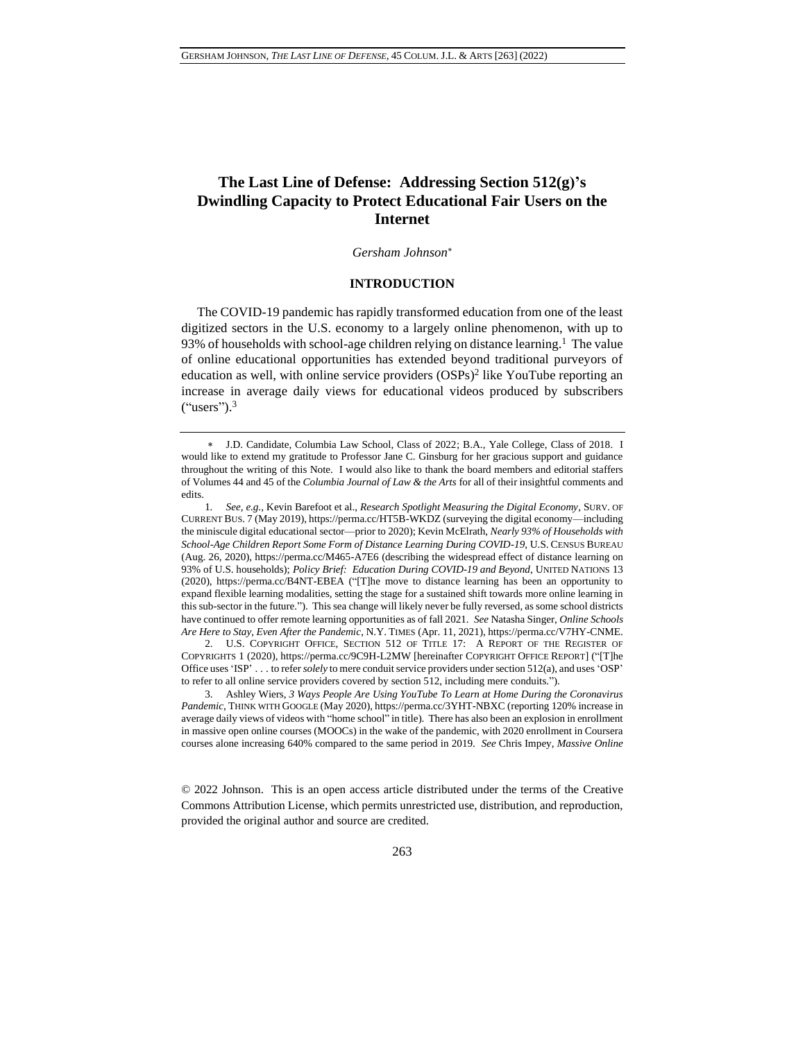# **The Last Line of Defense: Addressing Section 512(g)'s Dwindling Capacity to Protect Educational Fair Users on the Internet**

*Gersham Johnson*

### <span id="page-0-0"></span>**INTRODUCTION**

The COVID-19 pandemic has rapidly transformed education from one of the least digitized sectors in the U.S. economy to a largely online phenomenon, with up to 93% of households with school-age children relying on distance learning.<sup>1</sup> The value of online educational opportunities has extended beyond traditional purveyors of education as well, with online service providers (OSPs) 2 like YouTube reporting an increase in average daily views for educational videos produced by subscribers  $("users").<sup>3</sup>$ 

2. U.S. COPYRIGHT OFFICE, SECTION 512 OF TITLE 17: A REPORT OF THE REGISTER OF COPYRIGHTS 1 (2020), https://perma.cc/9C9H-L2MW [hereinafter COPYRIGHT OFFICE REPORT] ("[T]he Office uses 'ISP' . . . to refer *solely* to mere conduit service providers under section 512(a), and uses 'OSP' to refer to all online service providers covered by section 512, including mere conduits.").

3. Ashley Wiers, *3 Ways People Are Using YouTube To Learn at Home During the Coronavirus Pandemic*, THINK WITH GOOGLE (May 2020), https://perma.cc/3YHT-NBXC (reporting 120% increase in average daily views of videos with "home school" in title). There has also been an explosion in enrollment in massive open online courses (MOOCs) in the wake of the pandemic, with 2020 enrollment in Coursera courses alone increasing 640% compared to the same period in 2019. *See* Chris Impey, *Massive Online* 

© 2022 Johnson. This is an open access article distributed under the terms of the [Creative](https://creativecommons.org/licenses/by/3.0/us/)  [Commons Attribution License,](https://creativecommons.org/licenses/by/3.0/us/) which permits unrestricted use, distribution, and reproduction, provided the original author and source are credited.

<span id="page-0-1"></span>J.D. Candidate, Columbia Law School, Class of 2022; B.A., Yale College, Class of 2018. I would like to extend my gratitude to Professor Jane C. Ginsburg for her gracious support and guidance throughout the writing of this Note. I would also like to thank the board members and editorial staffers of Volumes 44 and 45 of the *Columbia Journal of Law & the Arts* for all of their insightful comments and edits.

<sup>1</sup>*. See, e.g.*, Kevin Barefoot et al., *Research Spotlight Measuring the Digital Economy*, SURV. OF CURRENT BUS. 7 (May 2019), https://perma.cc/HT5B-WKDZ (surveying the digital economy—including the miniscule digital educational sector—prior to 2020); Kevin McElrath, *Nearly 93% of Households with School-Age Children Report Some Form of Distance Learning During COVID-19*, U.S. CENSUS BUREAU (Aug. 26, 2020), https://perma.cc/M465-A7E6 (describing the widespread effect of distance learning on 93% of U.S. households); *Policy Brief: Education During COVID-19 and Beyond*, UNITED NATIONS 13 (2020), https://perma.cc/B4NT-EBEA ("[T]he move to distance learning has been an opportunity to expand flexible learning modalities, setting the stage for a sustained shift towards more online learning in this sub-sector in the future."). This sea change will likely never be fully reversed, as some school districts have continued to offer remote learning opportunities as of fall 2021. *See* Natasha Singer, *Online Schools Are Here to Stay, Even After the Pandemic*, N.Y. TIMES (Apr. 11, 2021), https://perma.cc/V7HY-CNME.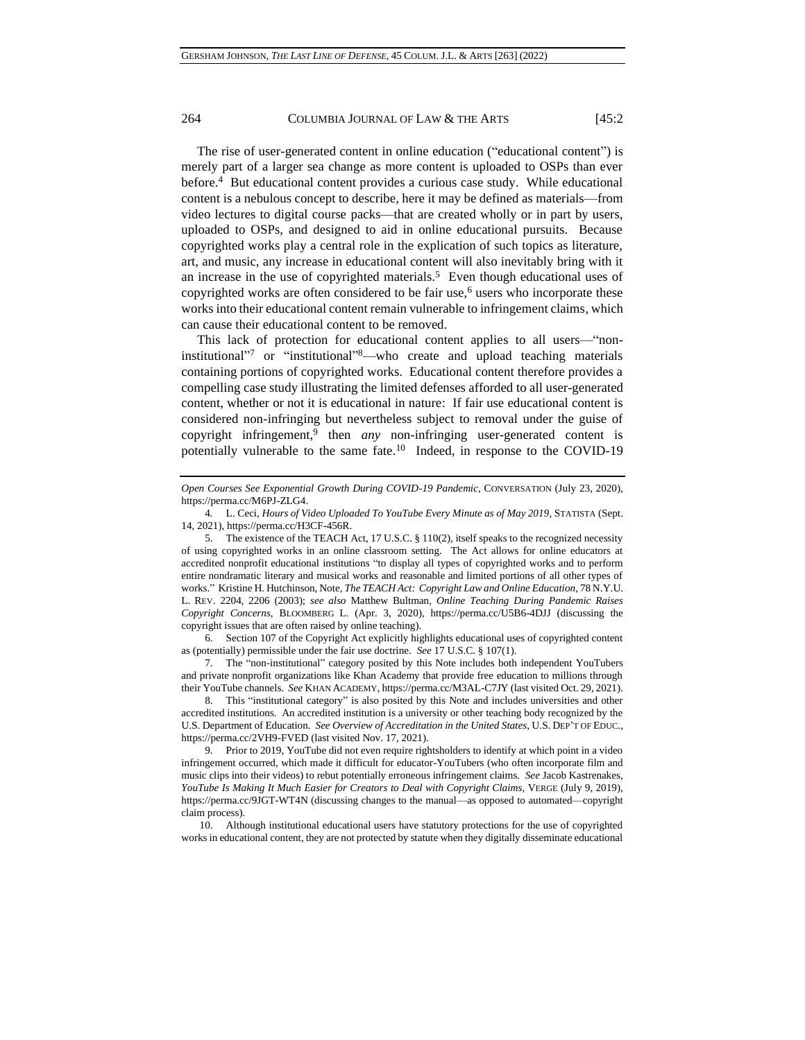<span id="page-1-0"></span>The rise of user-generated content in online education ("educational content") is merely part of a larger sea change as more content is uploaded to OSPs than ever before.<sup>4</sup> But educational content provides a curious case study. While educational content is a nebulous concept to describe, here it may be defined as materials—from video lectures to digital course packs—that are created wholly or in part by users, uploaded to OSPs, and designed to aid in online educational pursuits. Because copyrighted works play a central role in the explication of such topics as literature, art, and music, any increase in educational content will also inevitably bring with it an increase in the use of copyrighted materials.<sup>5</sup> Even though educational uses of copyrighted works are often considered to be fair use,<sup>6</sup> users who incorporate these works into their educational content remain vulnerable to infringement claims, which can cause their educational content to be removed.

<span id="page-1-2"></span>This lack of protection for educational content applies to all users—"noninstitutional" <sup>7</sup> or "institutional" <sup>8</sup>—who create and upload teaching materials containing portions of copyrighted works. Educational content therefore provides a compelling case study illustrating the limited defenses afforded to all user-generated content, whether or not it is educational in nature: If fair use educational content is considered non-infringing but nevertheless subject to removal under the guise of copyright infringement,<sup>9</sup> then *any* non-infringing user-generated content is potentially vulnerable to the same fate.<sup>10</sup> Indeed, in response to the COVID-19

6. Section 107 of the Copyright Act explicitly highlights educational uses of copyrighted content as (potentially) permissible under the fair use doctrine. *See* 17 U.S.C. § 107(1).

7. The "non-institutional" category posited by this Note includes both independent YouTubers and private nonprofit organizations like Khan Academy that provide free education to millions through their YouTube channels. *See* KHAN ACADEMY, https://perma.cc/M3AL-C7JY (last visited Oct. 29, 2021).

8. This "institutional category" is also posited by this Note and includes universities and other accredited institutions. An accredited institution is a university or other teaching body recognized by the U.S. Department of Education. *See Overview of Accreditation in the United States*, U.S. DEP'T OF EDUC., https://perma.cc/2VH9-FVED (last visited Nov. 17, 2021).

9. Prior to 2019, YouTube did not even require rightsholders to identify at which point in a video infringement occurred, which made it difficult for educator-YouTubers (who often incorporate film and music clips into their videos) to rebut potentially erroneous infringement claims. *See* Jacob Kastrenakes, *YouTube Is Making It Much Easier for Creators to Deal with Copyright Claims*, VERGE (July 9, 2019), https://perma.cc/9JGT-WT4N (discussing changes to the manual—as opposed to automated—copyright claim process).

10. Although institutional educational users have statutory protections for the use of copyrighted works in educational content, they are not protected by statute when they digitally disseminate educational

<span id="page-1-1"></span>*Open Courses See Exponential Growth During COVID-19 Pandemic*, CONVERSATION (July 23, 2020), https://perma.cc/M6PJ-ZLG4.

<sup>4</sup>*.* L. Ceci, *Hours of Video Uploaded To YouTube Every Minute as of May 2019*, STATISTA (Sept. 14, 2021), https://perma.cc/H3CF-456R.

<sup>5.</sup> The existence of the TEACH Act, 17 U.S.C. § 110(2), itself speaks to the recognized necessity of using copyrighted works in an online classroom setting. The Act allows for online educators at accredited nonprofit educational institutions "to display all types of copyrighted works and to perform entire nondramatic literary and musical works and reasonable and limited portions of all other types of works." Kristine H. Hutchinson, Note, *The TEACH Act: Copyright Law and Online Education*, 78 N.Y.U. L. REV. 2204, 2206 (2003); *see also* Matthew Bultman, *Online Teaching During Pandemic Raises Copyright Concerns*, BLOOMBERG L. (Apr. 3, 2020), https://perma.cc/U5B6-4DJJ (discussing the copyright issues that are often raised by online teaching).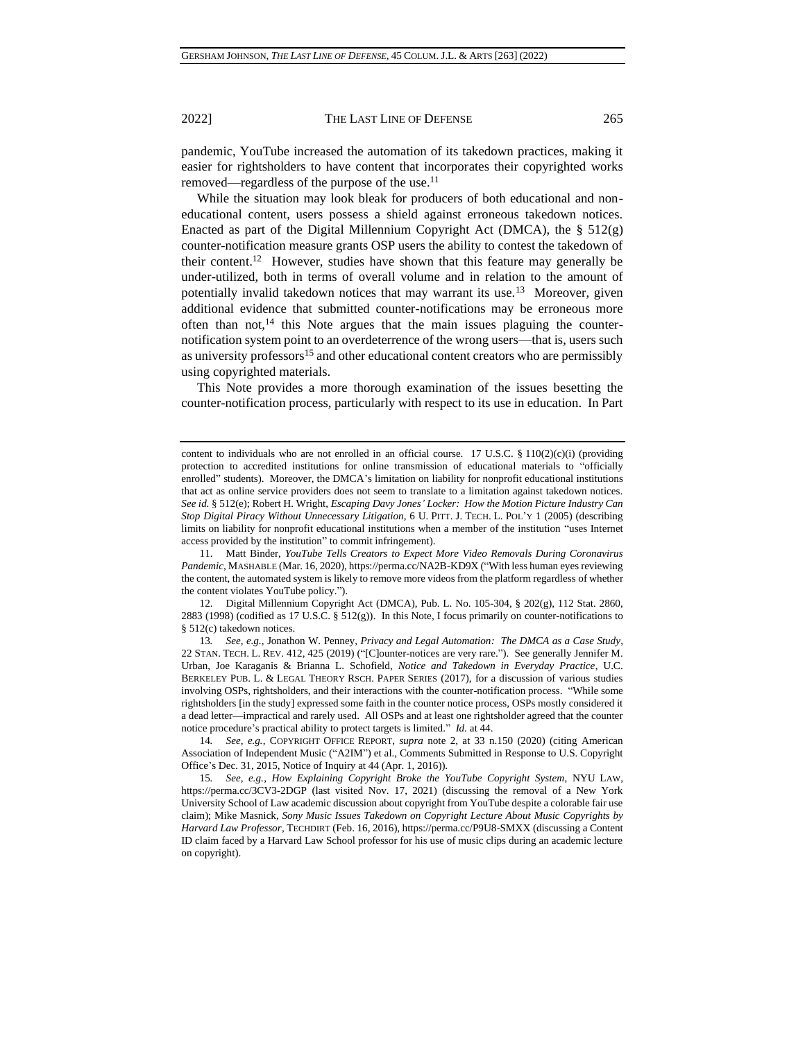pandemic, YouTube increased the automation of its takedown practices, making it easier for rightsholders to have content that incorporates their copyrighted works removed—regardless of the purpose of the use.<sup>11</sup>

While the situation may look bleak for producers of both educational and noneducational content, users possess a shield against erroneous takedown notices. Enacted as part of the Digital Millennium Copyright Act (DMCA), the  $\S$  512(g) counter-notification measure grants OSP users the ability to contest the takedown of their content.<sup>12</sup> However, studies have shown that this feature may generally be under-utilized, both in terms of overall volume and in relation to the amount of potentially invalid takedown notices that may warrant its use.<sup>13</sup> Moreover, given additional evidence that submitted counter-notifications may be erroneous more often than not,<sup>14</sup> this Note argues that the main issues plaguing the counternotification system point to an overdeterrence of the wrong users—that is, users such as university professors<sup>15</sup> and other educational content creators who are permissibly using copyrighted materials.

<span id="page-2-1"></span>This Note provides a more thorough examination of the issues besetting the counter-notification process, particularly with respect to its use in education. In Part

11. Matt Binder, *YouTube Tells Creators to Expect More Video Removals During Coronavirus Pandemic*, MASHABLE (Mar. 16, 2020), https://perma.cc/NA2B-KD9X ("With less human eyes reviewing the content, the automated system is likely to remove more videos from the platform regardless of whether the content violates YouTube policy.").

12. Digital Millennium Copyright Act (DMCA), Pub. L. No. 105-304, § 202(g), 112 Stat. 2860, 2883 (1998) (codified as 17 U.S.C. § 512(g)). In this Note, I focus primarily on counter-notifications to § 512(c) takedown notices.

13*. See, e.g.*, Jonathon W. Penney, *Privacy and Legal Automation: The DMCA as a Case Study*, 22 STAN. TECH. L. REV. 412, 425 (2019) ("[C]ounter-notices are very rare."). See generally Jennifer M. Urban, Joe Karaganis & Brianna L. Schofield, *Notice and Takedown in Everyday Practice*, U.C. BERKELEY PUB. L. & LEGAL THEORY RSCH. PAPER SERIES (2017), for a discussion of various studies involving OSPs, rightsholders, and their interactions with the counter-notification process. "While some rightsholders [in the study] expressed some faith in the counter notice process, OSPs mostly considered it a dead letter—impractical and rarely used. All OSPs and at least one rightsholder agreed that the counter notice procedure's practical ability to protect targets is limited." *Id.* at 44.

14*. See, e.g.*, COPYRIGHT OFFICE REPORT, *supra* note [2,](#page-0-0) at 33 n.150 (2020) (citing American Association of Independent Music ("A2IM") et al., Comments Submitted in Response to U.S. Copyright Office's Dec. 31, 2015, Notice of Inquiry at 44 (Apr. 1, 2016)).

15*. See, e.g.*, *How Explaining Copyright Broke the YouTube Copyright System*, NYU LAW, https://perma.cc/3CV3-2DGP (last visited Nov. 17, 2021) (discussing the removal of a New York University School of Law academic discussion about copyright from YouTube despite a colorable fair use claim); Mike Masnick, *Sony Music Issues Takedown on Copyright Lecture About Music Copyrights by Harvard Law Professor*, TECHDIRT (Feb. 16, 2016), https://perma.cc/P9U8-SMXX (discussing a Content ID claim faced by a Harvard Law School professor for his use of music clips during an academic lecture on copyright).

<span id="page-2-0"></span>

content to individuals who are not enrolled in an official course. 17 U.S.C. § 110(2)(c)(i) (providing protection to accredited institutions for online transmission of educational materials to "officially enrolled" students). Moreover, the DMCA's limitation on liability for nonprofit educational institutions that act as online service providers does not seem to translate to a limitation against takedown notices. *See id.* § 512(e); Robert H. Wright, *Escaping Davy Jones' Locker: How the Motion Picture Industry Can Stop Digital Piracy Without Unnecessary Litigation*, 6 U. PITT. J. TECH. L. POL'Y 1 (2005) (describing limits on liability for nonprofit educational institutions when a member of the institution "uses Internet access provided by the institution" to commit infringement).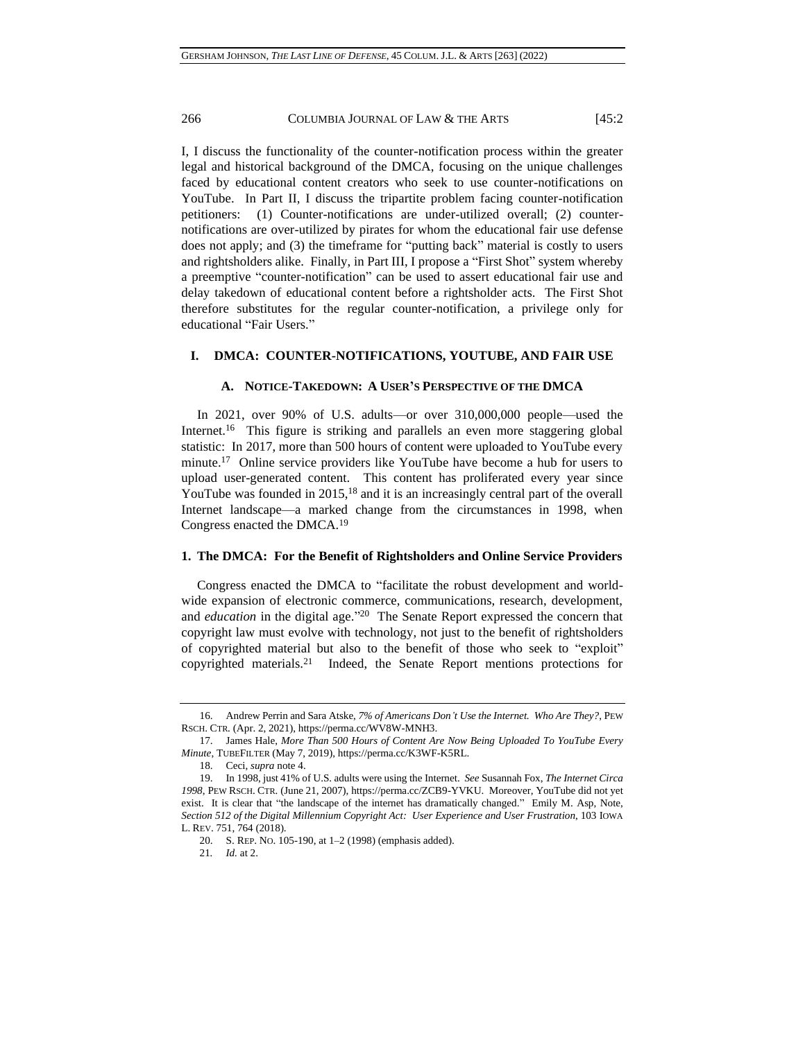I, I discuss the functionality of the counter-notification process within the greater legal and historical background of the DMCA, focusing on the unique challenges faced by educational content creators who seek to use counter-notifications on YouTube. In Part II, I discuss the tripartite problem facing counter-notification petitioners: (1) Counter-notifications are under-utilized overall; (2) counternotifications are over-utilized by pirates for whom the educational fair use defense does not apply; and (3) the timeframe for "putting back" material is costly to users and rightsholders alike. Finally, in Part III, I propose a "First Shot" system whereby a preemptive "counter-notification" can be used to assert educational fair use and delay takedown of educational content before a rightsholder acts. The First Shot therefore substitutes for the regular counter-notification, a privilege only for educational "Fair Users."

## **I. DMCA: COUNTER-NOTIFICATIONS, YOUTUBE, AND FAIR USE**

### **A. NOTICE-TAKEDOWN: A USER'S PERSPECTIVE OF THE DMCA**

In 2021, over 90% of U.S. adults—or over 310,000,000 people—used the Internet.<sup>16</sup> This figure is striking and parallels an even more staggering global statistic: In 2017, more than 500 hours of content were uploaded to YouTube every minute.<sup>17</sup> Online service providers like YouTube have become a hub for users to upload user-generated content. This content has proliferated every year since YouTube was founded in 2015,<sup>18</sup> and it is an increasingly central part of the overall Internet landscape—a marked change from the circumstances in 1998, when Congress enacted the DMCA.<sup>19</sup>

### <span id="page-3-0"></span>**1. The DMCA: For the Benefit of Rightsholders and Online Service Providers**

Congress enacted the DMCA to "facilitate the robust development and worldwide expansion of electronic commerce, communications, research, development, and *education* in the digital age." 20 The Senate Report expressed the concern that copyright law must evolve with technology, not just to the benefit of rightsholders of copyrighted material but also to the benefit of those who seek to "exploit" copyrighted materials.<sup>21</sup> Indeed, the Senate Report mentions protections for

<sup>16.</sup> Andrew Perrin and Sara Atske, *7% of Americans Don't Use the Internet. Who Are They?*, PEW RSCH. CTR. (Apr. 2, 2021), https://perma.cc/WV8W-MNH3.

<sup>17.</sup> James Hale, *More Than 500 Hours of Content Are Now Being Uploaded To YouTube Every Minute*, TUBEFILTER (May 7, 2019), https://perma.cc/K3WF-K5RL.

<sup>18.</sup> Ceci, *supra* not[e 4.](#page-1-0)

<sup>19.</sup> In 1998, just 41% of U.S. adults were using the Internet. *See* Susannah Fox, *The Internet Circa 1998*, PEW RSCH. CTR. (June 21, 2007), https://perma.cc/ZCB9-YVKU. Moreover, YouTube did not yet exist. It is clear that "the landscape of the internet has dramatically changed." Emily M. Asp, Note, *Section 512 of the Digital Millennium Copyright Act: User Experience and User Frustration*, 103 IOWA L. REV. 751, 764 (2018).

<sup>20.</sup> S. REP. NO. 105-190, at 1–2 (1998) (emphasis added).

<sup>21</sup>*. Id.* at 2.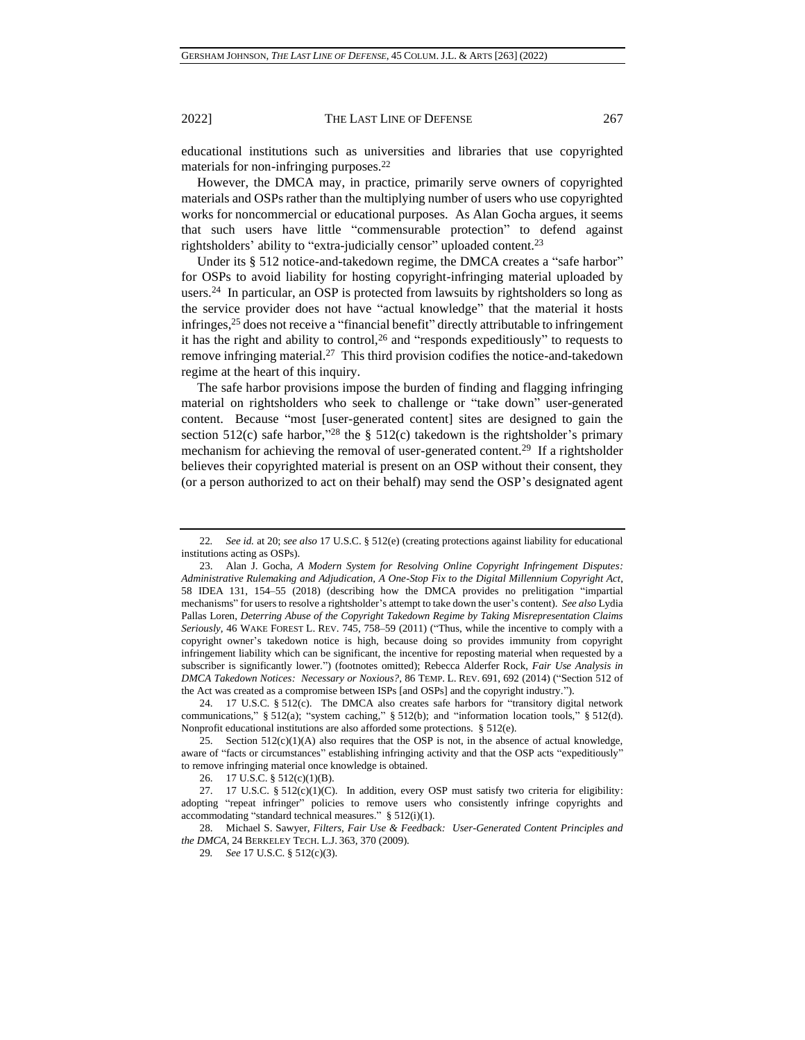educational institutions such as universities and libraries that use copyrighted materials for non-infringing purposes.<sup>22</sup>

However, the DMCA may, in practice, primarily serve owners of copyrighted materials and OSPs rather than the multiplying number of users who use copyrighted works for noncommercial or educational purposes. As Alan Gocha argues, it seems that such users have little "commensurable protection" to defend against rightsholders' ability to "extra-judicially censor" uploaded content.<sup>23</sup>

Under its § 512 notice-and-takedown regime, the DMCA creates a "safe harbor" for OSPs to avoid liability for hosting copyright-infringing material uploaded by users.<sup>24</sup> In particular, an OSP is protected from lawsuits by rightsholders so long as the service provider does not have "actual knowledge" that the material it hosts infringes,<sup>25</sup> does not receive a "financial benefit" directly attributable to infringement it has the right and ability to control,<sup>26</sup> and "responds expeditiously" to requests to remove infringing material.<sup>27</sup> This third provision codifies the notice-and-takedown regime at the heart of this inquiry.

The safe harbor provisions impose the burden of finding and flagging infringing material on rightsholders who seek to challenge or "take down" user-generated content. Because "most [user-generated content] sites are designed to gain the section  $512(c)$  safe harbor,<sup>328</sup> the §  $512(c)$  takedown is the rightsholder's primary mechanism for achieving the removal of user-generated content.<sup>29</sup> If a rightsholder believes their copyrighted material is present on an OSP without their consent, they (or a person authorized to act on their behalf) may send the OSP's designated agent

28. Michael S. Sawyer, *Filters, Fair Use & Feedback: User-Generated Content Principles and the DMCA*, 24 BERKELEY TECH. L.J. 363, 370 (2009).

<span id="page-4-0"></span>

<sup>22</sup>*. See id.* at 20; *see also* 17 U.S.C. § 512(e) (creating protections against liability for educational institutions acting as OSPs).

<sup>23.</sup> Alan J. Gocha, *A Modern System for Resolving Online Copyright Infringement Disputes: Administrative Rulemaking and Adjudication, A One-Stop Fix to the Digital Millennium Copyright Act*, 58 IDEA 131, 154–55 (2018) (describing how the DMCA provides no prelitigation "impartial mechanisms" for users to resolve a rightsholder's attempt to take down the user's content). *See also* Lydia Pallas Loren, *Deterring Abuse of the Copyright Takedown Regime by Taking Misrepresentation Claims Seriously*, 46 WAKE FOREST L. REV. 745, 758–59 (2011) ("Thus, while the incentive to comply with a copyright owner's takedown notice is high, because doing so provides immunity from copyright infringement liability which can be significant, the incentive for reposting material when requested by a subscriber is significantly lower.") (footnotes omitted); Rebecca Alderfer Rock, *Fair Use Analysis in DMCA Takedown Notices: Necessary or Noxious?*, 86 TEMP. L. REV. 691, 692 (2014) ("Section 512 of the Act was created as a compromise between ISPs [and OSPs] and the copyright industry.").

<sup>24.</sup> 17 U.S.C. § 512(c). The DMCA also creates safe harbors for "transitory digital network communications," § 512(a); "system caching," § 512(b); and "information location tools," § 512(d). Nonprofit educational institutions are also afforded some protections. § 512(e).

<sup>25.</sup> Section  $512(c)(1)(A)$  also requires that the OSP is not, in the absence of actual knowledge, aware of "facts or circumstances" establishing infringing activity and that the OSP acts "expeditiously" to remove infringing material once knowledge is obtained.

<sup>26.</sup> 17 U.S.C. § 512(c)(1)(B).

<sup>27. 17</sup> U.S.C.  $\S$  512(c)(1)(C). In addition, every OSP must satisfy two criteria for eligibility: adopting "repeat infringer" policies to remove users who consistently infringe copyrights and accommodating "standard technical measures." § 512(i)(1).

<sup>29</sup>*. See* 17 U.S.C. § 512(c)(3).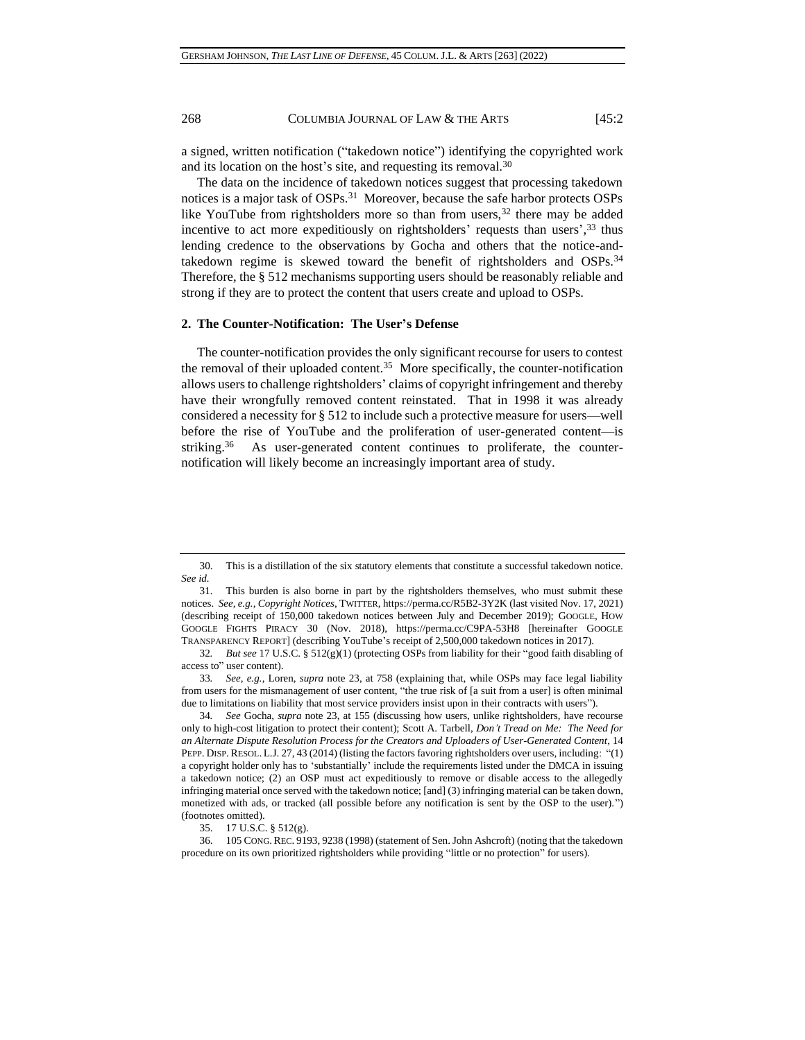a signed, written notification ("takedown notice") identifying the copyrighted work and its location on the host's site, and requesting its removal.<sup>30</sup>

<span id="page-5-0"></span>The data on the incidence of takedown notices suggest that processing takedown notices is a major task of OSPs.<sup>31</sup> Moreover, because the safe harbor protects OSPs like YouTube from rightsholders more so than from users,  $32$  there may be added incentive to act more expeditiously on rightsholders' requests than users',<sup>33</sup> thus lending credence to the observations by Gocha and others that the notice-andtakedown regime is skewed toward the benefit of rightsholders and OSPs.<sup>34</sup> Therefore, the § 512 mechanisms supporting users should be reasonably reliable and strong if they are to protect the content that users create and upload to OSPs.

## <span id="page-5-1"></span>**2. The Counter-Notification: The User's Defense**

The counter-notification provides the only significant recourse for users to contest the removal of their uploaded content.<sup>35</sup> More specifically, the counter-notification allows users to challenge rightsholders' claims of copyright infringement and thereby have their wrongfully removed content reinstated. That in 1998 it was already considered a necessity for § 512 to include such a protective measure for users—well before the rise of YouTube and the proliferation of user-generated content—is striking. 36 As user-generated content continues to proliferate, the counternotification will likely become an increasingly important area of study.

33*. See, e.g.*, Loren, *supra* note [23,](#page-4-0) at 758 (explaining that, while OSPs may face legal liability from users for the mismanagement of user content, "the true risk of [a suit from a user] is often minimal due to limitations on liability that most service providers insist upon in their contracts with users").

34*. See* Gocha, *supra* note 23, at 155 (discussing how users, unlike rightsholders, have recourse only to high-cost litigation to protect their content); Scott A. Tarbell, *Don't Tread on Me: The Need for an Alternate Dispute Resolution Process for the Creators and Uploaders of User-Generated Content*, 14 PEPP. DISP. RESOL. L.J. 27, 43 (2014) (listing the factors favoring rightsholders over users, including: "(1) a copyright holder only has to 'substantially' include the requirements listed under the DMCA in issuing a takedown notice; (2) an OSP must act expeditiously to remove or disable access to the allegedly infringing material once served with the takedown notice; [and] (3) infringing material can be taken down, monetized with ads, or tracked (all possible before any notification is sent by the OSP to the user).") (footnotes omitted).

36. 105 CONG. REC. 9193, 9238 (1998) (statement of Sen. John Ashcroft) (noting that the takedown procedure on its own prioritized rightsholders while providing "little or no protection" for users).

<sup>30.</sup> This is a distillation of the six statutory elements that constitute a successful takedown notice. *See id.*

<sup>31.</sup> This burden is also borne in part by the rightsholders themselves, who must submit these notices. *See, e.g.*, *Copyright Notices*, TWITTER, https://perma.cc/R5B2-3Y2K (last visited Nov. 17, 2021) (describing receipt of 150,000 takedown notices between July and December 2019); GOOGLE, HOW GOOGLE FIGHTS PIRACY 30 (Nov. 2018), https://perma.cc/C9PA-53H8 [hereinafter GOOGLE TRANSPARENCY REPORT] (describing YouTube's receipt of 2,500,000 takedown notices in 2017).

<sup>32</sup>*. But see* 17 U.S.C. § 512(g)(1) (protecting OSPs from liability for their "good faith disabling of access to" user content).

<sup>35.</sup> 17 U.S.C. § 512(g).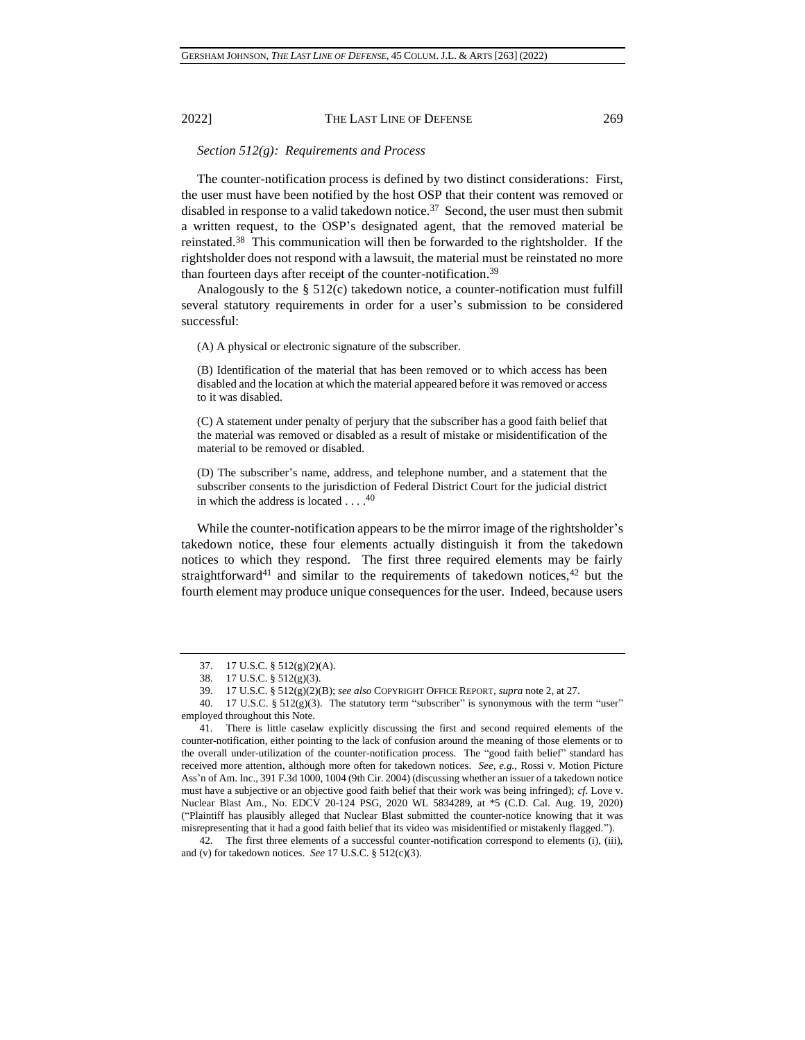## *Section 512(g): Requirements and Process*

The counter-notification process is defined by two distinct considerations: First, the user must have been notified by the host OSP that their content was removed or disabled in response to a valid takedown notice.<sup>37</sup> Second, the user must then submit a written request, to the OSP's designated agent, that the removed material be reinstated.<sup>38</sup> This communication will then be forwarded to the rightsholder. If the rightsholder does not respond with a lawsuit, the material must be reinstated no more than fourteen days after receipt of the counter-notification.<sup>39</sup>

Analogously to the § 512(c) takedown notice, a counter-notification must fulfill several statutory requirements in order for a user's submission to be considered successful:

(A) A physical or electronic signature of the subscriber.

(B) Identification of the material that has been removed or to which access has been disabled and the location at which the material appeared before it was removed or access to it was disabled.

(C) A statement under penalty of perjury that the subscriber has a good faith belief that the material was removed or disabled as a result of mistake or misidentification of the material to be removed or disabled.

(D) The subscriber's name, address, and telephone number, and a statement that the subscriber consents to the jurisdiction of Federal District Court for the judicial district in which the address is located  $\dots$ .<sup>40</sup>

While the counter-notification appears to be the mirror image of the rightsholder's takedown notice, these four elements actually distinguish it from the takedown notices to which they respond. The first three required elements may be fairly straightforward<sup>41</sup> and similar to the requirements of takedown notices,  $42$  but the fourth element may produce unique consequences for the user. Indeed, because users

42. The first three elements of a successful counter-notification correspond to elements (i), (iii), and (v) for takedown notices. *See* 17 U.S.C. § 512(c)(3).

<sup>37.</sup> 17 U.S.C. § 512(g)(2)(A).

<sup>38.</sup> 17 U.S.C. § 512(g)(3).

<sup>39.</sup> 17 U.S.C. § 512(g)(2)(B); *see also* COPYRIGHT OFFICE REPORT, *supra* not[e 2,](#page-0-0) at 27.

<sup>40. 17</sup> U.S.C. §  $512(g)(3)$ . The statutory term "subscriber" is synonymous with the term "user" employed throughout this Note.

<sup>41.</sup> There is little caselaw explicitly discussing the first and second required elements of the counter-notification, either pointing to the lack of confusion around the meaning of those elements or to the overall under-utilization of the counter-notification process. The "good faith belief" standard has received more attention, although more often for takedown notices. *See, e.g.*, Rossi v. Motion Picture Ass'n of Am. Inc., 391 F.3d 1000, 1004 (9th Cir. 2004) (discussing whether an issuer of a takedown notice must have a subjective or an objective good faith belief that their work was being infringed); *cf.* Love v. Nuclear Blast Am., No. EDCV 20-124 PSG, 2020 WL 5834289, at \*5 (C.D. Cal. Aug. 19, 2020) ("Plaintiff has plausibly alleged that Nuclear Blast submitted the counter-notice knowing that it was misrepresenting that it had a good faith belief that its video was misidentified or mistakenly flagged.").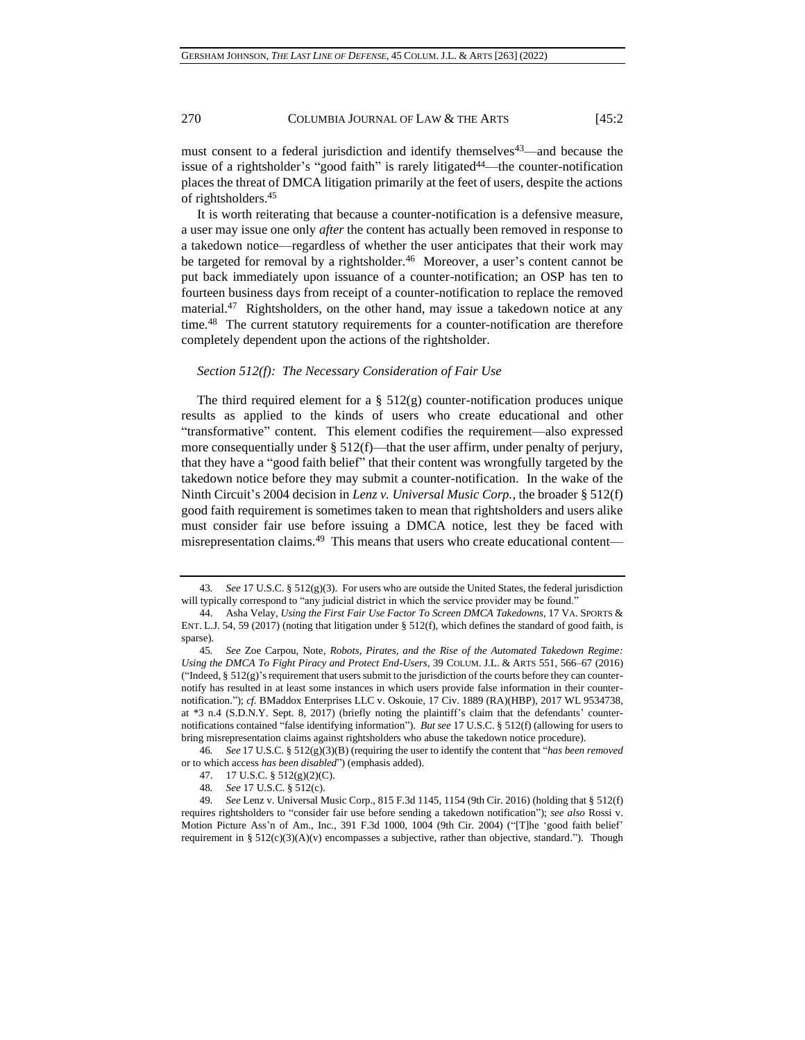<span id="page-7-0"></span>must consent to a federal jurisdiction and identify themselves<sup>43</sup>—and because the issue of a rightsholder's "good faith" is rarely litigated<sup>44</sup>—the counter-notification places the threat of DMCA litigation primarily at the feet of users, despite the actions of rightsholders.<sup>45</sup>

<span id="page-7-1"></span>It is worth reiterating that because a counter-notification is a defensive measure, a user may issue one only *after* the content has actually been removed in response to a takedown notice—regardless of whether the user anticipates that their work may be targeted for removal by a rightsholder.<sup>46</sup> Moreover, a user's content cannot be put back immediately upon issuance of a counter-notification; an OSP has ten to fourteen business days from receipt of a counter-notification to replace the removed material.<sup>47</sup> Rightsholders, on the other hand, may issue a takedown notice at any time.<sup>48</sup> The current statutory requirements for a counter-notification are therefore completely dependent upon the actions of the rightsholder.

#### *Section 512(f): The Necessary Consideration of Fair Use*

The third required element for a  $\S$  512(g) counter-notification produces unique results as applied to the kinds of users who create educational and other "transformative" content. This element codifies the requirement—also expressed more consequentially under  $\S 512(f)$ —that the user affirm, under penalty of perjury, that they have a "good faith belief" that their content was wrongfully targeted by the takedown notice before they may submit a counter-notification. In the wake of the Ninth Circuit's 2004 decision in *Lenz v. Universal Music Corp.*, the broader § 512(f) good faith requirement is sometimes taken to mean that rightsholders and users alike must consider fair use before issuing a DMCA notice, lest they be faced with misrepresentation claims.<sup>49</sup> This means that users who create educational content—

46*. See* 17 U.S.C. § 512(g)(3)(B) (requiring the user to identify the content that "*has been removed* or to which access *has been disabled*") (emphasis added).

<sup>43</sup>*. See* 17 U.S.C. § 512(g)(3). For users who are outside the United States, the federal jurisdiction will typically correspond to "any judicial district in which the service provider may be found."

<sup>44.</sup> Asha Velay, *Using the First Fair Use Factor To Screen DMCA Takedowns*, 17 VA. SPORTS & ENT. L.J. 54, 59 (2017) (noting that litigation under § 512(f), which defines the standard of good faith, is sparse).

<sup>45</sup>*. See* Zoe Carpou, Note, *Robots, Pirates, and the Rise of the Automated Takedown Regime: Using the DMCA To Fight Piracy and Protect End-Users*, 39 COLUM. J.L. & ARTS 551, 566–67 (2016) ("Indeed,  $\S$  512(g)'s requirement that users submit to the jurisdiction of the courts before they can counternotify has resulted in at least some instances in which users provide false information in their counternotification."); *cf.* BMaddox Enterprises LLC v. Oskouie, 17 Civ. 1889 (RA)(HBP), 2017 WL 9534738, at \*3 n.4 (S.D.N.Y. Sept. 8, 2017) (briefly noting the plaintiff's claim that the defendants' counternotifications contained "false identifying information"). *But see* 17 U.S.C. § 512(f) (allowing for users to bring misrepresentation claims against rightsholders who abuse the takedown notice procedure).

<sup>47.</sup> 17 U.S.C. § 512(g)(2)(C).

<sup>48</sup>*. See* 17 U.S.C. § 512(c).

<sup>49</sup>*. See* Lenz v. Universal Music Corp., 815 F.3d 1145, 1154 (9th Cir. 2016) (holding that § 512(f) requires rightsholders to "consider fair use before sending a takedown notification"); *see also* Rossi v. Motion Picture Ass'n of Am., Inc., 391 F.3d 1000, 1004 (9th Cir. 2004) ("[T]he 'good faith belief' requirement in §  $512(c)(3)(A)(v)$  encompasses a subjective, rather than objective, standard."). Though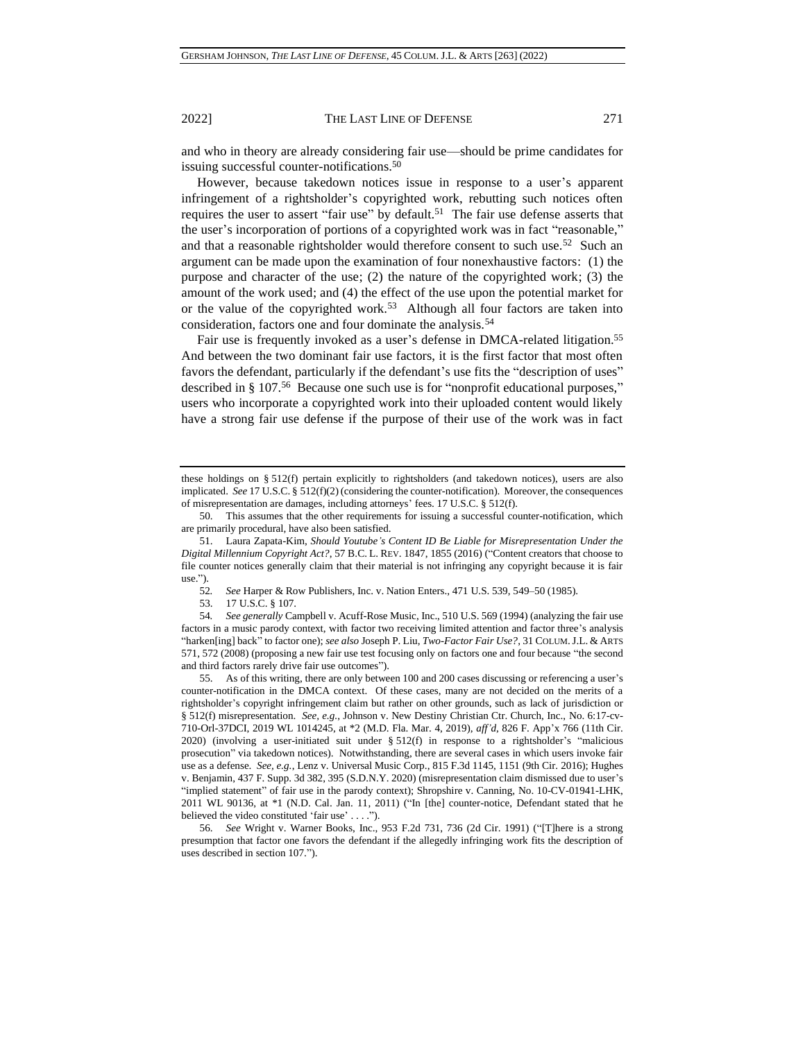<span id="page-8-0"></span>

and who in theory are already considering fair use—should be prime candidates for issuing successful counter-notifications.<sup>50</sup>

However, because takedown notices issue in response to a user's apparent infringement of a rightsholder's copyrighted work, rebutting such notices often requires the user to assert "fair use" by default.<sup>51</sup> The fair use defense asserts that the user's incorporation of portions of a copyrighted work was in fact "reasonable," and that a reasonable rightsholder would therefore consent to such use.<sup>52</sup> Such an argument can be made upon the examination of four nonexhaustive factors: (1) the purpose and character of the use; (2) the nature of the copyrighted work; (3) the amount of the work used; and (4) the effect of the use upon the potential market for or the value of the copyrighted work.<sup>53</sup> Although all four factors are taken into consideration, factors one and four dominate the analysis.<sup>54</sup>

Fair use is frequently invoked as a user's defense in DMCA-related litigation.<sup>55</sup> And between the two dominant fair use factors, it is the first factor that most often favors the defendant, particularly if the defendant's use fits the "description of uses" described in § 107.<sup>56</sup> Because one such use is for "nonprofit educational purposes," users who incorporate a copyrighted work into their uploaded content would likely have a strong fair use defense if the purpose of their use of the work was in fact

these holdings on § 512(f) pertain explicitly to rightsholders (and takedown notices), users are also implicated. *See* 17 U.S.C. § 512(f)(2) (considering the counter-notification). Moreover, the consequences of misrepresentation are damages, including attorneys' fees. 17 U.S.C. § 512(f).

<sup>50.</sup> This assumes that the other requirements for issuing a successful counter-notification, which are primarily procedural, have also been satisfied.

<sup>51.</sup> Laura Zapata-Kim, *Should Youtube's Content ID Be Liable for Misrepresentation Under the Digital Millennium Copyright Act?*, 57 B.C. L. REV. 1847, 1855 (2016) ("Content creators that choose to file counter notices generally claim that their material is not infringing any copyright because it is fair use.").

<sup>52</sup>*. See* Harper & Row Publishers, Inc. v. Nation Enters., 471 U.S. 539, 549–50 (1985).

<sup>53.</sup> 17 U.S.C. § 107.

<sup>54</sup>*. See generally* Campbell v. Acuff-Rose Music, Inc., 510 U.S. 569 (1994) (analyzing the fair use factors in a music parody context, with factor two receiving limited attention and factor three's analysis "harken[ing] back" to factor one); *see also* Joseph P. Liu, *Two-Factor Fair Use?*, 31 COLUM.J.L. & ARTS 571, 572 (2008) (proposing a new fair use test focusing only on factors one and four because "the second and third factors rarely drive fair use outcomes").

<sup>55.</sup> As of this writing, there are only between 100 and 200 cases discussing or referencing a user's counter-notification in the DMCA context. Of these cases, many are not decided on the merits of a rightsholder's copyright infringement claim but rather on other grounds, such as lack of jurisdiction or § 512(f) misrepresentation. *See, e.g.*, Johnson v. New Destiny Christian Ctr. Church, Inc., No. 6:17-cv-710-Orl-37DCI, 2019 WL 1014245, at \*2 (M.D. Fla. Mar. 4, 2019), *aff'd*, 826 F. App'x 766 (11th Cir. 2020) (involving a user-initiated suit under § 512(f) in response to a rightsholder's "malicious prosecution" via takedown notices). Notwithstanding, there are several cases in which users invoke fair use as a defense. *See, e.g.*, Lenz v. Universal Music Corp., 815 F.3d 1145, 1151 (9th Cir. 2016); Hughes v. Benjamin, 437 F. Supp. 3d 382, 395 (S.D.N.Y. 2020) (misrepresentation claim dismissed due to user's "implied statement" of fair use in the parody context); Shropshire v. Canning, No. 10-CV-01941-LHK, 2011 WL 90136, at \*1 (N.D. Cal. Jan. 11, 2011) ("In [the] counter-notice, Defendant stated that he believed the video constituted 'fair use' . . . .").

<sup>56.</sup> *See* Wright v. Warner Books, Inc., 953 F.2d 731, 736 (2d Cir. 1991) ("[T]here is a strong presumption that factor one favors the defendant if the allegedly infringing work fits the description of uses described in section 107.").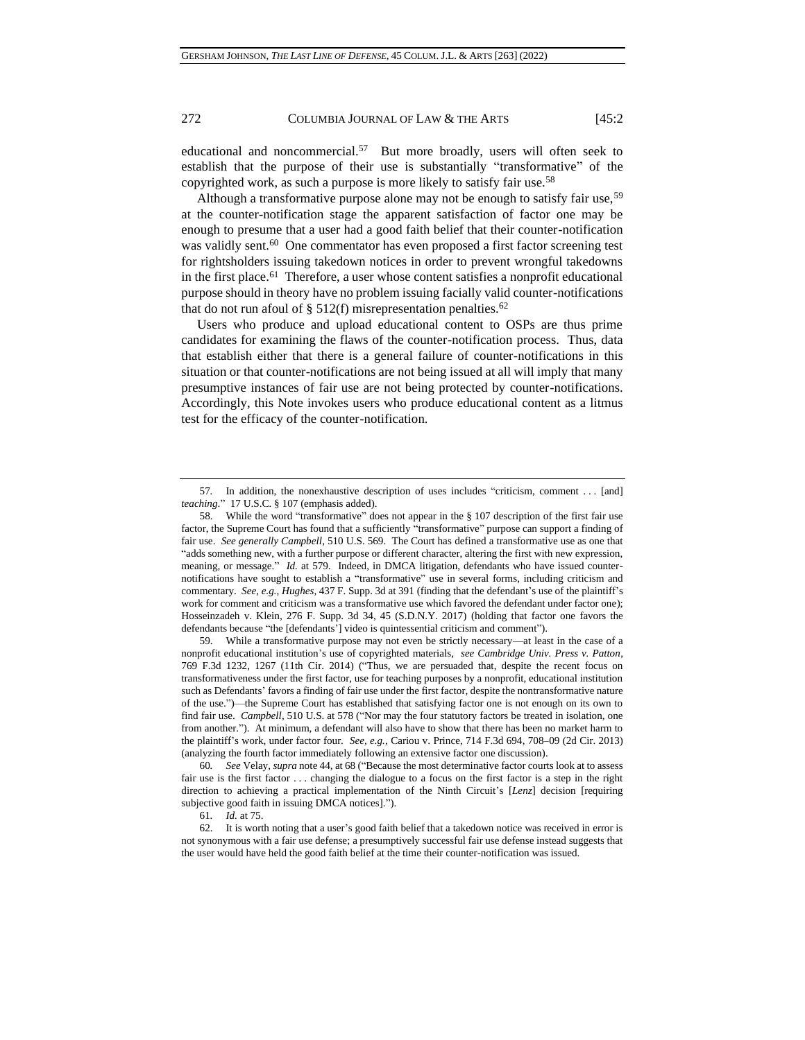educational and noncommercial.<sup>57</sup> But more broadly, users will often seek to establish that the purpose of their use is substantially "transformative" of the copyrighted work, as such a purpose is more likely to satisfy fair use.<sup>58</sup>

Although a transformative purpose alone may not be enough to satisfy fair use,<sup>59</sup> at the counter-notification stage the apparent satisfaction of factor one may be enough to presume that a user had a good faith belief that their counter-notification was validly sent.<sup>60</sup> One commentator has even proposed a first factor screening test for rightsholders issuing takedown notices in order to prevent wrongful takedowns in the first place.<sup>61</sup> Therefore, a user whose content satisfies a nonprofit educational purpose should in theory have no problem issuing facially valid counter-notifications that do not run afoul of § 512(f) misrepresentation penalties.<sup>62</sup>

Users who produce and upload educational content to OSPs are thus prime candidates for examining the flaws of the counter-notification process. Thus, data that establish either that there is a general failure of counter-notifications in this situation or that counter-notifications are not being issued at all will imply that many presumptive instances of fair use are not being protected by counter-notifications. Accordingly, this Note invokes users who produce educational content as a litmus test for the efficacy of the counter-notification.

59. While a transformative purpose may not even be strictly necessary—at least in the case of a nonprofit educational institution's use of copyrighted materials, *see Cambridge Univ. Press v. Patton*, 769 F.3d 1232, 1267 (11th Cir. 2014) ("Thus, we are persuaded that, despite the recent focus on transformativeness under the first factor, use for teaching purposes by a nonprofit, educational institution such as Defendants' favors a finding of fair use under the first factor, despite the nontransformative nature of the use.")—the Supreme Court has established that satisfying factor one is not enough on its own to find fair use. *Campbell*, 510 U.S. at 578 ("Nor may the four statutory factors be treated in isolation, one from another."). At minimum, a defendant will also have to show that there has been no market harm to the plaintiff's work, under factor four. *See, e.g.*, Cariou v. Prince, 714 F.3d 694, 708–09 (2d Cir. 2013) (analyzing the fourth factor immediately following an extensive factor one discussion).

60*. See* Velay, *supra* note [44,](#page-7-0) at 68 ("Because the most determinative factor courts look at to assess fair use is the first factor ... changing the dialogue to a focus on the first factor is a step in the right direction to achieving a practical implementation of the Ninth Circuit's [*Lenz*] decision [requiring subjective good faith in issuing DMCA notices].").

61*. Id.* at 75.

<sup>57</sup>*.* In addition, the nonexhaustive description of uses includes "criticism, comment . . . [and] *teaching*." 17 U.S.C. § 107 (emphasis added).

<sup>58.</sup> While the word "transformative" does not appear in the § 107 description of the first fair use factor, the Supreme Court has found that a sufficiently "transformative" purpose can support a finding of fair use. *See generally Campbell*, 510 U.S. 569. The Court has defined a transformative use as one that "adds something new, with a further purpose or different character, altering the first with new expression, meaning, or message." *Id.* at 579. Indeed, in DMCA litigation, defendants who have issued counternotifications have sought to establish a "transformative" use in several forms, including criticism and commentary. *See, e.g.*, *Hughes*, 437 F. Supp. 3d at 391 (finding that the defendant's use of the plaintiff's work for comment and criticism was a transformative use which favored the defendant under factor one); Hosseinzadeh v. Klein, 276 F. Supp. 3d 34, 45 (S.D.N.Y. 2017) (holding that factor one favors the defendants because "the [defendants'] video is quintessential criticism and comment").

<sup>62.</sup> It is worth noting that a user's good faith belief that a takedown notice was received in error is not synonymous with a fair use defense; a presumptively successful fair use defense instead suggests that the user would have held the good faith belief at the time their counter-notification was issued.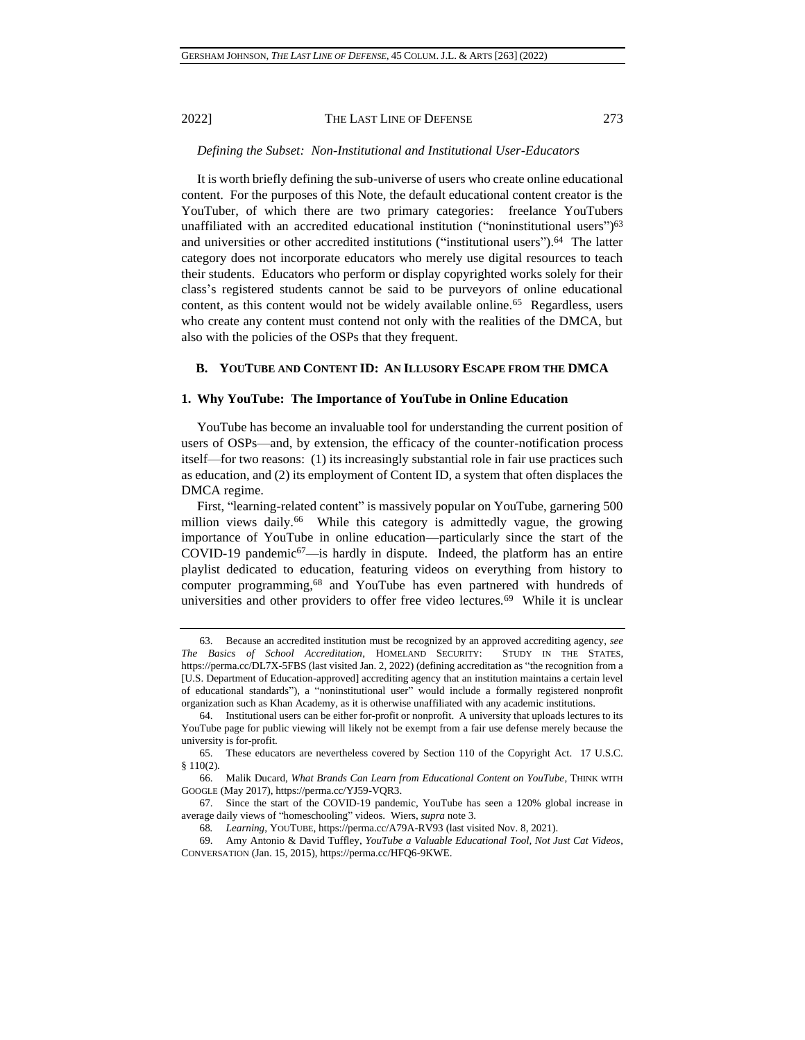## *Defining the Subset: Non-Institutional and Institutional User-Educators*

It is worth briefly defining the sub-universe of users who create online educational content. For the purposes of this Note, the default educational content creator is the YouTuber, of which there are two primary categories: freelance YouTubers unaffiliated with an accredited educational institution ("noninstitutional users")<sup>63</sup> and universities or other accredited institutions ("institutional users").<sup>64</sup> The latter category does not incorporate educators who merely use digital resources to teach their students. Educators who perform or display copyrighted works solely for their class's registered students cannot be said to be purveyors of online educational content, as this content would not be widely available online.<sup>65</sup> Regardless, users who create any content must contend not only with the realities of the DMCA, but also with the policies of the OSPs that they frequent.

## **B. YOUTUBE AND CONTENT ID: AN ILLUSORY ESCAPE FROM THE DMCA**

## **1. Why YouTube: The Importance of YouTube in Online Education**

YouTube has become an invaluable tool for understanding the current position of users of OSPs—and, by extension, the efficacy of the counter-notification process itself—for two reasons: (1) its increasingly substantial role in fair use practices such as education, and (2) its employment of Content ID, a system that often displaces the DMCA regime.

First, "learning-related content" is massively popular on YouTube, garnering 500 million views daily.<sup>66</sup> While this category is admittedly vague, the growing importance of YouTube in online education—particularly since the start of the COVID-19 pandemic<sup>67</sup>—is hardly in dispute. Indeed, the platform has an entire playlist dedicated to education, featuring videos on everything from history to computer programming,<sup>68</sup> and YouTube has even partnered with hundreds of universities and other providers to offer free video lectures.<sup>69</sup> While it is unclear

<sup>63.</sup> Because an accredited institution must be recognized by an approved accrediting agency, *see The Basics of School Accreditation*, HOMELAND SECURITY: STUDY IN THE STATES, https://perma.cc/DL7X-5FBS (last visited Jan. 2, 2022) (defining accreditation as "the recognition from a [U.S. Department of Education-approved] accrediting agency that an institution maintains a certain level of educational standards"), a "noninstitutional user" would include a formally registered nonprofit organization such as Khan Academy, as it is otherwise unaffiliated with any academic institutions.

<sup>64.</sup> Institutional users can be either for-profit or nonprofit. A university that uploads lectures to its YouTube page for public viewing will likely not be exempt from a fair use defense merely because the university is for-profit.

<sup>65.</sup> These educators are nevertheless covered by Section 110 of the Copyright Act. 17 U.S.C. § 110(2).

<sup>66.</sup> Malik Ducard, *What Brands Can Learn from Educational Content on YouTube*, THINK WITH GOOGLE (May 2017), https://perma.cc/YJ59-VQR3.

<sup>67.</sup> Since the start of the COVID-19 pandemic, YouTube has seen a 120% global increase in average daily views of "homeschooling" videos. Wiers, *supra* note [3.](#page-0-1)

<sup>68</sup>*. Learning*, YOUTUBE, https://perma.cc/A79A-RV93 (last visited Nov. 8, 2021).

<sup>69.</sup> Amy Antonio & David Tuffley, *YouTube a Valuable Educational Tool, Not Just Cat Videos*, CONVERSATION (Jan. 15, 2015), https://perma.cc/HFQ6-9KWE.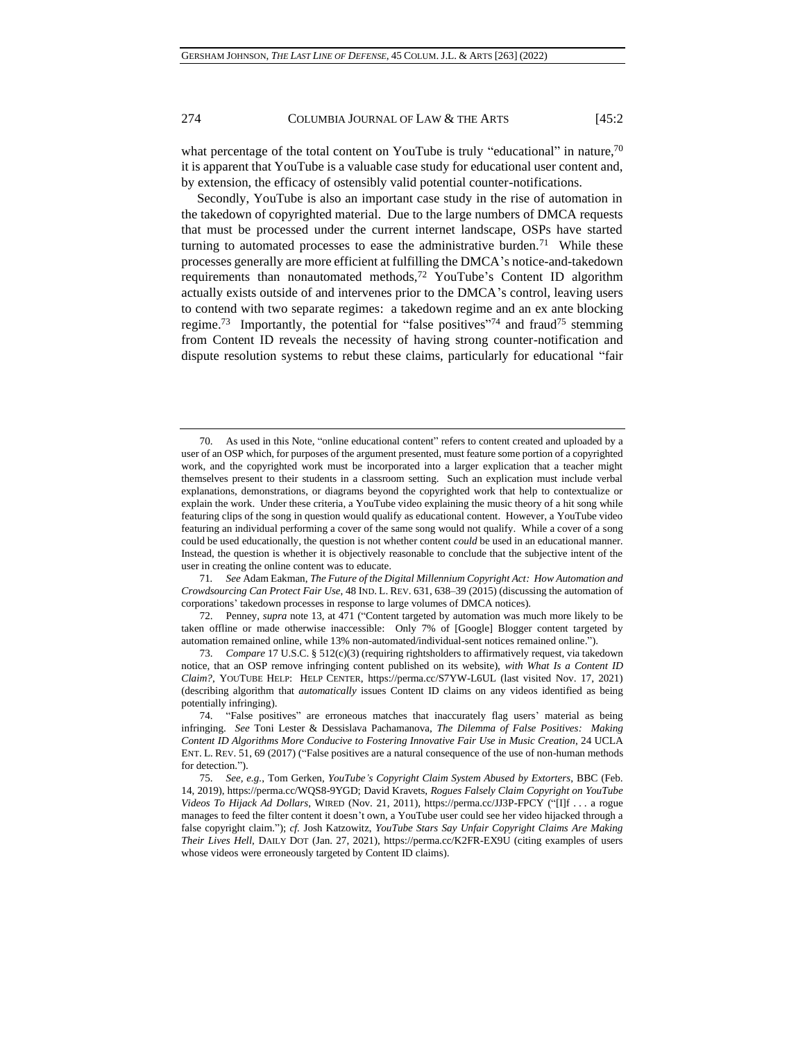what percentage of the total content on YouTube is truly "educational" in nature,70 it is apparent that YouTube is a valuable case study for educational user content and, by extension, the efficacy of ostensibly valid potential counter-notifications.

Secondly, YouTube is also an important case study in the rise of automation in the takedown of copyrighted material. Due to the large numbers of DMCA requests that must be processed under the current internet landscape, OSPs have started turning to automated processes to ease the administrative burden.<sup>71</sup> While these processes generally are more efficient at fulfilling the DMCA's notice-and-takedown requirements than nonautomated methods,<sup>72</sup> YouTube's Content ID algorithm actually exists outside of and intervenes prior to the DMCA's control, leaving users to contend with two separate regimes: a takedown regime and an ex ante blocking regime.<sup>73</sup> Importantly, the potential for "false positives"<sup>74</sup> and fraud<sup>75</sup> stemming from Content ID reveals the necessity of having strong counter-notification and dispute resolution systems to rebut these claims, particularly for educational "fair

71*. See* Adam Eakman, *The Future of the Digital Millennium Copyright Act: How Automation and Crowdsourcing Can Protect Fair Use*, 48 IND. L. REV. 631, 638–39 (2015) (discussing the automation of corporations' takedown processes in response to large volumes of DMCA notices).

72. Penney, *supra* note [13,](#page-2-0) at 471 ("Content targeted by automation was much more likely to be taken offline or made otherwise inaccessible: Only 7% of [Google] Blogger content targeted by automation remained online, while 13% non-automated/individual-sent notices remained online.").

<span id="page-11-0"></span><sup>70.</sup> As used in this Note, "online educational content" refers to content created and uploaded by a user of an OSP which, for purposes of the argument presented, must feature some portion of a copyrighted work, and the copyrighted work must be incorporated into a larger explication that a teacher might themselves present to their students in a classroom setting. Such an explication must include verbal explanations, demonstrations, or diagrams beyond the copyrighted work that help to contextualize or explain the work. Under these criteria, a YouTube video explaining the music theory of a hit song while featuring clips of the song in question would qualify as educational content. However, a YouTube video featuring an individual performing a cover of the same song would not qualify. While a cover of a song could be used educationally, the question is not whether content *could* be used in an educational manner. Instead, the question is whether it is objectively reasonable to conclude that the subjective intent of the user in creating the online content was to educate.

<sup>73.</sup> *Compare* 17 U.S.C. § 512(c)(3) (requiring rightsholders to affirmatively request, via takedown notice, that an OSP remove infringing content published on its website), *with What Is a Content ID Claim?*, YOUTUBE HELP: HELP CENTER, https://perma.cc/S7YW-L6UL (last visited Nov. 17, 2021) (describing algorithm that *automatically* issues Content ID claims on any videos identified as being potentially infringing).

<sup>74.</sup> "False positives" are erroneous matches that inaccurately flag users' material as being infringing. *See* Toni Lester & Dessislava Pachamanova, *The Dilemma of False Positives: Making Content ID Algorithms More Conducive to Fostering Innovative Fair Use in Music Creation*, 24 UCLA ENT. L. REV. 51, 69 (2017) ("False positives are a natural consequence of the use of non-human methods for detection.").

<sup>75.</sup> *See, e.g.*, Tom Gerken, *YouTube's Copyright Claim System Abused by Extorters*, BBC (Feb. 14, 2019), https://perma.cc/WQS8-9YGD; David Kravets, *Rogues Falsely Claim Copyright on YouTube Videos To Hijack Ad Dollars*, WIRED (Nov. 21, 2011), https://perma.cc/JJ3P-FPCY ("[I]f . . . a rogue manages to feed the filter content it doesn't own, a YouTube user could see her video hijacked through a false copyright claim."); *cf.* Josh Katzowitz, *YouTube Stars Say Unfair Copyright Claims Are Making Their Lives Hell*, DAILY DOT (Jan. 27, 2021), https://perma.cc/K2FR-EX9U (citing examples of users whose videos were erroneously targeted by Content ID claims).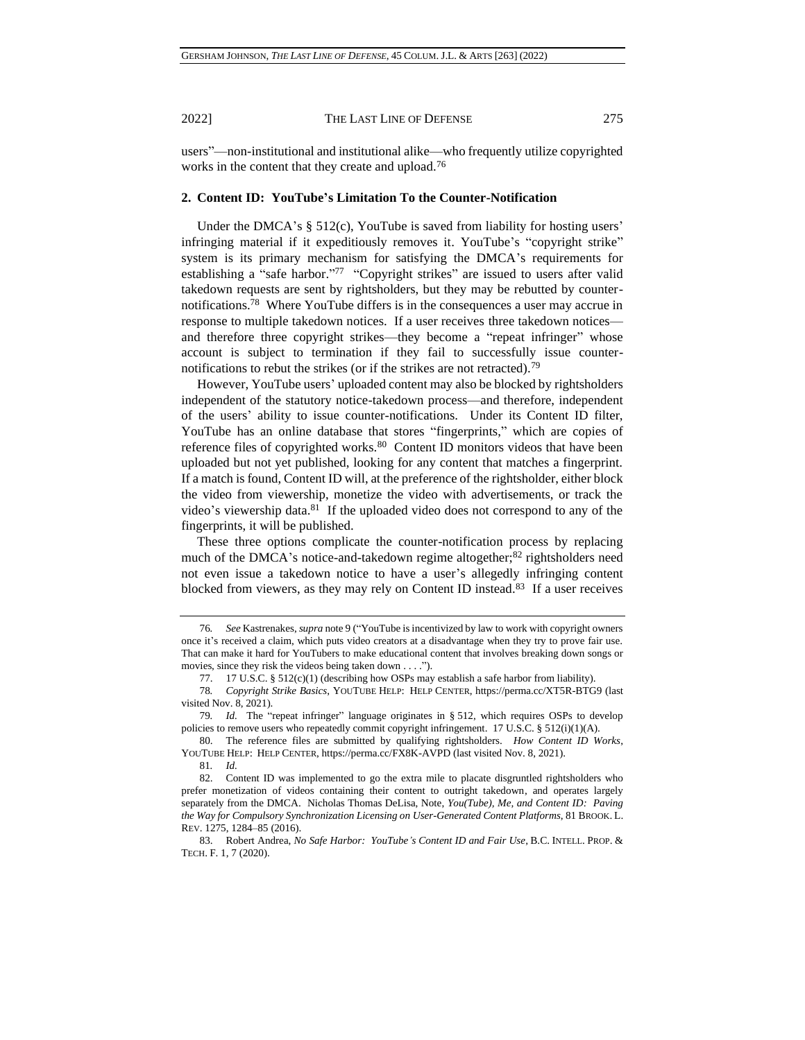users"—non-institutional and institutional alike—who frequently utilize copyrighted works in the content that they create and upload.<sup>76</sup>

## **2. Content ID: YouTube's Limitation To the Counter-Notification**

Under the DMCA's  $\S$  512(c), YouTube is saved from liability for hosting users' infringing material if it expeditiously removes it. YouTube's "copyright strike" system is its primary mechanism for satisfying the DMCA's requirements for establishing a "safe harbor."<sup>77</sup> "Copyright strikes" are issued to users after valid takedown requests are sent by rightsholders, but they may be rebutted by counternotifications.<sup>78</sup> Where YouTube differs is in the consequences a user may accrue in response to multiple takedown notices. If a user receives three takedown notices and therefore three copyright strikes—they become a "repeat infringer" whose account is subject to termination if they fail to successfully issue counternotifications to rebut the strikes (or if the strikes are not retracted).<sup>79</sup>

However, YouTube users' uploaded content may also be blocked by rightsholders independent of the statutory notice-takedown process—and therefore, independent of the users' ability to issue counter-notifications. Under its Content ID filter, YouTube has an online database that stores "fingerprints," which are copies of reference files of copyrighted works.<sup>80</sup> Content ID monitors videos that have been uploaded but not yet published, looking for any content that matches a fingerprint. If a match is found, Content ID will, at the preference of the rightsholder, either block the video from viewership, monetize the video with advertisements, or track the video's viewership data.<sup>81</sup> If the uploaded video does not correspond to any of the fingerprints, it will be published.

These three options complicate the counter-notification process by replacing much of the DMCA's notice-and-takedown regime altogether;<sup>82</sup> rightsholders need not even issue a takedown notice to have a user's allegedly infringing content blocked from viewers, as they may rely on Content ID instead.<sup>83</sup> If a user receives

80. The reference files are submitted by qualifying rightsholders. *How Content ID Works*, YOUTUBE HELP: HELP CENTER, https://perma.cc/FX8K-AVPD (last visited Nov. 8, 2021).

81*. Id.*

<sup>76</sup>*. See* Kastrenakes, *supra* note [9](#page-1-1) ("YouTube is incentivized by law to work with copyright owners once it's received a claim, which puts video creators at a disadvantage when they try to prove fair use. That can make it hard for YouTubers to make educational content that involves breaking down songs or movies, since they risk the videos being taken down . . . .").

<span id="page-12-0"></span><sup>77.</sup> 17 U.S.C. § 512(c)(1) (describing how OSPs may establish a safe harbor from liability).

<sup>78</sup>*. Copyright Strike Basics*, YOUTUBE HELP: HELP CENTER, https://perma.cc/XT5R-BTG9 (last visited Nov. 8, 2021).

<sup>79</sup>*. Id.* The "repeat infringer" language originates in § 512, which requires OSPs to develop policies to remove users who repeatedly commit copyright infringement. 17 U.S.C. § 512(i)(1)(A).

<sup>82.</sup> Content ID was implemented to go the extra mile to placate disgruntled rightsholders who prefer monetization of videos containing their content to outright takedown, and operates largely separately from the DMCA. Nicholas Thomas DeLisa, Note, *You(Tube), Me, and Content ID: Paving the Way for Compulsory Synchronization Licensing on User-Generated Content Platforms*, 81 BROOK. L. REV. 1275, 1284–85 (2016).

<sup>83.</sup> Robert Andrea, *No Safe Harbor: YouTube's Content ID and Fair Use*, B.C. INTELL. PROP. & TECH. F. 1, 7 (2020).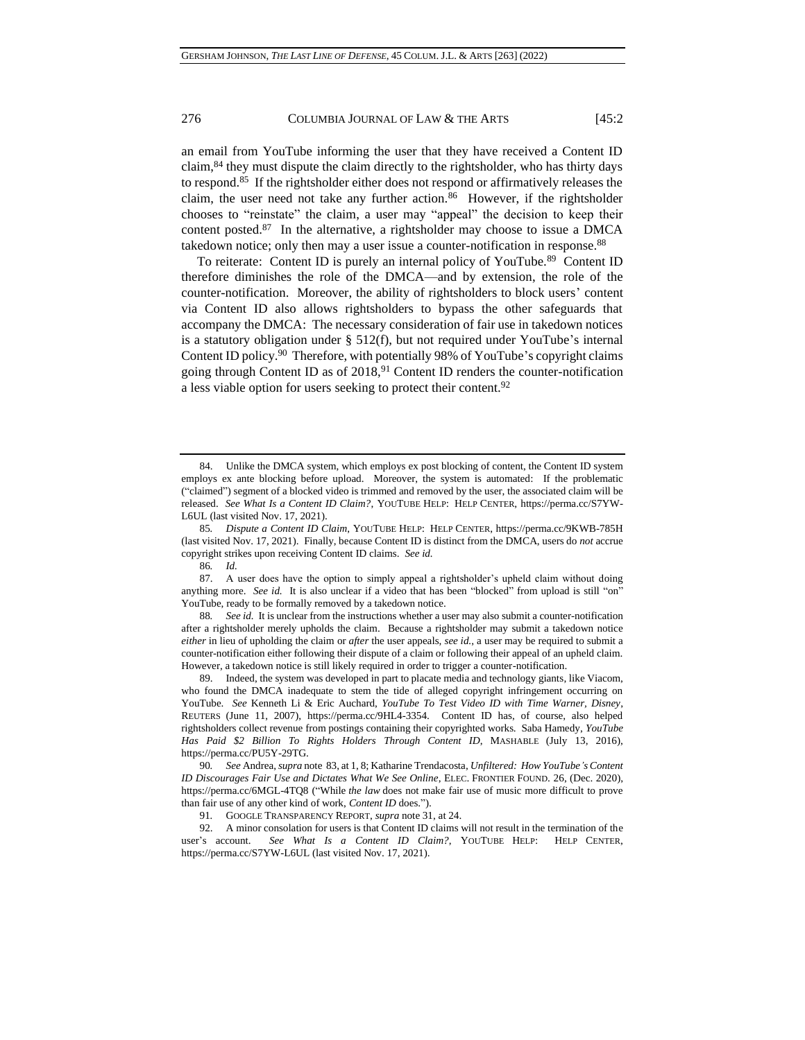an email from YouTube informing the user that they have received a Content ID claim,<sup>84</sup> they must dispute the claim directly to the rightsholder, who has thirty days to respond.<sup>85</sup> If the rightsholder either does not respond or affirmatively releases the claim, the user need not take any further action.<sup>86</sup> However, if the rightsholder chooses to "reinstate" the claim, a user may "appeal" the decision to keep their content posted.<sup>87</sup> In the alternative, a rightsholder may choose to issue a DMCA takedown notice; only then may a user issue a counter-notification in response.<sup>88</sup>

<span id="page-13-0"></span>To reiterate: Content ID is purely an internal policy of YouTube.<sup>89</sup> Content ID therefore diminishes the role of the DMCA—and by extension, the role of the counter-notification. Moreover, the ability of rightsholders to block users' content via Content ID also allows rightsholders to bypass the other safeguards that accompany the DMCA: The necessary consideration of fair use in takedown notices is a statutory obligation under § 512(f), but not required under YouTube's internal Content ID policy.<sup>90</sup> Therefore, with potentially 98% of YouTube's copyright claims going through Content ID as of 2018,<sup>91</sup> Content ID renders the counter-notification a less viable option for users seeking to protect their content.<sup>92</sup>

See id. It is unclear from the instructions whether a user may also submit a counter-notification after a rightsholder merely upholds the claim. Because a rightsholder may submit a takedown notice *either* in lieu of upholding the claim or *after* the user appeals, *see id.*, a user may be required to submit a counter-notification either following their dispute of a claim or following their appeal of an upheld claim. However, a takedown notice is still likely required in order to trigger a counter-notification.

89. Indeed, the system was developed in part to placate media and technology giants, like Viacom, who found the DMCA inadequate to stem the tide of alleged copyright infringement occurring on YouTube. *See* Kenneth Li & Eric Auchard, *YouTube To Test Video ID with Time Warner, Disney*, REUTERS (June 11, 2007), https://perma.cc/9HL4-3354. Content ID has, of course, also helped rightsholders collect revenue from postings containing their copyrighted works. Saba Hamedy, *YouTube Has Paid \$2 Billion To Rights Holders Through Content ID*, MASHABLE (July 13, 2016), https://perma.cc/PU5Y-29TG.

90*. See* Andrea, *supra* note [83,](#page-12-0) at 1, 8; Katharine Trendacosta, *Unfiltered: How YouTube's Content ID Discourages Fair Use and Dictates What We See Online*, ELEC. FRONTIER FOUND. 26, (Dec. 2020), https://perma.cc/6MGL-4TQ8 ("While *the law* does not make fair use of music more difficult to prove than fair use of any other kind of work, *Content ID* does.").

91*.* GOOGLE TRANSPARENCY REPORT, *supra* note [31,](#page-5-0) at 24.

92. A minor consolation for users is that Content ID claims will not result in the termination of the user's account. *See What Is a Content ID Claim?*, YOUTUBE HELP: HELP CENTER, https://perma.cc/S7YW-L6UL (last visited Nov. 17, 2021).

<sup>84.</sup> Unlike the DMCA system, which employs ex post blocking of content, the Content ID system employs ex ante blocking before upload. Moreover, the system is automated: If the problematic ("claimed") segment of a blocked video is trimmed and removed by the user, the associated claim will be released. *See What Is a Content ID Claim?*, YOUTUBE HELP: HELP CENTER, https://perma.cc/S7YW-L6UL (last visited Nov. 17, 2021).

<sup>85</sup>*. Dispute a Content ID Claim*, YOUTUBE HELP: HELP CENTER, https://perma.cc/9KWB-785H (last visited Nov. 17, 2021). Finally, because Content ID is distinct from the DMCA, users do *not* accrue copyright strikes upon receiving Content ID claims. *See id.*

<sup>86</sup>*. Id.*

<sup>87.</sup> A user does have the option to simply appeal a rightsholder's upheld claim without doing anything more. *See id.* It is also unclear if a video that has been "blocked" from upload is still "on" YouTube, ready to be formally removed by a takedown notice.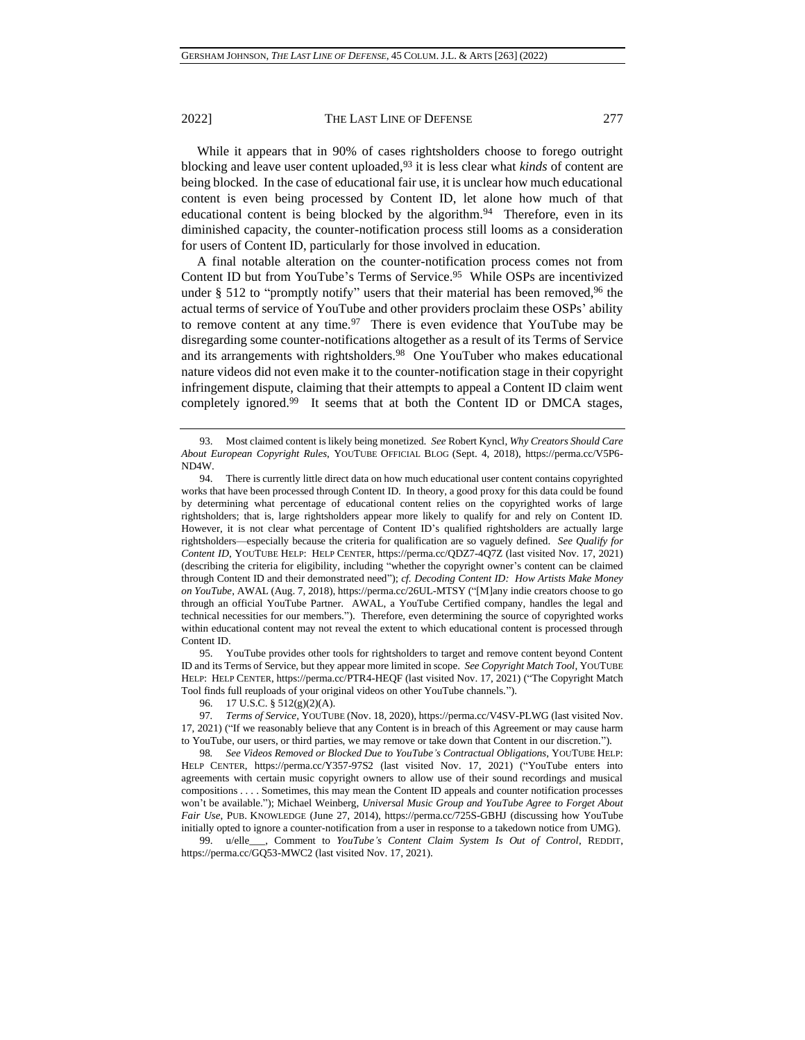While it appears that in 90% of cases rightsholders choose to forego outright blocking and leave user content uploaded,<sup>93</sup> it is less clear what *kinds* of content are being blocked. In the case of educational fair use, it is unclear how much educational content is even being processed by Content ID, let alone how much of that educational content is being blocked by the algorithm.<sup>94</sup> Therefore, even in its diminished capacity, the counter-notification process still looms as a consideration for users of Content ID, particularly for those involved in education.

A final notable alteration on the counter-notification process comes not from Content ID but from YouTube's Terms of Service.<sup>95</sup> While OSPs are incentivized under  $\S$  512 to "promptly notify" users that their material has been removed,  $96$  the actual terms of service of YouTube and other providers proclaim these OSPs' ability to remove content at any time.<sup>97</sup> There is even evidence that YouTube may be disregarding some counter-notifications altogether as a result of its Terms of Service and its arrangements with rightsholders.<sup>98</sup> One YouTuber who makes educational nature videos did not even make it to the counter-notification stage in their copyright infringement dispute, claiming that their attempts to appeal a Content ID claim went completely ignored.<sup>99</sup> It seems that at both the Content ID or DMCA stages,

95. YouTube provides other tools for rightsholders to target and remove content beyond Content ID and its Terms of Service, but they appear more limited in scope. *See Copyright Match Tool*, YOUTUBE HELP: HELP CENTER, https://perma.cc/PTR4-HEQF (last visited Nov. 17, 2021) ("The Copyright Match Tool finds full reuploads of your original videos on other YouTube channels.").

<span id="page-14-0"></span><sup>93.</sup> Most claimed content is likely being monetized. *See* Robert Kyncl, *Why Creators Should Care About European Copyright Rules*, YOUTUBE OFFICIAL BLOG (Sept. 4, 2018), https://perma.cc/V5P6- ND4W.

<sup>94.</sup> There is currently little direct data on how much educational user content contains copyrighted works that have been processed through Content ID. In theory, a good proxy for this data could be found by determining what percentage of educational content relies on the copyrighted works of large rightsholders; that is, large rightsholders appear more likely to qualify for and rely on Content ID. However, it is not clear what percentage of Content ID's qualified rightsholders are actually large rightsholders—especially because the criteria for qualification are so vaguely defined. *See Qualify for Content ID*, YOUTUBE HELP: HELP CENTER, https://perma.cc/QDZ7-4Q7Z (last visited Nov. 17, 2021) (describing the criteria for eligibility, including "whether the copyright owner's content can be claimed through Content ID and their demonstrated need"); *cf. Decoding Content ID: How Artists Make Money on YouTube*, AWAL (Aug. 7, 2018), https://perma.cc/26UL-MTSY ("[M]any indie creators choose to go through an official YouTube Partner. AWAL, a YouTube Certified company, handles the legal and technical necessities for our members."). Therefore, even determining the source of copyrighted works within educational content may not reveal the extent to which educational content is processed through Content ID.

<sup>96.</sup> 17 U.S.C. § 512(g)(2)(A).

<sup>97</sup>*. Terms of Service*, YOUTUBE (Nov. 18, 2020), https://perma.cc/V4SV-PLWG (last visited Nov. 17, 2021) ("If we reasonably believe that any Content is in breach of this Agreement or may cause harm to YouTube, our users, or third parties, we may remove or take down that Content in our discretion.").

<sup>98</sup>*. See Videos Removed or Blocked Due to YouTube's Contractual Obligations*, YOUTUBE HELP: HELP CENTER, https://perma.cc/Y357-97S2 (last visited Nov. 17, 2021) ("YouTube enters into agreements with certain music copyright owners to allow use of their sound recordings and musical compositions . . . . Sometimes, this may mean the Content ID appeals and counter notification processes won't be available."); Michael Weinberg, *Universal Music Group and YouTube Agree to Forget About Fair Use*, PUB. KNOWLEDGE (June 27, 2014), https://perma.cc/725S-GBHJ (discussing how YouTube initially opted to ignore a counter-notification from a user in response to a takedown notice from UMG).

<sup>99.</sup> u/elle\_\_\_, Comment to *YouTube's Content Claim System Is Out of Control*, REDDIT, https://perma.cc/GQ53-MWC2 (last visited Nov. 17, 2021).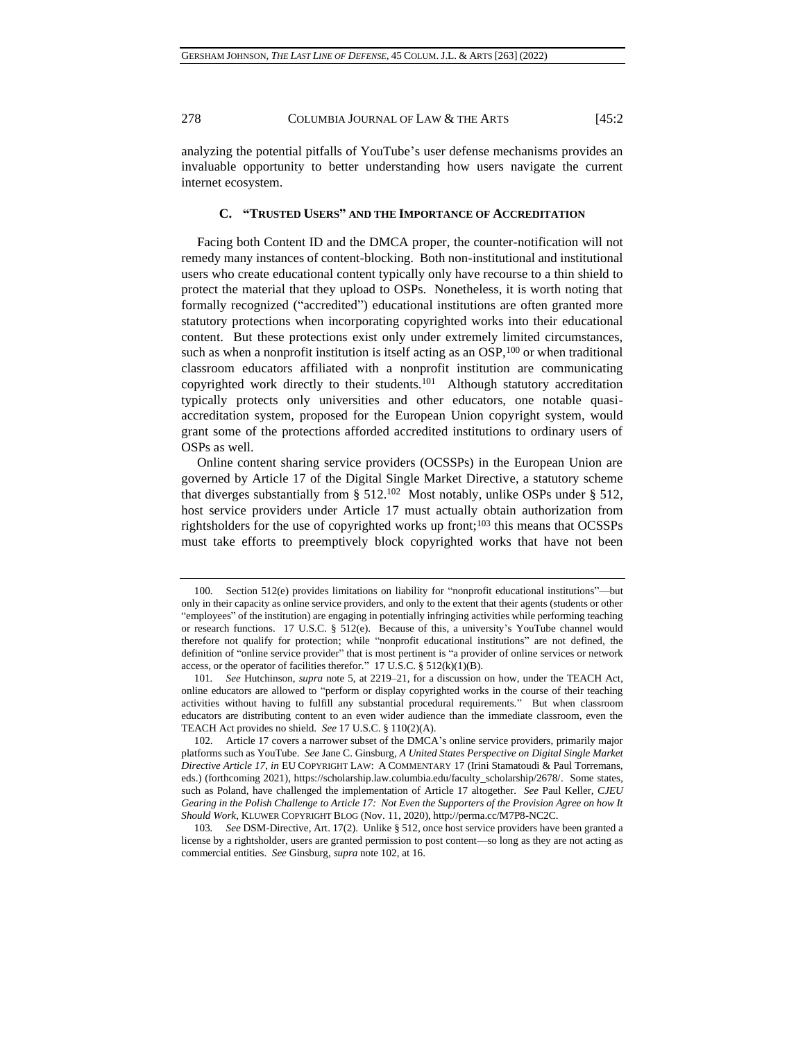analyzing the potential pitfalls of YouTube's user defense mechanisms provides an invaluable opportunity to better understanding how users navigate the current internet ecosystem.

## **C. "TRUSTED USERS" AND THE IMPORTANCE OF ACCREDITATION**

Facing both Content ID and the DMCA proper, the counter-notification will not remedy many instances of content-blocking. Both non-institutional and institutional users who create educational content typically only have recourse to a thin shield to protect the material that they upload to OSPs. Nonetheless, it is worth noting that formally recognized ("accredited") educational institutions are often granted more statutory protections when incorporating copyrighted works into their educational content. But these protections exist only under extremely limited circumstances, such as when a nonprofit institution is itself acting as an OSP,<sup>100</sup> or when traditional classroom educators affiliated with a nonprofit institution are communicating copyrighted work directly to their students.<sup>101</sup> Although statutory accreditation typically protects only universities and other educators, one notable quasiaccreditation system, proposed for the European Union copyright system, would grant some of the protections afforded accredited institutions to ordinary users of OSPs as well.

<span id="page-15-0"></span>Online content sharing service providers (OCSSPs) in the European Union are governed by Article 17 of the Digital Single Market Directive, a statutory scheme that diverges substantially from  $\S 512$ .<sup>102</sup> Most notably, unlike OSPs under  $\S 512$ , host service providers under Article 17 must actually obtain authorization from rightsholders for the use of copyrighted works up front; $103$  this means that OCSSPs must take efforts to preemptively block copyrighted works that have not been

<sup>100.</sup> Section 512(e) provides limitations on liability for "nonprofit educational institutions"—but only in their capacity as online service providers, and only to the extent that their agents (students or other "employees" of the institution) are engaging in potentially infringing activities while performing teaching or research functions. 17 U.S.C. § 512(e). Because of this, a university's YouTube channel would therefore not qualify for protection; while "nonprofit educational institutions" are not defined, the definition of "online service provider" that is most pertinent is "a provider of online services or network access, or the operator of facilities therefor." 17 U.S.C.  $\S$  512(k)(1)(B).

<sup>101</sup>*. See* Hutchinson, *supra* note [5,](#page-1-2) at 2219–21, for a discussion on how, under the TEACH Act, online educators are allowed to "perform or display copyrighted works in the course of their teaching activities without having to fulfill any substantial procedural requirements." But when classroom educators are distributing content to an even wider audience than the immediate classroom, even the TEACH Act provides no shield. *See* 17 U.S.C. § 110(2)(A).

<sup>102.</sup> Article 17 covers a narrower subset of the DMCA's online service providers, primarily major platforms such as YouTube. *See* Jane C. Ginsburg, *A United States Perspective on Digital Single Market Directive Article 17*, *in* EU COPYRIGHT LAW: A COMMENTARY 17 (Irini Stamatoudi & Paul Torremans, eds.) (forthcoming 2021), https://scholarship.law.columbia.edu/faculty\_scholarship/2678/. Some states, such as Poland, have challenged the implementation of Article 17 altogether. *See* Paul Keller, *CJEU Gearing in the Polish Challenge to Article 17: Not Even the Supporters of the Provision Agree on how It Should Work*, KLUWER COPYRIGHT BLOG (Nov. 11, 2020), http://perma.cc/M7P8-NC2C.

<sup>103</sup>*. See* DSM-Directive, Art. 17(2). Unlike § 512, once host service providers have been granted a license by a rightsholder, users are granted permission to post content—so long as they are not acting as commercial entities. *See* Ginsburg, *supra* note [102,](#page-15-0) at 16.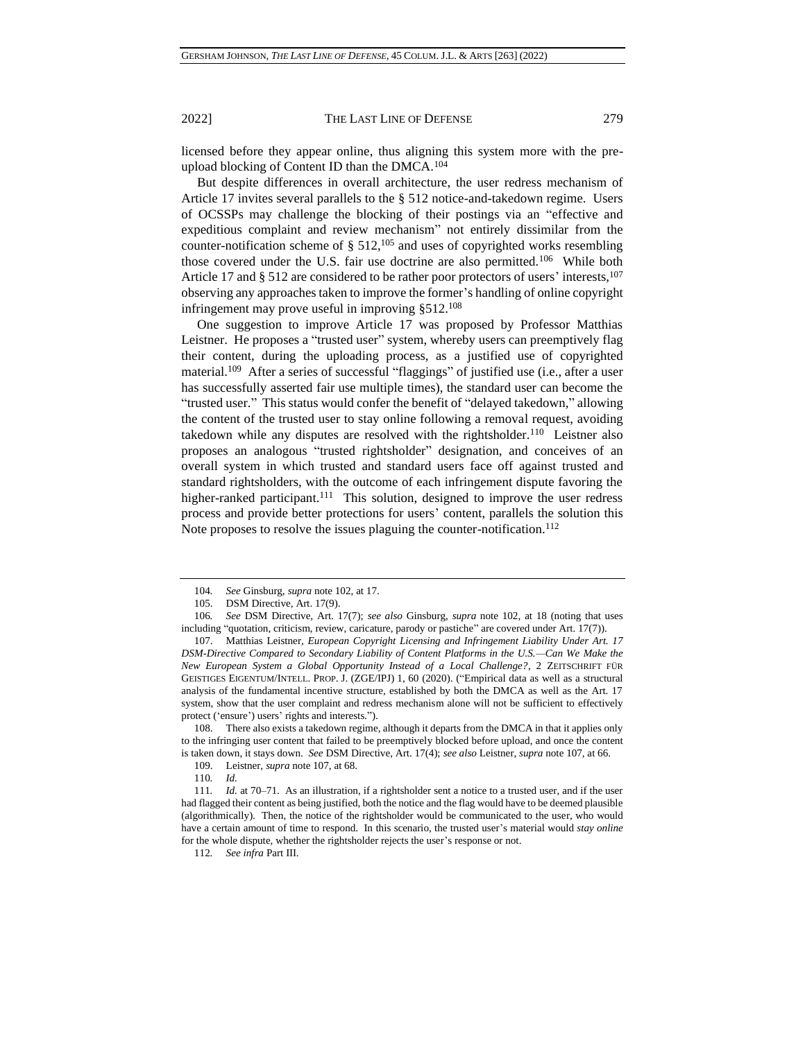<span id="page-16-0"></span>

licensed before they appear online, thus aligning this system more with the preupload blocking of Content ID than the DMCA.<sup>104</sup>

But despite differences in overall architecture, the user redress mechanism of Article 17 invites several parallels to the § 512 notice-and-takedown regime. Users of OCSSPs may challenge the blocking of their postings via an "effective and expeditious complaint and review mechanism" not entirely dissimilar from the counter-notification scheme of  $\S$  512,<sup>105</sup> and uses of copyrighted works resembling those covered under the U.S. fair use doctrine are also permitted.<sup>106</sup> While both Article 17 and § 512 are considered to be rather poor protectors of users' interests,<sup>107</sup> observing any approaches taken to improve the former's handling of online copyright infringement may prove useful in improving §512.<sup>108</sup>

One suggestion to improve Article 17 was proposed by Professor Matthias Leistner. He proposes a "trusted user" system, whereby users can preemptively flag their content, during the uploading process, as a justified use of copyrighted material.<sup>109</sup> After a series of successful "flaggings" of justified use (i.e., after a user has successfully asserted fair use multiple times), the standard user can become the "trusted user." This status would confer the benefit of "delayed takedown," allowing the content of the trusted user to stay online following a removal request, avoiding takedown while any disputes are resolved with the rightsholder.<sup>110</sup> Leistner also proposes an analogous "trusted rightsholder" designation, and conceives of an overall system in which trusted and standard users face off against trusted and standard rightsholders, with the outcome of each infringement dispute favoring the higher-ranked participant.<sup>111</sup> This solution, designed to improve the user redress process and provide better protections for users' content, parallels the solution this Note proposes to resolve the issues plaguing the counter-notification.<sup>112</sup>

108. There also exists a takedown regime, although it departs from the DMCA in that it applies only to the infringing user content that failed to be preemptively blocked before upload, and once the content is taken down, it stays down. *See* DSM Directive, Art. 17(4); *see also* Leistner, *supra* note [107,](#page-16-0) at 66.

112*. See infra* Part III.

<sup>104</sup>*. See* Ginsburg, *supra* note [102,](#page-15-0) at 17.

<sup>105.</sup> DSM Directive, Art. 17(9).

<sup>106</sup>*. See* DSM Directive, Art. 17(7); *see also* Ginsburg, *supra* note [102,](#page-15-0) at 18 (noting that uses including "quotation, criticism, review, caricature, parody or pastiche" are covered under Art. 17(7)).

<sup>107.</sup> Matthias Leistner, *European Copyright Licensing and Infringement Liability Under Art. 17 DSM-Directive Compared to Secondary Liability of Content Platforms in the U.S.—Can We Make the New European System a Global Opportunity Instead of a Local Challenge?*, 2 ZEITSCHRIFT FÜR GEISTIGES EIGENTUM/INTELL. PROP. J. (ZGE/IPJ) 1, 60 (2020). ("Empirical data as well as a structural analysis of the fundamental incentive structure, established by both the DMCA as well as the Art. 17 system, show that the user complaint and redress mechanism alone will not be sufficient to effectively protect ('ensure') users' rights and interests.").

<sup>109.</sup> Leistner, *supra* not[e 107,](#page-16-0) at 68.

<sup>110</sup>*. Id.*

<sup>111</sup>*. Id.* at 70–71. As an illustration, if a rightsholder sent a notice to a trusted user, and if the user had flagged their content as being justified, both the notice and the flag would have to be deemed plausible (algorithmically). Then, the notice of the rightsholder would be communicated to the user, who would have a certain amount of time to respond. In this scenario, the trusted user's material would *stay online* for the whole dispute, whether the rightsholder rejects the user's response or not.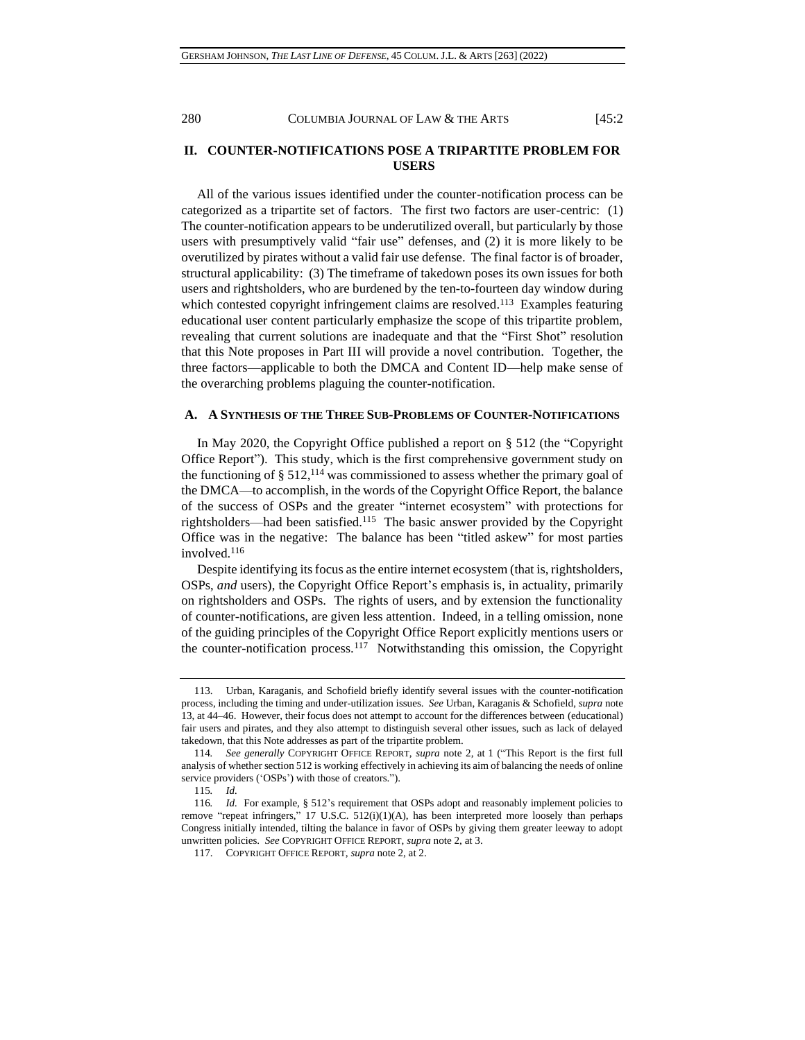# **II. COUNTER-NOTIFICATIONS POSE A TRIPARTITE PROBLEM FOR USERS**

All of the various issues identified under the counter-notification process can be categorized as a tripartite set of factors. The first two factors are user-centric: (1) The counter-notification appears to be underutilized overall, but particularly by those users with presumptively valid "fair use" defenses, and (2) it is more likely to be overutilized by pirates without a valid fair use defense. The final factor is of broader, structural applicability: (3) The timeframe of takedown poses its own issues for both users and rightsholders, who are burdened by the ten-to-fourteen day window during which contested copyright infringement claims are resolved.<sup>113</sup> Examples featuring educational user content particularly emphasize the scope of this tripartite problem, revealing that current solutions are inadequate and that the "First Shot" resolution that this Note proposes in Part III will provide a novel contribution. Together, the three factors—applicable to both the DMCA and Content ID—help make sense of the overarching problems plaguing the counter-notification.

#### **A. A SYNTHESIS OF THE THREE SUB-PROBLEMS OF COUNTER-NOTIFICATIONS**

In May 2020, the Copyright Office published a report on § 512 (the "Copyright Office Report"). This study, which is the first comprehensive government study on the functioning of  $\S 512$ , <sup>114</sup> was commissioned to assess whether the primary goal of the DMCA—to accomplish, in the words of the Copyright Office Report, the balance of the success of OSPs and the greater "internet ecosystem" with protections for rightsholders—had been satisfied.<sup>115</sup> The basic answer provided by the Copyright Office was in the negative: The balance has been "titled askew" for most parties involved.<sup>116</sup>

Despite identifying its focus as the entire internet ecosystem (that is, rightsholders, OSPs, *and* users), the Copyright Office Report's emphasis is, in actuality, primarily on rightsholders and OSPs. The rights of users, and by extension the functionality of counter-notifications, are given less attention. Indeed, in a telling omission, none of the guiding principles of the Copyright Office Report explicitly mentions users or the counter-notification process.<sup>117</sup> Notwithstanding this omission, the Copyright

<sup>113.</sup> Urban, Karaganis, and Schofield briefly identify several issues with the counter-notification process, including the timing and under-utilization issues. *See* Urban, Karaganis & Schofield, *supra* note [13,](#page-2-0) at 44–46. However, their focus does not attempt to account for the differences between (educational) fair users and pirates, and they also attempt to distinguish several other issues, such as lack of delayed takedown, that this Note addresses as part of the tripartite problem.

<sup>114</sup>*. See generally* COPYRIGHT OFFICE REPORT, *supra* note [2,](#page-0-0) at 1 ("This Report is the first full analysis of whether section 512 is working effectively in achieving its aim of balancing the needs of online service providers ('OSPs') with those of creators.").

<sup>115</sup>*. Id.*

<sup>116</sup>*. Id.* For example, § 512's requirement that OSPs adopt and reasonably implement policies to remove "repeat infringers," 17 U.S.C. 512(i)(1)(A), has been interpreted more loosely than perhaps Congress initially intended, tilting the balance in favor of OSPs by giving them greater leeway to adopt unwritten policies. *See* COPYRIGHT OFFICE REPORT, *supra* note [2,](#page-0-0) at 3.

<sup>117.</sup> COPYRIGHT OFFICE REPORT, *supra* note [2,](#page-0-0) at 2.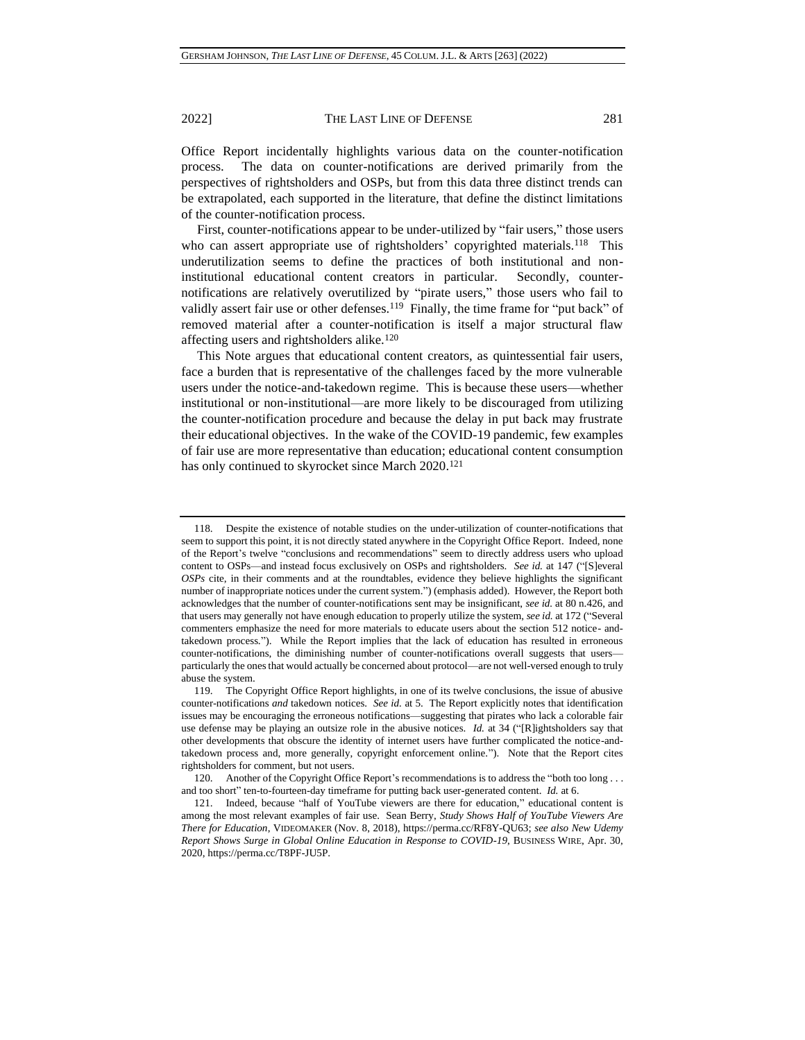Office Report incidentally highlights various data on the counter-notification process. The data on counter-notifications are derived primarily from the perspectives of rightsholders and OSPs, but from this data three distinct trends can be extrapolated, each supported in the literature, that define the distinct limitations of the counter-notification process.

First, counter-notifications appear to be under-utilized by "fair users," those users who can assert appropriate use of rightsholders' copyrighted materials.<sup>118</sup> This underutilization seems to define the practices of both institutional and noninstitutional educational content creators in particular. Secondly, counternotifications are relatively overutilized by "pirate users," those users who fail to validly assert fair use or other defenses.<sup>119</sup> Finally, the time frame for "put back" of removed material after a counter-notification is itself a major structural flaw affecting users and rightsholders alike.<sup>120</sup>

This Note argues that educational content creators, as quintessential fair users, face a burden that is representative of the challenges faced by the more vulnerable users under the notice-and-takedown regime. This is because these users—whether institutional or non-institutional—are more likely to be discouraged from utilizing the counter-notification procedure and because the delay in put back may frustrate their educational objectives. In the wake of the COVID-19 pandemic, few examples of fair use are more representative than education; educational content consumption has only continued to skyrocket since March 2020.<sup>121</sup>

<sup>118.</sup> Despite the existence of notable studies on the under-utilization of counter-notifications that seem to support this point, it is not directly stated anywhere in the Copyright Office Report. Indeed, none of the Report's twelve "conclusions and recommendations" seem to directly address users who upload content to OSPs—and instead focus exclusively on OSPs and rightsholders. *See id.* at 147 ("[S]everal *OSPs* cite, in their comments and at the roundtables, evidence they believe highlights the significant number of inappropriate notices under the current system.") (emphasis added). However, the Report both acknowledges that the number of counter-notifications sent may be insignificant, *see id.* at 80 n.426, and that users may generally not have enough education to properly utilize the system, *see id.* at 172 ("Several commenters emphasize the need for more materials to educate users about the section 512 notice- andtakedown process."). While the Report implies that the lack of education has resulted in erroneous counter-notifications, the diminishing number of counter-notifications overall suggests that users particularly the ones that would actually be concerned about protocol—are not well-versed enough to truly abuse the system.

<sup>119.</sup> The Copyright Office Report highlights, in one of its twelve conclusions, the issue of abusive counter-notifications *and* takedown notices. *See id.* at 5. The Report explicitly notes that identification issues may be encouraging the erroneous notifications—suggesting that pirates who lack a colorable fair use defense may be playing an outsize role in the abusive notices. *Id.* at 34 ("[R]ightsholders say that other developments that obscure the identity of internet users have further complicated the notice-andtakedown process and, more generally, copyright enforcement online."). Note that the Report cites rightsholders for comment, but not users.

<sup>120.</sup> Another of the Copyright Office Report's recommendations is to address the "both too long . . . and too short" ten-to-fourteen-day timeframe for putting back user-generated content. *Id.* at 6.

<sup>121.</sup> Indeed, because "half of YouTube viewers are there for education," educational content is among the most relevant examples of fair use. Sean Berry, *Study Shows Half of YouTube Viewers Are There for Education*, VIDEOMAKER (Nov. 8, 2018), https://perma.cc/RF8Y-QU63; *see also New Udemy Report Shows Surge in Global Online Education in Response to COVID-19*, BUSINESS WIRE, Apr. 30, 2020, https://perma.cc/T8PF-JU5P.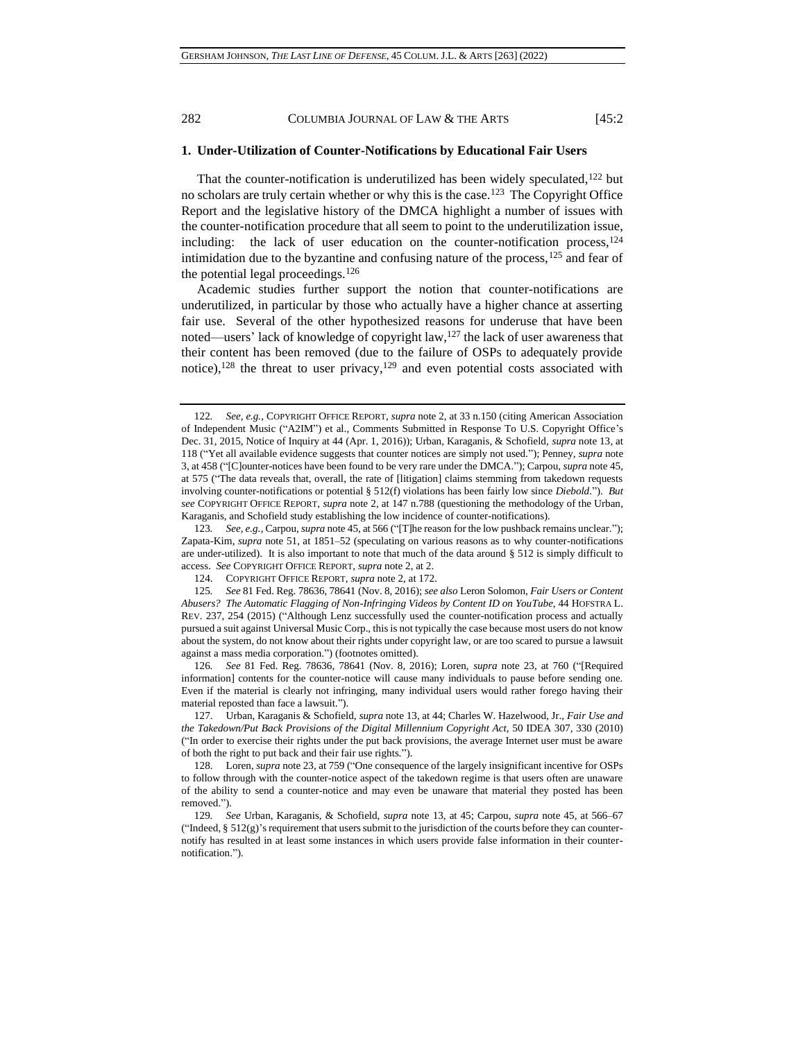**1. Under-Utilization of Counter-Notifications by Educational Fair Users**

That the counter-notification is underutilized has been widely speculated, $122$  but no scholars are truly certain whether or why this is the case.<sup>123</sup> The Copyright Office Report and the legislative history of the DMCA highlight a number of issues with the counter-notification procedure that all seem to point to the underutilization issue, including: the lack of user education on the counter-notification process,  $^{124}$ intimidation due to the byzantine and confusing nature of the process,  $125$  and fear of the potential legal proceedings.<sup>126</sup>

<span id="page-19-0"></span>Academic studies further support the notion that counter-notifications are underutilized, in particular by those who actually have a higher chance at asserting fair use. Several of the other hypothesized reasons for underuse that have been noted—users' lack of knowledge of copyright law,<sup>127</sup> the lack of user awareness that their content has been removed (due to the failure of OSPs to adequately provide notice),<sup>128</sup> the threat to user privacy,<sup>129</sup> and even potential costs associated with

123*. See, e.g.*, Carpou, *supra* not[e 45,](#page-7-1) at 566 ("[T]he reason for the low pushback remains unclear."); Zapata-Kim, *supra* note [51,](#page-8-0) at 1851–52 (speculating on various reasons as to why counter-notifications are under-utilized). It is also important to note that much of the data around § 512 is simply difficult to access. *See* COPYRIGHT OFFICE REPORT, *supra* note [2,](#page-0-0) at 2.

126*. See* 81 Fed. Reg. 78636, 78641 (Nov. 8, 2016); Loren, *supra* note [23,](#page-4-0) at 760 ("[Required information] contents for the counter-notice will cause many individuals to pause before sending one. Even if the material is clearly not infringing, many individual users would rather forego having their material reposted than face a lawsuit.").

<sup>122</sup>*. See, e.g.*, COPYRIGHT OFFICE REPORT, *supra* note [2,](#page-0-0) at 33 n.150 (citing American Association of Independent Music ("A2IM") et al., Comments Submitted in Response To U.S. Copyright Office's Dec. 31, 2015, Notice of Inquiry at 44 (Apr. 1, 2016)); Urban, Karaganis, & Schofield, *supra* note [13,](#page-2-0) at 118 ("Yet all available evidence suggests that counter notices are simply not used."); Penney, *supra* note [3,](#page-0-1) at 458 ("[C]ounter-notices have been found to be very rare under the DMCA."); Carpou, *supra* not[e 45,](#page-7-1) at 575 ("The data reveals that, overall, the rate of [litigation] claims stemming from takedown requests involving counter-notifications or potential § 512(f) violations has been fairly low since *Diebold*."). *But see* COPYRIGHT OFFICE REPORT, *supra* note [2,](#page-0-0) at 147 n.788 (questioning the methodology of the Urban, Karaganis, and Schofield study establishing the low incidence of counter-notifications).

<sup>124.</sup> COPYRIGHT OFFICE REPORT, *supra* note [2,](#page-0-0) at 172.

<sup>125</sup>*. See* 81 Fed. Reg. 78636, 78641 (Nov. 8, 2016); *see also* Leron Solomon, *Fair Users or Content Abusers? The Automatic Flagging of Non-Infringing Videos by Content ID on YouTube*, 44 HOFSTRA L. REV. 237, 254 (2015) ("Although Lenz successfully used the counter-notification process and actually pursued a suit against Universal Music Corp., this is not typically the case because most users do not know about the system, do not know about their rights under copyright law, or are too scared to pursue a lawsuit against a mass media corporation.") (footnotes omitted).

<sup>127.</sup> Urban, Karaganis & Schofield, *supra* not[e 13,](#page-2-0) at 44; Charles W. Hazelwood, Jr., *Fair Use and the Takedown/Put Back Provisions of the Digital Millennium Copyright Act*, 50 IDEA 307, 330 (2010) ("In order to exercise their rights under the put back provisions, the average Internet user must be aware of both the right to put back and their fair use rights.").

<sup>128.</sup> Loren, *supra* not[e 23,](#page-4-0) at 759 ("One consequence of the largely insignificant incentive for OSPs to follow through with the counter-notice aspect of the takedown regime is that users often are unaware of the ability to send a counter-notice and may even be unaware that material they posted has been removed.").

<sup>129</sup>*. See* Urban, Karaganis, & Schofield, *supra* note [13,](#page-2-0) at 45; Carpou, *supra* note [45,](#page-7-1) at 566–67 ("Indeed,  $\S$  512(g)'s requirement that users submit to the jurisdiction of the courts before they can counternotify has resulted in at least some instances in which users provide false information in their counternotification.").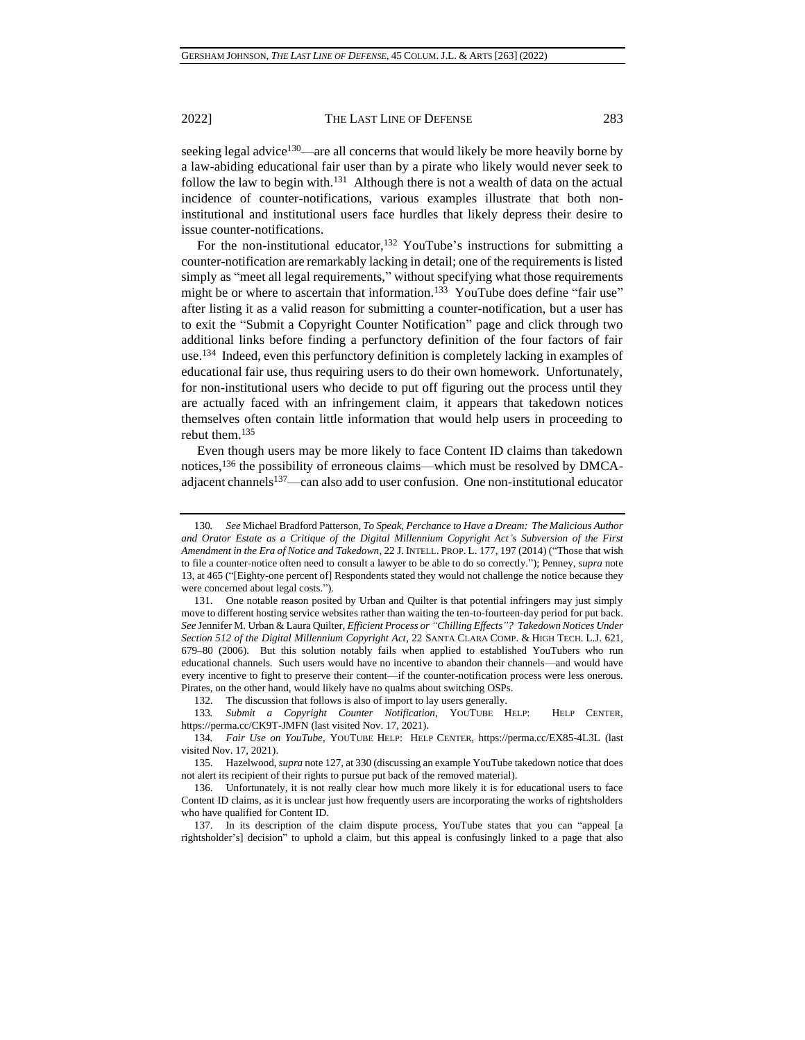seeking legal advice<sup>130</sup>—are all concerns that would likely be more heavily borne by a law-abiding educational fair user than by a pirate who likely would never seek to follow the law to begin with.<sup>131</sup> Although there is not a wealth of data on the actual incidence of counter-notifications, various examples illustrate that both noninstitutional and institutional users face hurdles that likely depress their desire to issue counter-notifications.

For the non-institutional educator,<sup>132</sup> YouTube's instructions for submitting a counter-notification are remarkably lacking in detail; one of the requirements is listed simply as "meet all legal requirements," without specifying what those requirements might be or where to ascertain that information.<sup>133</sup> YouTube does define "fair use" after listing it as a valid reason for submitting a counter-notification, but a user has to exit the "Submit a Copyright Counter Notification" page and click through two additional links before finding a perfunctory definition of the four factors of fair use.<sup>134</sup> Indeed, even this perfunctory definition is completely lacking in examples of educational fair use, thus requiring users to do their own homework. Unfortunately, for non-institutional users who decide to put off figuring out the process until they are actually faced with an infringement claim, it appears that takedown notices themselves often contain little information that would help users in proceeding to rebut them.<sup>135</sup>

Even though users may be more likely to face Content ID claims than takedown notices,<sup>136</sup> the possibility of erroneous claims—which must be resolved by DMCAadjacent channels<sup>137</sup>—can also add to user confusion. One non-institutional educator

132. The discussion that follows is also of import to lay users generally.

133*. Submit a Copyright Counter Notification*, YOUTUBE HELP: HELP CENTER, https://perma.cc/CK9T-JMFN (last visited Nov. 17, 2021).

<sup>130</sup>*. See* Michael Bradford Patterson*, To Speak, Perchance to Have a Dream: The Malicious Author and Orator Estate as a Critique of the Digital Millennium Copyright Act's Subversion of the First Amendment in the Era of Notice and Takedown*, 22 J. INTELL. PROP. L. 177, 197 (2014) ("Those that wish to file a counter-notice often need to consult a lawyer to be able to do so correctly."); Penney, *supra* note [13,](#page-2-0) at 465 ("[Eighty-one percent of] Respondents stated they would not challenge the notice because they were concerned about legal costs.").

<sup>131.</sup> One notable reason posited by Urban and Quilter is that potential infringers may just simply move to different hosting service websites rather than waiting the ten-to-fourteen-day period for put back. *See* Jennifer M. Urban & Laura Quilter, *Efficient Process or "Chilling Effects"? Takedown Notices Under Section 512 of the Digital Millennium Copyright Act*, 22 SANTA CLARA COMP. & HIGH TECH. L.J. 621, 679–80 (2006). But this solution notably fails when applied to established YouTubers who run educational channels. Such users would have no incentive to abandon their channels—and would have every incentive to fight to preserve their content—if the counter-notification process were less onerous. Pirates, on the other hand, would likely have no qualms about switching OSPs.

<sup>134</sup>*. Fair Use on YouTube*, YOUTUBE HELP: HELP CENTER, https://perma.cc/EX85-4L3L (last visited Nov. 17, 2021).

<sup>135.</sup> Hazelwood, *supra* note [127,](#page-19-0) at 330 (discussing an example YouTube takedown notice that does not alert its recipient of their rights to pursue put back of the removed material).

<sup>136.</sup> Unfortunately, it is not really clear how much more likely it is for educational users to face Content ID claims, as it is unclear just how frequently users are incorporating the works of rightsholders who have qualified for Content ID.

<sup>137.</sup> In its description of the claim dispute process, YouTube states that you can "appeal [a rightsholder's] decision" to uphold a claim, but this appeal is confusingly linked to a page that also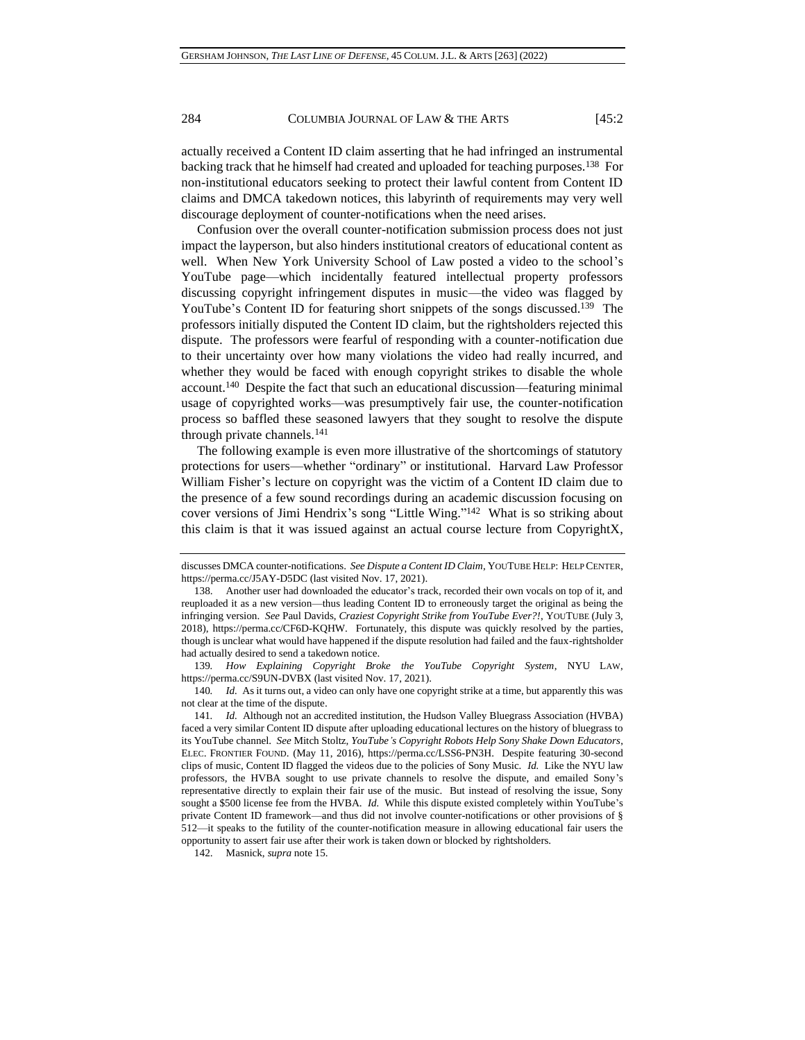actually received a Content ID claim asserting that he had infringed an instrumental backing track that he himself had created and uploaded for teaching purposes.<sup>138</sup> For non-institutional educators seeking to protect their lawful content from Content ID claims and DMCA takedown notices, this labyrinth of requirements may very well discourage deployment of counter-notifications when the need arises.

Confusion over the overall counter-notification submission process does not just impact the layperson, but also hinders institutional creators of educational content as well. When New York University School of Law posted a video to the school's YouTube page—which incidentally featured intellectual property professors discussing copyright infringement disputes in music—the video was flagged by YouTube's Content ID for featuring short snippets of the songs discussed.<sup>139</sup> The professors initially disputed the Content ID claim, but the rightsholders rejected this dispute. The professors were fearful of responding with a counter-notification due to their uncertainty over how many violations the video had really incurred, and whether they would be faced with enough copyright strikes to disable the whole account.<sup>140</sup> Despite the fact that such an educational discussion—featuring minimal usage of copyrighted works—was presumptively fair use, the counter-notification process so baffled these seasoned lawyers that they sought to resolve the dispute through private channels.<sup>141</sup>

The following example is even more illustrative of the shortcomings of statutory protections for users—whether "ordinary" or institutional. Harvard Law Professor William Fisher's lecture on copyright was the victim of a Content ID claim due to the presence of a few sound recordings during an academic discussion focusing on cover versions of Jimi Hendrix's song "Little Wing." 142 What is so striking about this claim is that it was issued against an actual course lecture from CopyrightX,

142. Masnick, *supra* not[e 15.](#page-2-1)

discusses DMCA counter-notifications. *See Dispute a Content ID Claim*, YOUTUBE HELP: HELP CENTER, https://perma.cc/J5AY-D5DC (last visited Nov. 17, 2021).

<sup>138.</sup> Another user had downloaded the educator's track, recorded their own vocals on top of it, and reuploaded it as a new version—thus leading Content ID to erroneously target the original as being the infringing version. *See* Paul Davids, *Craziest Copyright Strike from YouTube Ever?!*, YOUTUBE (July 3, 2018), https://perma.cc/CF6D-KQHW. Fortunately, this dispute was quickly resolved by the parties, though is unclear what would have happened if the dispute resolution had failed and the faux-rightsholder had actually desired to send a takedown notice.

<sup>139</sup>*. How Explaining Copyright Broke the YouTube Copyright System*, NYU LAW, https://perma.cc/S9UN-DVBX (last visited Nov. 17, 2021).

<sup>140</sup>*. Id.* As it turns out, a video can only have one copyright strike at a time, but apparently this was not clear at the time of the dispute.

<sup>141</sup>*. Id.* Although not an accredited institution, the Hudson Valley Bluegrass Association (HVBA) faced a very similar Content ID dispute after uploading educational lectures on the history of bluegrass to its YouTube channel. *See* Mitch Stoltz, *YouTube's Copyright Robots Help Sony Shake Down Educators*, ELEC. FRONTIER FOUND. (May 11, 2016), https://perma.cc/LSS6-PN3H. Despite featuring 30-second clips of music, Content ID flagged the videos due to the policies of Sony Music. *Id.* Like the NYU law professors, the HVBA sought to use private channels to resolve the dispute, and emailed Sony's representative directly to explain their fair use of the music. But instead of resolving the issue, Sony sought a \$500 license fee from the HVBA. *Id.* While this dispute existed completely within YouTube's private Content ID framework—and thus did not involve counter-notifications or other provisions of § 512—it speaks to the futility of the counter-notification measure in allowing educational fair users the opportunity to assert fair use after their work is taken down or blocked by rightsholders.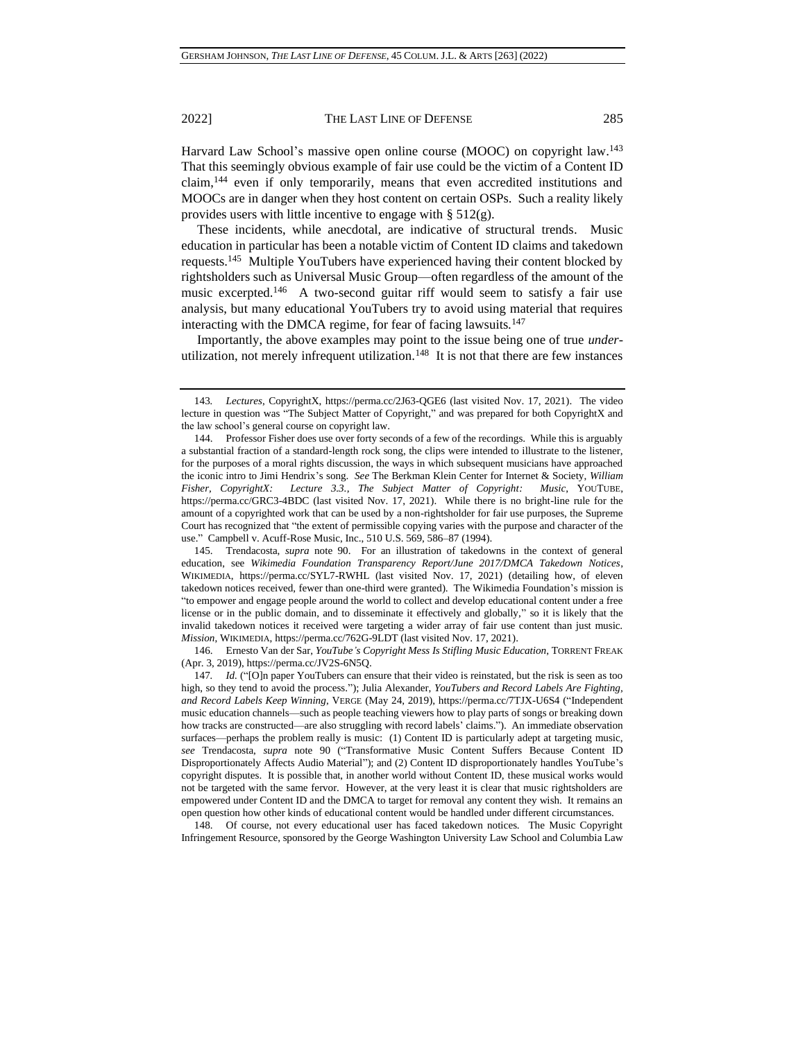Harvard Law School's massive open online course (MOOC) on copyright law.<sup>143</sup> That this seemingly obvious example of fair use could be the victim of a Content ID claim,<sup>144</sup> even if only temporarily, means that even accredited institutions and MOOCs are in danger when they host content on certain OSPs. Such a reality likely provides users with little incentive to engage with  $\S 512(g)$ .

These incidents, while anecdotal, are indicative of structural trends. Music education in particular has been a notable victim of Content ID claims and takedown requests.<sup>145</sup> Multiple YouTubers have experienced having their content blocked by rightsholders such as Universal Music Group—often regardless of the amount of the music excerpted.<sup>146</sup> A two-second guitar riff would seem to satisfy a fair use analysis, but many educational YouTubers try to avoid using material that requires interacting with the DMCA regime, for fear of facing lawsuits.<sup>147</sup>

Importantly, the above examples may point to the issue being one of true *under*utilization, not merely infrequent utilization.<sup>148</sup> It is not that there are few instances

145. Trendacosta, *supra* note [90.](#page-13-0) For an illustration of takedowns in the context of general education, see *Wikimedia Foundation Transparency Report/June 2017/DMCA Takedown Notices*, WIKIMEDIA, https://perma.cc/SYL7-RWHL (last visited Nov. 17, 2021) (detailing how, of eleven takedown notices received, fewer than one-third were granted). The Wikimedia Foundation's mission is "to empower and engage people around the world to collect and develop educational content under a free license or in the public domain, and to disseminate it effectively and globally," so it is likely that the invalid takedown notices it received were targeting a wider array of fair use content than just music. *Mission*, WIKIMEDIA, https://perma.cc/762G-9LDT (last visited Nov. 17, 2021).

148. Of course, not every educational user has faced takedown notices. The Music Copyright Infringement Resource, sponsored by the George Washington University Law School and Columbia Law

<sup>143</sup>*. Lectures*, CopyrightX, https://perma.cc/2J63-QGE6 (last visited Nov. 17, 2021). The video lecture in question was "The Subject Matter of Copyright," and was prepared for both CopyrightX and the law school's general course on copyright law.

<sup>144.</sup> Professor Fisher does use over forty seconds of a few of the recordings. While this is arguably a substantial fraction of a standard-length rock song, the clips were intended to illustrate to the listener, for the purposes of a moral rights discussion, the ways in which subsequent musicians have approached the iconic intro to Jimi Hendrix's song. *See* The Berkman Klein Center for Internet & Society, *William Fisher, CopyrightX: Lecture 3.3., The Subject Matter of Copyright: Music*, YOUTUBE, https://perma.cc/GRC3-4BDC (last visited Nov. 17, 2021). While there is no bright-line rule for the amount of a copyrighted work that can be used by a non-rightsholder for fair use purposes, the Supreme Court has recognized that "the extent of permissible copying varies with the purpose and character of the use." Campbell v. Acuff-Rose Music, Inc., 510 U.S. 569, 586–87 (1994).

<sup>146.</sup> Ernesto Van der Sar, *YouTube's Copyright Mess Is Stifling Music Education*, TORRENT FREAK (Apr. 3, 2019), https://perma.cc/JV2S-6N5Q.

<sup>147</sup>*. Id.* ("[O]n paper YouTubers can ensure that their video is reinstated, but the risk is seen as too high, so they tend to avoid the process."); Julia Alexander, *YouTubers and Record Labels Are Fighting, and Record Labels Keep Winning*, VERGE (May 24, 2019), https://perma.cc/7TJX-U6S4 ("Independent music education channels—such as people teaching viewers how to play parts of songs or breaking down how tracks are constructed—are also struggling with record labels' claims."). An immediate observation surfaces—perhaps the problem really is music: (1) Content ID is particularly adept at targeting music, *see* Trendacosta, *supra* note [90](#page-13-0) ("Transformative Music Content Suffers Because Content ID Disproportionately Affects Audio Material"); and (2) Content ID disproportionately handles YouTube's copyright disputes. It is possible that, in another world without Content ID, these musical works would not be targeted with the same fervor. However, at the very least it is clear that music rightsholders are empowered under Content ID and the DMCA to target for removal any content they wish. It remains an open question how other kinds of educational content would be handled under different circumstances.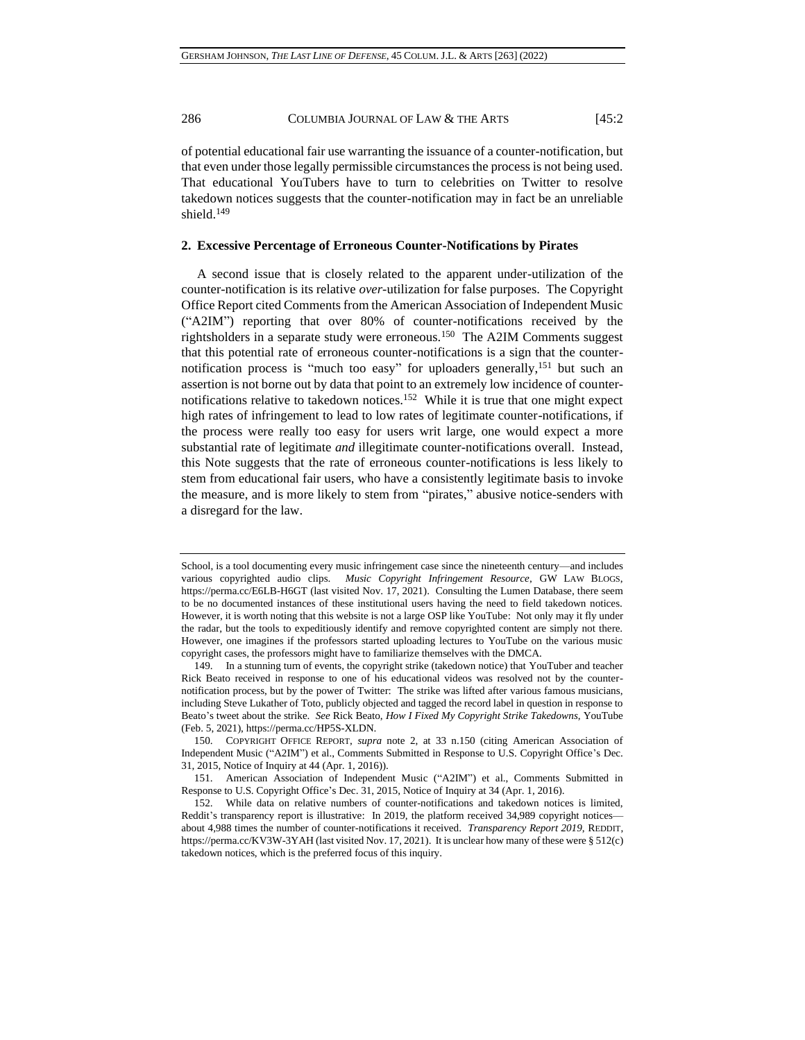of potential educational fair use warranting the issuance of a counter-notification, but that even under those legally permissible circumstances the process is not being used. That educational YouTubers have to turn to celebrities on Twitter to resolve takedown notices suggests that the counter-notification may in fact be an unreliable shield.<sup>149</sup>

## **2. Excessive Percentage of Erroneous Counter-Notifications by Pirates**

A second issue that is closely related to the apparent under-utilization of the counter-notification is its relative *over*-utilization for false purposes. The Copyright Office Report cited Comments from the American Association of Independent Music ("A2IM") reporting that over 80% of counter-notifications received by the rightsholders in a separate study were erroneous.<sup>150</sup> The A2IM Comments suggest that this potential rate of erroneous counter-notifications is a sign that the counternotification process is "much too easy" for uploaders generally,<sup>151</sup> but such an assertion is not borne out by data that point to an extremely low incidence of counternotifications relative to takedown notices.<sup>152</sup> While it is true that one might expect high rates of infringement to lead to low rates of legitimate counter-notifications, if the process were really too easy for users writ large, one would expect a more substantial rate of legitimate *and* illegitimate counter-notifications overall. Instead, this Note suggests that the rate of erroneous counter-notifications is less likely to stem from educational fair users, who have a consistently legitimate basis to invoke the measure, and is more likely to stem from "pirates," abusive notice-senders with a disregard for the law.

School, is a tool documenting every music infringement case since the nineteenth century—and includes various copyrighted audio clips. *Music Copyright Infringement Resource*, GW LAW BLOGS, https://perma.cc/E6LB-H6GT (last visited Nov. 17, 2021). Consulting the Lumen Database, there seem to be no documented instances of these institutional users having the need to field takedown notices. However, it is worth noting that this website is not a large OSP like YouTube: Not only may it fly under the radar, but the tools to expeditiously identify and remove copyrighted content are simply not there. However, one imagines if the professors started uploading lectures to YouTube on the various music copyright cases, the professors might have to familiarize themselves with the DMCA.

<sup>149.</sup> In a stunning turn of events, the copyright strike (takedown notice) that YouTuber and teacher Rick Beato received in response to one of his educational videos was resolved not by the counternotification process, but by the power of Twitter: The strike was lifted after various famous musicians, including Steve Lukather of Toto, publicly objected and tagged the record label in question in response to Beato's tweet about the strike. *See* Rick Beato, *How I Fixed My Copyright Strike Takedowns*, YouTube (Feb. 5, 2021), https://perma.cc/HP5S-XLDN.

<sup>150.</sup> COPYRIGHT OFFICE REPORT, *supra* note [2,](#page-0-0) at 33 n.150 (citing American Association of Independent Music ("A2IM") et al., Comments Submitted in Response to U.S. Copyright Office's Dec. 31, 2015, Notice of Inquiry at 44 (Apr. 1, 2016)).

<sup>151.</sup> American Association of Independent Music ("A2IM") et al., Comments Submitted in Response to U.S. Copyright Office's Dec. 31, 2015, Notice of Inquiry at 34 (Apr. 1, 2016).

<sup>152.</sup> While data on relative numbers of counter-notifications and takedown notices is limited, Reddit's transparency report is illustrative: In 2019, the platform received 34,989 copyright notices about 4,988 times the number of counter-notifications it received. *Transparency Report 2019*, REDDIT, https://perma.cc/KV3W-3YAH (last visited Nov. 17, 2021). It is unclear how many of these were § 512(c) takedown notices, which is the preferred focus of this inquiry.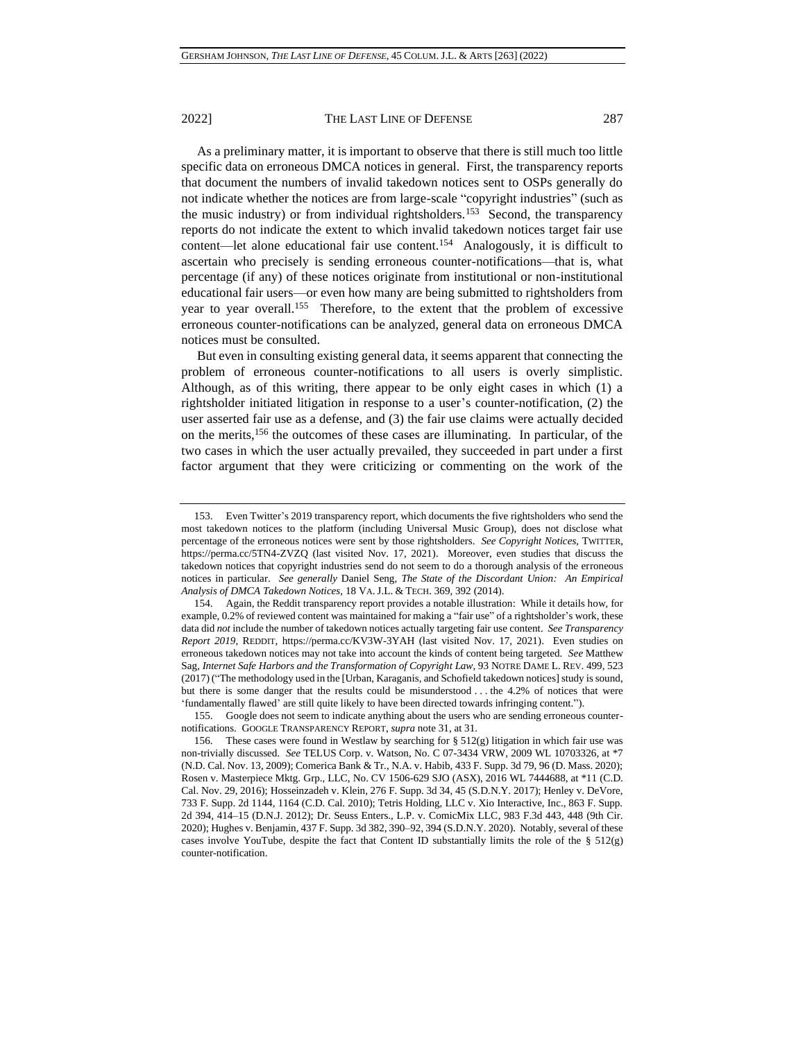As a preliminary matter, it is important to observe that there is still much too little specific data on erroneous DMCA notices in general. First, the transparency reports that document the numbers of invalid takedown notices sent to OSPs generally do not indicate whether the notices are from large-scale "copyright industries" (such as the music industry) or from individual rightsholders.<sup>153</sup> Second, the transparency reports do not indicate the extent to which invalid takedown notices target fair use content—let alone educational fair use content.<sup>154</sup> Analogously, it is difficult to ascertain who precisely is sending erroneous counter-notifications—that is, what percentage (if any) of these notices originate from institutional or non-institutional educational fair users—or even how many are being submitted to rightsholders from year to year overall.<sup>155</sup> Therefore, to the extent that the problem of excessive erroneous counter-notifications can be analyzed, general data on erroneous DMCA notices must be consulted.

But even in consulting existing general data, it seems apparent that connecting the problem of erroneous counter-notifications to all users is overly simplistic. Although, as of this writing, there appear to be only eight cases in which (1) a rightsholder initiated litigation in response to a user's counter-notification, (2) the user asserted fair use as a defense, and (3) the fair use claims were actually decided on the merits,<sup>156</sup> the outcomes of these cases are illuminating. In particular, of the two cases in which the user actually prevailed, they succeeded in part under a first factor argument that they were criticizing or commenting on the work of the

<sup>153.</sup> Even Twitter's 2019 transparency report, which documents the five rightsholders who send the most takedown notices to the platform (including Universal Music Group), does not disclose what percentage of the erroneous notices were sent by those rightsholders. *See Copyright Notices*, TWITTER, https://perma.cc/5TN4-ZVZQ (last visited Nov. 17, 2021). Moreover, even studies that discuss the takedown notices that copyright industries send do not seem to do a thorough analysis of the erroneous notices in particular. *See generally* Daniel Seng, *The State of the Discordant Union: An Empirical Analysis of DMCA Takedown Notices*, 18 VA. J.L. & TECH. 369, 392 (2014).

<sup>154.</sup> Again, the Reddit transparency report provides a notable illustration: While it details how, for example, 0.2% of reviewed content was maintained for making a "fair use" of a rightsholder's work, these data did *not* include the number of takedown notices actually targeting fair use content. *See Transparency Report 2019*, REDDIT, https://perma.cc/KV3W-3YAH (last visited Nov. 17, 2021). Even studies on erroneous takedown notices may not take into account the kinds of content being targeted. *See* Matthew Sag, *Internet Safe Harbors and the Transformation of Copyright Law*, 93 NOTRE DAME L. REV. 499, 523 (2017) ("The methodology used in the [Urban, Karaganis, and Schofield takedown notices] study is sound, but there is some danger that the results could be misunderstood . . . the 4.2% of notices that were 'fundamentally flawed' are still quite likely to have been directed towards infringing content.").

<sup>155.</sup> Google does not seem to indicate anything about the users who are sending erroneous counternotifications. GOOGLE TRANSPARENCY REPORT, *supra* note [31,](#page-5-0) at 31.

<sup>156.</sup> These cases were found in Westlaw by searching for § 512(g) litigation in which fair use was non-trivially discussed. *See* TELUS Corp. v. Watson, No. C 07-3434 VRW, 2009 WL 10703326, at \*7 (N.D. Cal. Nov. 13, 2009); Comerica Bank & Tr., N.A. v. Habib, 433 F. Supp. 3d 79, 96 (D. Mass. 2020); Rosen v. Masterpiece Mktg. Grp., LLC, No. CV 1506-629 SJO (ASX), 2016 WL 7444688, at \*11 (C.D. Cal. Nov. 29, 2016); Hosseinzadeh v. Klein, 276 F. Supp. 3d 34, 45 (S.D.N.Y. 2017); Henley v. DeVore, 733 F. Supp. 2d 1144, 1164 (C.D. Cal. 2010); Tetris Holding, LLC v. Xio Interactive, Inc., 863 F. Supp. 2d 394, 414–15 (D.N.J. 2012); Dr. Seuss Enters., L.P. v. ComicMix LLC, 983 F.3d 443, 448 (9th Cir. 2020); Hughes v. Benjamin, 437 F. Supp. 3d 382, 390–92, 394 (S.D.N.Y. 2020). Notably, several of these cases involve YouTube, despite the fact that Content ID substantially limits the role of the  $\S 512(g)$ counter-notification.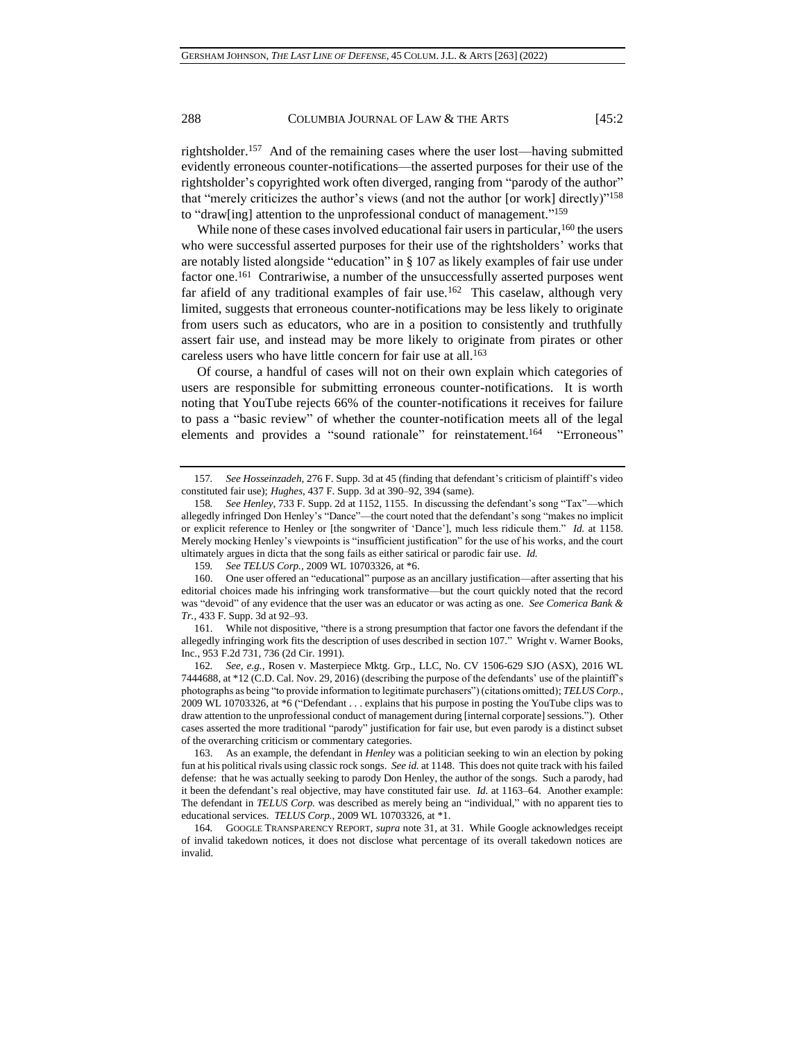rightsholder.<sup>157</sup> And of the remaining cases where the user lost—having submitted evidently erroneous counter-notifications—the asserted purposes for their use of the rightsholder's copyrighted work often diverged, ranging from "parody of the author" that "merely criticizes the author's views (and not the author [or work] directly)"<sup>158</sup> to "draw[ing] attention to the unprofessional conduct of management." 159

While none of these cases involved educational fair users in particular, <sup>160</sup> the users who were successful asserted purposes for their use of the rightsholders' works that are notably listed alongside "education" in § 107 as likely examples of fair use under factor one.<sup>161</sup> Contrariwise, a number of the unsuccessfully asserted purposes went far afield of any traditional examples of fair use.<sup>162</sup> This caselaw, although very limited, suggests that erroneous counter-notifications may be less likely to originate from users such as educators, who are in a position to consistently and truthfully assert fair use, and instead may be more likely to originate from pirates or other careless users who have little concern for fair use at all.<sup>163</sup>

Of course, a handful of cases will not on their own explain which categories of users are responsible for submitting erroneous counter-notifications. It is worth noting that YouTube rejects 66% of the counter-notifications it receives for failure to pass a "basic review" of whether the counter-notification meets all of the legal elements and provides a "sound rationale" for reinstatement.<sup>164</sup> "Erroneous"

162*. See, e.g.*, Rosen v. Masterpiece Mktg. Grp., LLC, No. CV 1506-629 SJO (ASX), 2016 WL 7444688, at \*12 (C.D. Cal. Nov. 29, 2016) (describing the purpose of the defendants' use of the plaintiff's photographs as being "to provide information to legitimate purchasers") (citations omitted); *TELUS Corp.*, 2009 WL 10703326, at \*6 ("Defendant . . . explains that his purpose in posting the YouTube clips was to draw attention to the unprofessional conduct of management during [internal corporate] sessions."). Other cases asserted the more traditional "parody" justification for fair use, but even parody is a distinct subset of the overarching criticism or commentary categories.

163. As an example, the defendant in *Henley* was a politician seeking to win an election by poking fun at his political rivals using classic rock songs. *See id.* at 1148. This does not quite track with his failed defense: that he was actually seeking to parody Don Henley, the author of the songs. Such a parody, had it been the defendant's real objective, may have constituted fair use. *Id.* at 1163–64. Another example: The defendant in *TELUS Corp.* was described as merely being an "individual," with no apparent ties to educational services. *TELUS Corp.*, 2009 WL 10703326, at \*1.

<sup>157</sup>*. See Hosseinzadeh*, 276 F. Supp. 3d at 45 (finding that defendant's criticism of plaintiff's video constituted fair use); *Hughes*, 437 F. Supp. 3d at 390–92, 394 (same).

<sup>158</sup>*. See Henley*, 733 F. Supp. 2d at 1152, 1155. In discussing the defendant's song "Tax"—which allegedly infringed Don Henley's "Dance"—the court noted that the defendant's song "makes no implicit or explicit reference to Henley or [the songwriter of 'Dance'], much less ridicule them." *Id.* at 1158. Merely mocking Henley's viewpoints is "insufficient justification" for the use of his works, and the court ultimately argues in dicta that the song fails as either satirical or parodic fair use. *Id.*

<sup>159</sup>*. See TELUS Corp.*, 2009 WL 10703326, at \*6.

<sup>160.</sup> One user offered an "educational" purpose as an ancillary justification—after asserting that his editorial choices made his infringing work transformative—but the court quickly noted that the record was "devoid" of any evidence that the user was an educator or was acting as one. *See Comerica Bank & Tr.*, 433 F. Supp. 3d at 92–93.

<sup>161.</sup> While not dispositive, "there is a strong presumption that factor one favors the defendant if the allegedly infringing work fits the description of uses described in section 107." Wright v. Warner Books, Inc., 953 F.2d 731, 736 (2d Cir. 1991).

<sup>164</sup>*.* GOOGLE TRANSPARENCY REPORT, *supra* not[e 31,](#page-5-0) at 31. While Google acknowledges receipt of invalid takedown notices, it does not disclose what percentage of its overall takedown notices are invalid.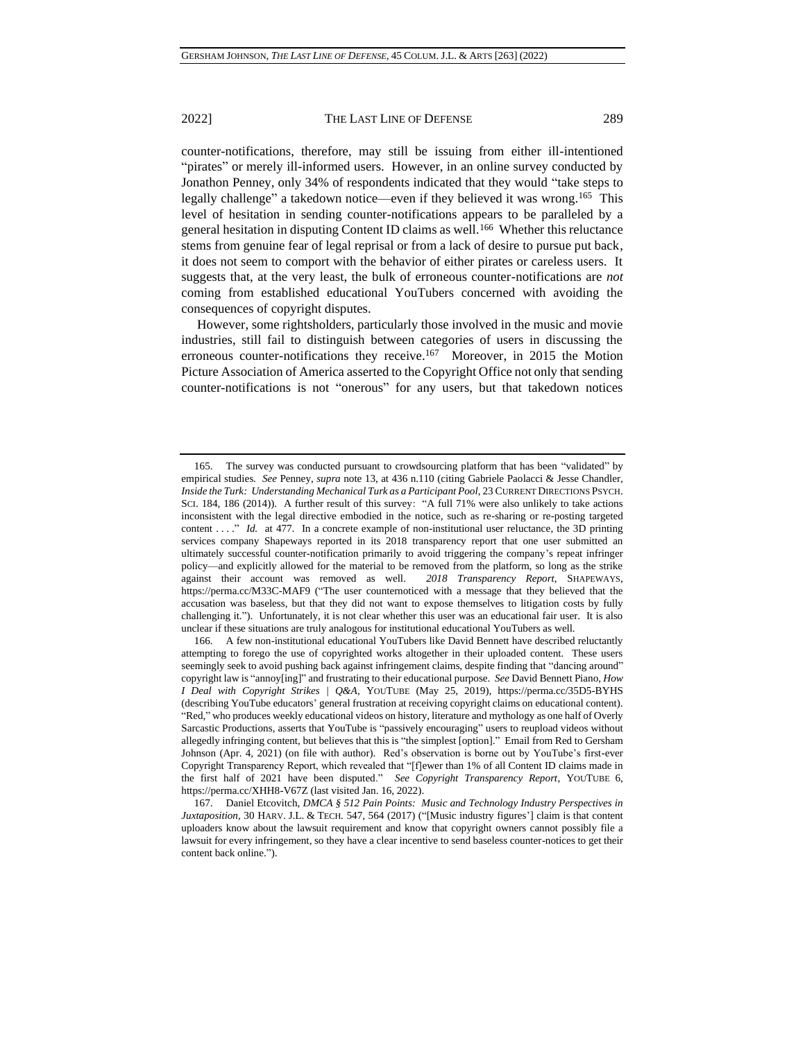counter-notifications, therefore, may still be issuing from either ill-intentioned "pirates" or merely ill-informed users. However, in an online survey conducted by Jonathon Penney, only 34% of respondents indicated that they would "take steps to legally challenge" a takedown notice—even if they believed it was wrong.<sup>165</sup> This level of hesitation in sending counter-notifications appears to be paralleled by a general hesitation in disputing Content ID claims as well.<sup>166</sup> Whether this reluctance stems from genuine fear of legal reprisal or from a lack of desire to pursue put back, it does not seem to comport with the behavior of either pirates or careless users. It suggests that, at the very least, the bulk of erroneous counter-notifications are *not*  coming from established educational YouTubers concerned with avoiding the consequences of copyright disputes.

However, some rightsholders, particularly those involved in the music and movie industries, still fail to distinguish between categories of users in discussing the erroneous counter-notifications they receive.<sup>167</sup> Moreover, in 2015 the Motion Picture Association of America asserted to the Copyright Office not only that sending counter-notifications is not "onerous" for any users, but that takedown notices

166. A few non-institutional educational YouTubers like David Bennett have described reluctantly attempting to forego the use of copyrighted works altogether in their uploaded content. These users seemingly seek to avoid pushing back against infringement claims, despite finding that "dancing around" copyright law is "annoy[ing]" and frustrating to their educational purpose. *See* David Bennett Piano, *How I Deal with Copyright Strikes | Q&A*, YOUTUBE (May 25, 2019), https://perma.cc/35D5-BYHS (describing YouTube educators' general frustration at receiving copyright claims on educational content). "Red," who produces weekly educational videos on history, literature and mythology as one half of Overly Sarcastic Productions, asserts that YouTube is "passively encouraging" users to reupload videos without allegedly infringing content, but believes that this is "the simplest [option]." Email from Red to Gersham Johnson (Apr. 4, 2021) (on file with author). Red's observation is borne out by YouTube's first-ever Copyright Transparency Report, which revealed that "[f]ewer than 1% of all Content ID claims made in the first half of 2021 have been disputed." *See Copyright Transparency Report*, YOUTUBE 6, https://perma.cc/XHH8-V67Z (last visited Jan. 16, 2022).

<sup>165.</sup> The survey was conducted pursuant to crowdsourcing platform that has been "validated" by empirical studies. *See* Penney, *supra* not[e 13,](#page-2-0) at 436 n.110 (citing Gabriele Paolacci & Jesse Chandler, *Inside the Turk: Understanding Mechanical Turk as a Participant Pool*, 23 CURRENT DIRECTIONS PSYCH. SCI. 184, 186 (2014)). A further result of this survey: "A full 71% were also unlikely to take actions inconsistent with the legal directive embodied in the notice, such as re-sharing or re-posting targeted content . . . . " *Id.* at 477. In a concrete example of non-institutional user reluctance, the 3D printing services company Shapeways reported in its 2018 transparency report that one user submitted an ultimately successful counter-notification primarily to avoid triggering the company's repeat infringer policy—and explicitly allowed for the material to be removed from the platform, so long as the strike against their account was removed as well. *2018 Transparency Report*, SHAPEWAYS, https://perma.cc/M33C-MAF9 ("The user counternoticed with a message that they believed that the accusation was baseless, but that they did not want to expose themselves to litigation costs by fully challenging it."). Unfortunately, it is not clear whether this user was an educational fair user. It is also unclear if these situations are truly analogous for institutional educational YouTubers as well.

<sup>167.</sup> Daniel Etcovitch, *DMCA § 512 Pain Points: Music and Technology Industry Perspectives in Juxtaposition*, 30 HARV. J.L. & TECH. 547, 564 (2017) ("[Music industry figures'] claim is that content uploaders know about the lawsuit requirement and know that copyright owners cannot possibly file a lawsuit for every infringement, so they have a clear incentive to send baseless counter-notices to get their content back online.").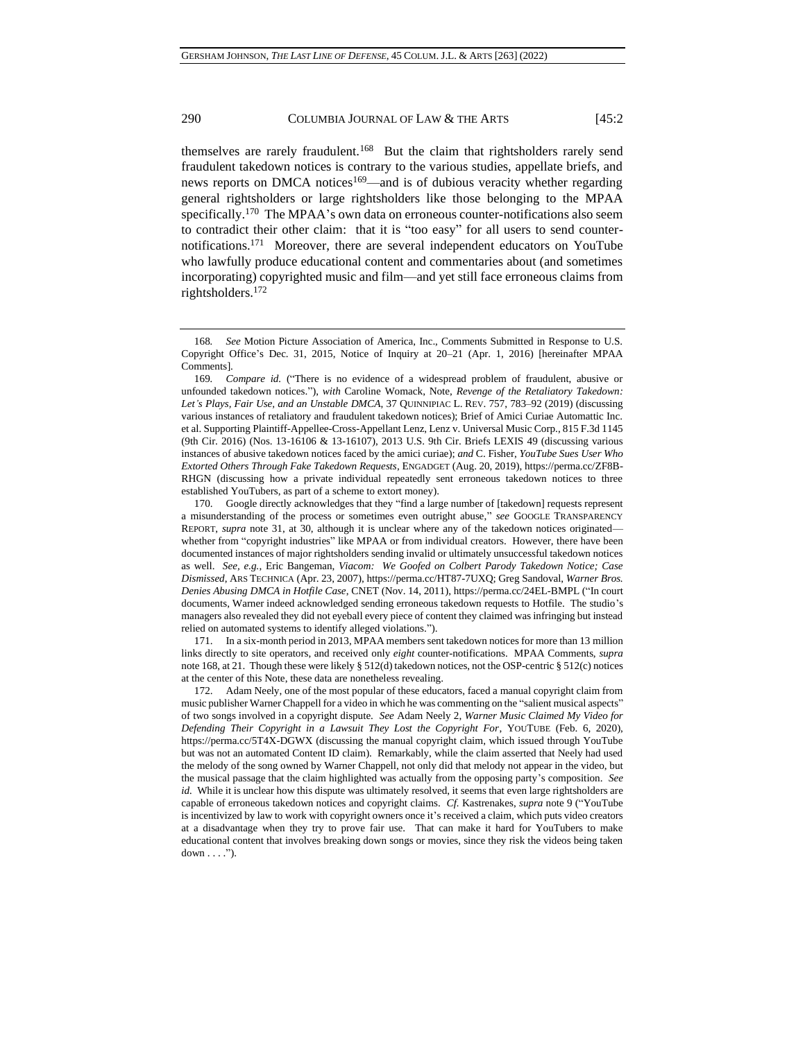<span id="page-27-0"></span>themselves are rarely fraudulent.<sup>168</sup> But the claim that rightsholders rarely send fraudulent takedown notices is contrary to the various studies, appellate briefs, and news reports on DMCA notices<sup>169</sup>—and is of dubious veracity whether regarding general rightsholders or large rightsholders like those belonging to the MPAA specifically.<sup>170</sup> The MPAA's own data on erroneous counter-notifications also seem to contradict their other claim: that it is "too easy" for all users to send counternotifications.<sup>171</sup> Moreover, there are several independent educators on YouTube who lawfully produce educational content and commentaries about (and sometimes incorporating) copyrighted music and film—and yet still face erroneous claims from rightsholders.<sup>172</sup>

171. In a six-month period in 2013, MPAA members sent takedown notices for more than 13 million links directly to site operators, and received only *eight* counter-notifications. MPAA Comments, *supra* note [168,](#page-27-0) at 21. Though these were likely § 512(d) takedown notices, not the OSP-centric § 512(c) notices at the center of this Note, these data are nonetheless revealing.

172. Adam Neely, one of the most popular of these educators, faced a manual copyright claim from music publisher Warner Chappell for a video in which he was commenting on the "salient musical aspects" of two songs involved in a copyright dispute. *See* Adam Neely 2, *Warner Music Claimed My Video for Defending Their Copyright in a Lawsuit They Lost the Copyright For*, YOUTUBE (Feb. 6, 2020), https://perma.cc/5T4X-DGWX (discussing the manual copyright claim, which issued through YouTube but was not an automated Content ID claim). Remarkably, while the claim asserted that Neely had used the melody of the song owned by Warner Chappell, not only did that melody not appear in the video, but the musical passage that the claim highlighted was actually from the opposing party's composition. *See id.* While it is unclear how this dispute was ultimately resolved, it seems that even large rightsholders are capable of erroneous takedown notices and copyright claims. *Cf.* Kastrenakes, *supra* not[e 9](#page-1-1) ("YouTube is incentivized by law to work with copyright owners once it's received a claim, which puts video creators at a disadvantage when they try to prove fair use. That can make it hard for YouTubers to make educational content that involves breaking down songs or movies, since they risk the videos being taken  $down \dots$ ").

<sup>168</sup>*. See* Motion Picture Association of America, Inc., Comments Submitted in Response to U.S. Copyright Office's Dec. 31, 2015, Notice of Inquiry at 20–21 (Apr. 1, 2016) [hereinafter MPAA Comments].

<sup>169</sup>*. Compare id.* ("There is no evidence of a widespread problem of fraudulent, abusive or unfounded takedown notices."), *with* Caroline Womack, Note, *Revenge of the Retaliatory Takedown: Let's Plays, Fair Use, and an Unstable DMCA*, 37 QUINNIPIAC L. REV. 757, 783–92 (2019) (discussing various instances of retaliatory and fraudulent takedown notices); Brief of Amici Curiae Automattic Inc. et al. Supporting Plaintiff-Appellee-Cross-Appellant Lenz, Lenz v. Universal Music Corp., 815 F.3d 1145 (9th Cir. 2016) (Nos. 13-16106 & 13-16107), 2013 U.S. 9th Cir. Briefs LEXIS 49 (discussing various instances of abusive takedown notices faced by the amici curiae); *and* C. Fisher, *YouTube Sues User Who Extorted Others Through Fake Takedown Requests*, ENGADGET (Aug. 20, 2019), https://perma.cc/ZF8B-RHGN (discussing how a private individual repeatedly sent erroneous takedown notices to three established YouTubers, as part of a scheme to extort money).

<sup>170.</sup> Google directly acknowledges that they "find a large number of [takedown] requests represent a misunderstanding of the process or sometimes even outright abuse," *see* GOOGLE TRANSPARENCY REPORT, *supra* note [31,](#page-5-0) at 30, although it is unclear where any of the takedown notices originated whether from "copyright industries" like MPAA or from individual creators. However, there have been documented instances of major rightsholders sending invalid or ultimately unsuccessful takedown notices as well. *See, e.g.*, Eric Bangeman, *Viacom: We Goofed on Colbert Parody Takedown Notice; Case Dismissed*, ARS TECHNICA (Apr. 23, 2007), https://perma.cc/HT87-7UXQ; Greg Sandoval, *Warner Bros. Denies Abusing DMCA in Hotfile Case*, CNET (Nov. 14, 2011), https://perma.cc/24EL-BMPL ("In court documents, Warner indeed acknowledged sending erroneous takedown requests to Hotfile. The studio's managers also revealed they did not eyeball every piece of content they claimed was infringing but instead relied on automated systems to identify alleged violations.").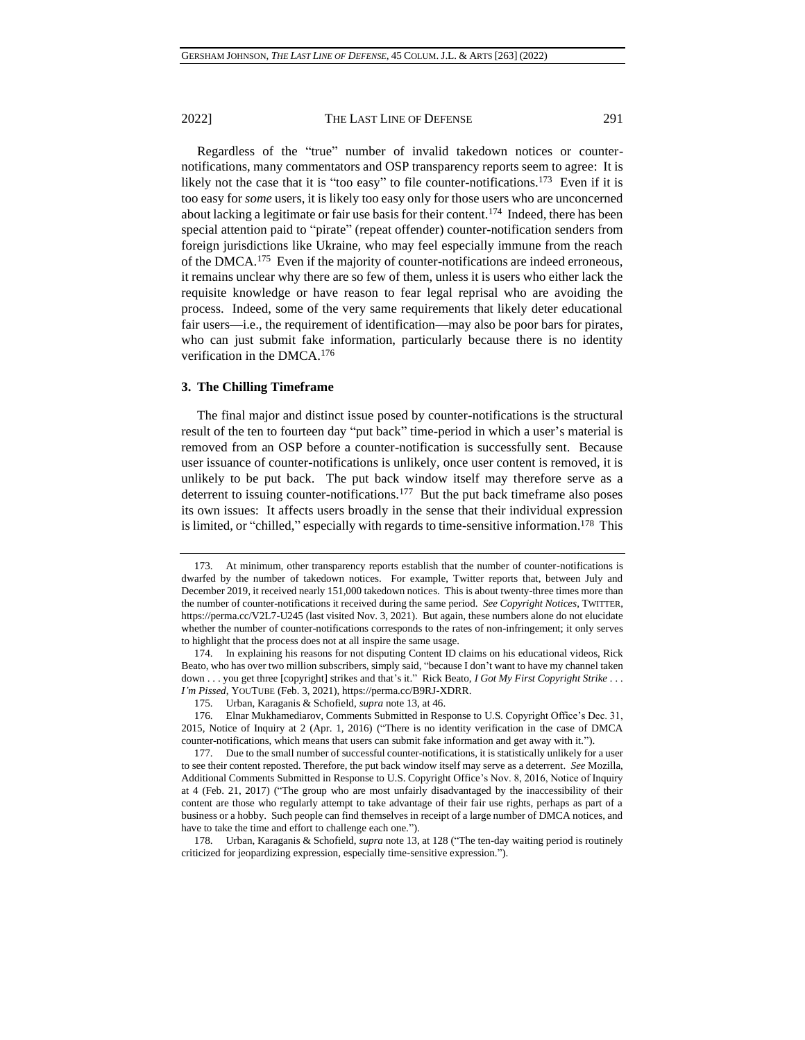Regardless of the "true" number of invalid takedown notices or counternotifications, many commentators and OSP transparency reports seem to agree: It is likely not the case that it is "too easy" to file counter-notifications.<sup>173</sup> Even if it is too easy for *some* users, it is likely too easy only for those users who are unconcerned about lacking a legitimate or fair use basis for their content.<sup>174</sup> Indeed, there has been special attention paid to "pirate" (repeat offender) counter-notification senders from foreign jurisdictions like Ukraine, who may feel especially immune from the reach of the DMCA.<sup>175</sup> Even if the majority of counter-notifications are indeed erroneous, it remains unclear why there are so few of them, unless it is users who either lack the requisite knowledge or have reason to fear legal reprisal who are avoiding the process. Indeed, some of the very same requirements that likely deter educational fair users—i.e., the requirement of identification—may also be poor bars for pirates, who can just submit fake information, particularly because there is no identity verification in the DMCA.<sup>176</sup>

## **3. The Chilling Timeframe**

The final major and distinct issue posed by counter-notifications is the structural result of the ten to fourteen day "put back" time-period in which a user's material is removed from an OSP before a counter-notification is successfully sent. Because user issuance of counter-notifications is unlikely, once user content is removed, it is unlikely to be put back. The put back window itself may therefore serve as a deterrent to issuing counter-notifications.<sup>177</sup> But the put back timeframe also poses its own issues: It affects users broadly in the sense that their individual expression is limited, or "chilled," especially with regards to time-sensitive information.<sup>178</sup> This

<sup>173.</sup> At minimum, other transparency reports establish that the number of counter-notifications is dwarfed by the number of takedown notices. For example, Twitter reports that, between July and December 2019, it received nearly 151,000 takedown notices. This is about twenty-three times more than the number of counter-notifications it received during the same period. *See Copyright Notices*, TWITTER, https://perma.cc/V2L7-U245 (last visited Nov. 3, 2021). But again, these numbers alone do not elucidate whether the number of counter-notifications corresponds to the rates of non-infringement; it only serves to highlight that the process does not at all inspire the same usage.

<sup>174.</sup> In explaining his reasons for not disputing Content ID claims on his educational videos, Rick Beato, who has over two million subscribers, simply said, "because I don't want to have my channel taken down . . . you get three [copyright] strikes and that's it." Rick Beato, *I Got My First Copyright Strike . . . I'm Pissed*, YOUTUBE (Feb. 3, 2021), https://perma.cc/B9RJ-XDRR.

<sup>175.</sup> Urban, Karaganis & Schofield, *supra* not[e 13,](#page-2-0) at 46.

<sup>176.</sup> Elnar Mukhamediarov, Comments Submitted in Response to U.S. Copyright Office's Dec. 31, 2015, Notice of Inquiry at 2 (Apr. 1, 2016) ("There is no identity verification in the case of DMCA counter-notifications, which means that users can submit fake information and get away with it.").

<sup>177.</sup> Due to the small number of successful counter-notifications, it is statistically unlikely for a user to see their content reposted. Therefore, the put back window itself may serve as a deterrent. *See* Mozilla, Additional Comments Submitted in Response to U.S. Copyright Office's Nov. 8, 2016, Notice of Inquiry at 4 (Feb. 21, 2017) ("The group who are most unfairly disadvantaged by the inaccessibility of their content are those who regularly attempt to take advantage of their fair use rights, perhaps as part of a business or a hobby. Such people can find themselves in receipt of a large number of DMCA notices, and have to take the time and effort to challenge each one.").

<sup>178.</sup> Urban, Karaganis & Schofield, *supra* not[e 13,](#page-2-0) at 128 ("The ten-day waiting period is routinely criticized for jeopardizing expression, especially time-sensitive expression.").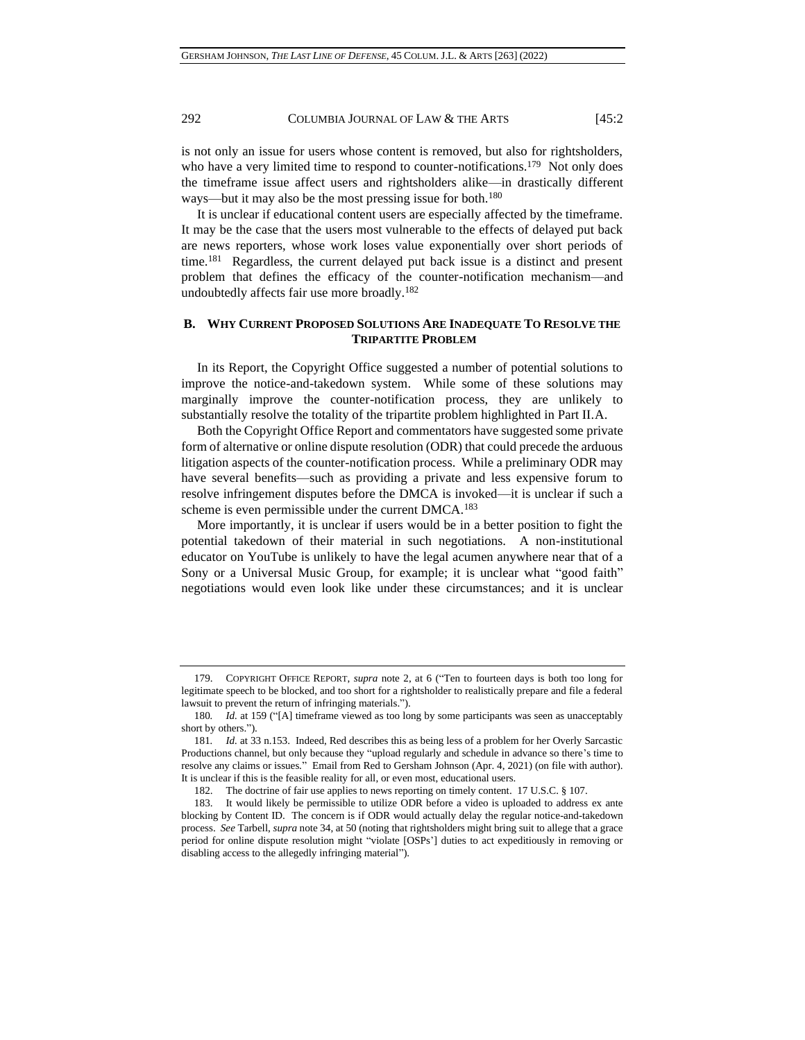is not only an issue for users whose content is removed, but also for rightsholders, who have a very limited time to respond to counter-notifications.<sup>179</sup> Not only does the timeframe issue affect users and rightsholders alike—in drastically different ways—but it may also be the most pressing issue for both.<sup>180</sup>

It is unclear if educational content users are especially affected by the timeframe. It may be the case that the users most vulnerable to the effects of delayed put back are news reporters, whose work loses value exponentially over short periods of time.<sup>181</sup> Regardless, the current delayed put back issue is a distinct and present problem that defines the efficacy of the counter-notification mechanism—and undoubtedly affects fair use more broadly.<sup>182</sup>

## **B. WHY CURRENT PROPOSED SOLUTIONS ARE INADEQUATE TO RESOLVE THE TRIPARTITE PROBLEM**

In its Report, the Copyright Office suggested a number of potential solutions to improve the notice-and-takedown system. While some of these solutions may marginally improve the counter-notification process, they are unlikely to substantially resolve the totality of the tripartite problem highlighted in Part II.A.

Both the Copyright Office Report and commentators have suggested some private form of alternative or online dispute resolution (ODR) that could precede the arduous litigation aspects of the counter-notification process. While a preliminary ODR may have several benefits—such as providing a private and less expensive forum to resolve infringement disputes before the DMCA is invoked—it is unclear if such a scheme is even permissible under the current DMCA.<sup>183</sup>

More importantly, it is unclear if users would be in a better position to fight the potential takedown of their material in such negotiations. A non-institutional educator on YouTube is unlikely to have the legal acumen anywhere near that of a Sony or a Universal Music Group, for example; it is unclear what "good faith" negotiations would even look like under these circumstances; and it is unclear

<sup>179.</sup> COPYRIGHT OFFICE REPORT, *supra* note [2,](#page-0-0) at 6 ("Ten to fourteen days is both too long for legitimate speech to be blocked, and too short for a rightsholder to realistically prepare and file a federal lawsuit to prevent the return of infringing materials.").

<sup>180</sup>*. Id.* at 159 ("[A] timeframe viewed as too long by some participants was seen as unacceptably short by others.").

<sup>181</sup>*. Id.* at 33 n.153. Indeed, Red describes this as being less of a problem for her Overly Sarcastic Productions channel, but only because they "upload regularly and schedule in advance so there's time to resolve any claims or issues." Email from Red to Gersham Johnson (Apr. 4, 2021) (on file with author). It is unclear if this is the feasible reality for all, or even most, educational users.

<sup>182.</sup> The doctrine of fair use applies to news reporting on timely content. 17 U.S.C. § 107.

<sup>183.</sup> It would likely be permissible to utilize ODR before a video is uploaded to address ex ante blocking by Content ID. The concern is if ODR would actually delay the regular notice-and-takedown process. *See* Tarbell, *supra* not[e 34,](#page-5-1) at 50 (noting that rightsholders might bring suit to allege that a grace period for online dispute resolution might "violate [OSPs'] duties to act expeditiously in removing or disabling access to the allegedly infringing material").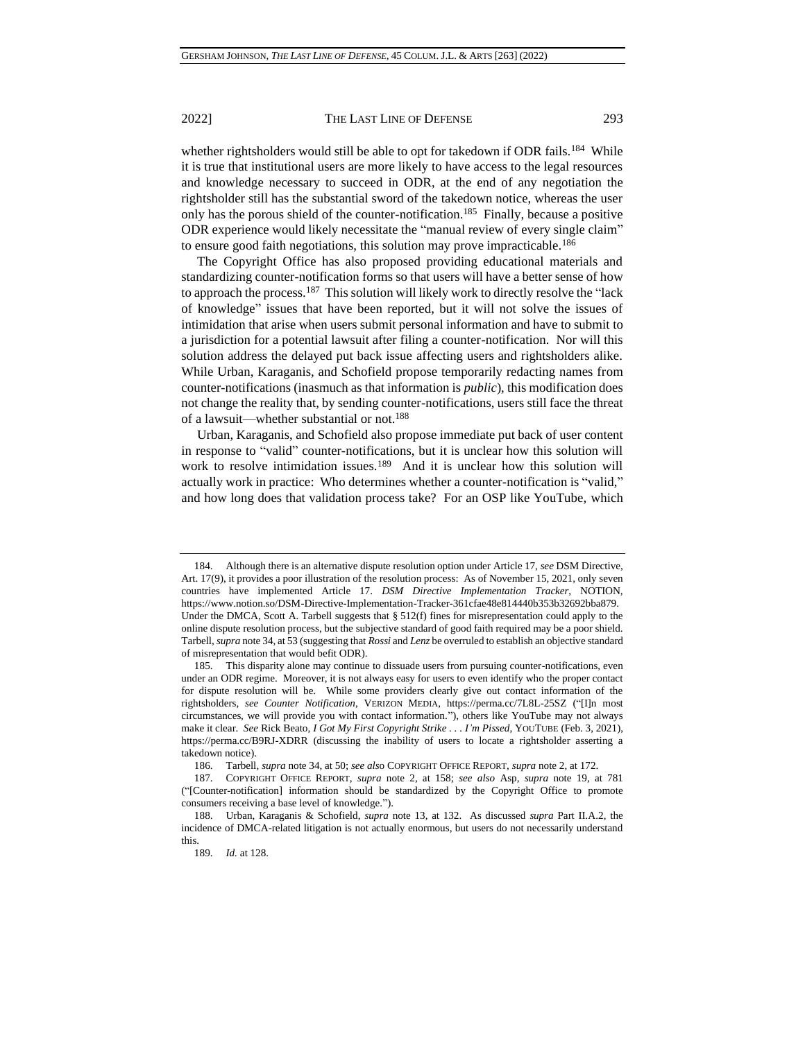whether rightsholders would still be able to opt for takedown if ODR fails.<sup>184</sup> While it is true that institutional users are more likely to have access to the legal resources and knowledge necessary to succeed in ODR, at the end of any negotiation the rightsholder still has the substantial sword of the takedown notice, whereas the user only has the porous shield of the counter-notification.<sup>185</sup> Finally, because a positive ODR experience would likely necessitate the "manual review of every single claim" to ensure good faith negotiations, this solution may prove impracticable.<sup>186</sup>

The Copyright Office has also proposed providing educational materials and standardizing counter-notification forms so that users will have a better sense of how to approach the process.<sup>187</sup> This solution will likely work to directly resolve the "lack of knowledge" issues that have been reported, but it will not solve the issues of intimidation that arise when users submit personal information and have to submit to a jurisdiction for a potential lawsuit after filing a counter-notification. Nor will this solution address the delayed put back issue affecting users and rightsholders alike. While Urban, Karaganis, and Schofield propose temporarily redacting names from counter-notifications (inasmuch as that information is *public*), this modification does not change the reality that, by sending counter-notifications, users still face the threat of a lawsuit—whether substantial or not.<sup>188</sup>

Urban, Karaganis, and Schofield also propose immediate put back of user content in response to "valid" counter-notifications, but it is unclear how this solution will work to resolve intimidation issues.<sup>189</sup> And it is unclear how this solution will actually work in practice: Who determines whether a counter-notification is "valid," and how long does that validation process take? For an OSP like YouTube, which

<sup>184.</sup> Although there is an alternative dispute resolution option under Article 17, *see* DSM Directive, Art. 17(9), it provides a poor illustration of the resolution process: As of November 15, 2021, only seven countries have implemented Article 17. *DSM Directive Implementation Tracker*, NOTION, https://www.notion.so/DSM-Directive-Implementation-Tracker-361cfae48e814440b353b32692bba879. Under the DMCA, Scott A. Tarbell suggests that  $\S 512(f)$  fines for misrepresentation could apply to the online dispute resolution process, but the subjective standard of good faith required may be a poor shield. Tarbell, *supra* not[e 34,](#page-5-1) at 53 (suggesting that *Rossi* and *Lenz* be overruled to establish an objective standard of misrepresentation that would befit ODR).

<sup>185.</sup> This disparity alone may continue to dissuade users from pursuing counter-notifications, even under an ODR regime. Moreover, it is not always easy for users to even identify who the proper contact for dispute resolution will be. While some providers clearly give out contact information of the rightsholders, *see Counter Notification*, VERIZON MEDIA, https://perma.cc/7L8L-25SZ ("[I]n most circumstances, we will provide you with contact information."), others like YouTube may not always make it clear. *See* Rick Beato, *I Got My First Copyright Strike . . . I'm Pissed*, YOUTUBE (Feb. 3, 2021), https://perma.cc/B9RJ-XDRR (discussing the inability of users to locate a rightsholder asserting a takedown notice).

<sup>186.</sup> Tarbell, *supra* not[e 34,](#page-5-1) at 50; *see als*o COPYRIGHT OFFICE REPORT, *supra* not[e 2,](#page-0-0) at 172.

<sup>187.</sup> COPYRIGHT OFFICE REPORT, *supra* note [2,](#page-0-0) at 158; *see also* Asp, *supra* note [19,](#page-3-0) at 781 ("[Counter-notification] information should be standardized by the Copyright Office to promote consumers receiving a base level of knowledge.").

<sup>188.</sup> Urban, Karaganis & Schofield, *supra* note [13,](#page-2-0) at 132. As discussed *supra* Part II.A.2, the incidence of DMCA-related litigation is not actually enormous, but users do not necessarily understand this.

<sup>189.</sup> *Id.* at 128.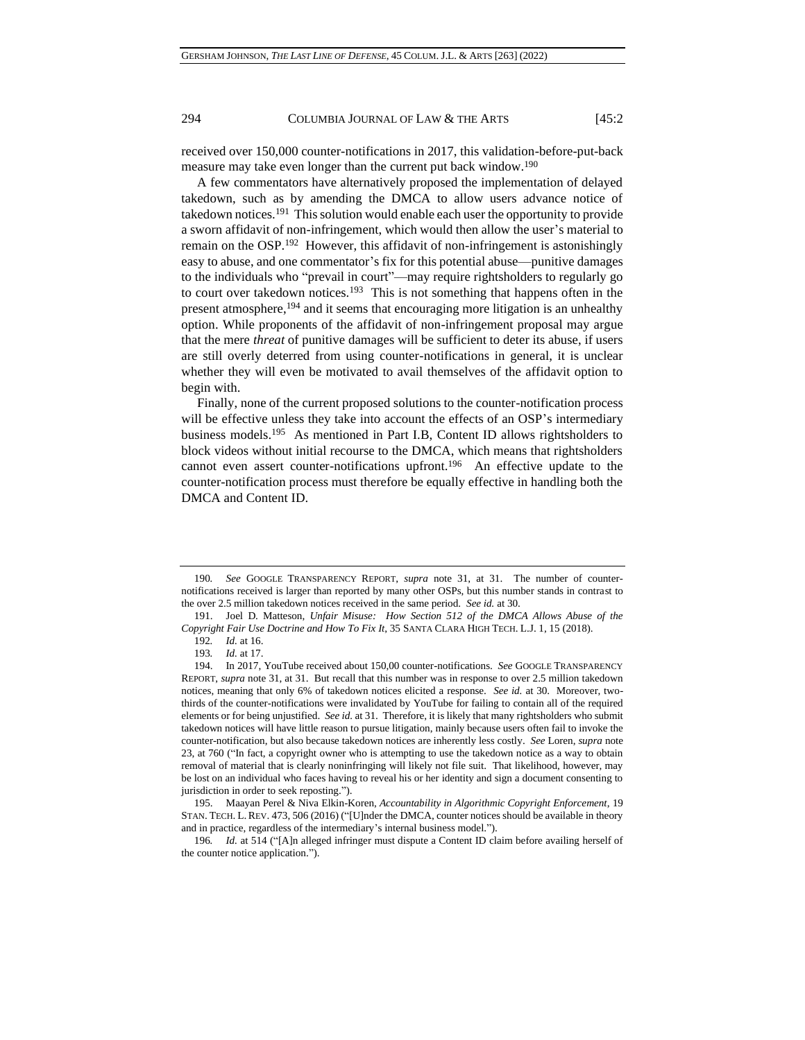received over 150,000 counter-notifications in 2017, this validation-before-put-back measure may take even longer than the current put back window.<sup>190</sup>

A few commentators have alternatively proposed the implementation of delayed takedown, such as by amending the DMCA to allow users advance notice of takedown notices.<sup>191</sup> This solution would enable each user the opportunity to provide a sworn affidavit of non-infringement, which would then allow the user's material to remain on the OSP.<sup>192</sup> However, this affidavit of non-infringement is astonishingly easy to abuse, and one commentator's fix for this potential abuse—punitive damages to the individuals who "prevail in court"—may require rightsholders to regularly go to court over takedown notices.<sup>193</sup> This is not something that happens often in the present atmosphere,<sup>194</sup> and it seems that encouraging more litigation is an unhealthy option. While proponents of the affidavit of non-infringement proposal may argue that the mere *threat* of punitive damages will be sufficient to deter its abuse, if users are still overly deterred from using counter-notifications in general, it is unclear whether they will even be motivated to avail themselves of the affidavit option to begin with.

Finally, none of the current proposed solutions to the counter-notification process will be effective unless they take into account the effects of an OSP's intermediary business models.<sup>195</sup> As mentioned in Part I.B, Content ID allows rightsholders to block videos without initial recourse to the DMCA, which means that rightsholders cannot even assert counter-notifications upfront.<sup>196</sup> An effective update to the counter-notification process must therefore be equally effective in handling both the DMCA and Content ID.

<sup>190</sup>*. See* GOOGLE TRANSPARENCY REPORT, *supra* note [31,](#page-5-0) at 31. The number of counternotifications received is larger than reported by many other OSPs, but this number stands in contrast to the over 2.5 million takedown notices received in the same period. *See id.* at 30.

<sup>191.</sup> Joel D. Matteson, *Unfair Misuse: How Section 512 of the DMCA Allows Abuse of the Copyright Fair Use Doctrine and How To Fix It*, 35 SANTA CLARA HIGH TECH. L.J. 1, 15 (2018).

<sup>192</sup>*. Id.* at 16.

<sup>193</sup>*. Id.* at 17.

<sup>194.</sup> In 2017, YouTube received about 150,00 counter-notifications. *See* GOOGLE TRANSPARENCY REPORT, *supra* note 31, at 31. But recall that this number was in response to over 2.5 million takedown notices, meaning that only 6% of takedown notices elicited a response. *See id.* at 30. Moreover, twothirds of the counter-notifications were invalidated by YouTube for failing to contain all of the required elements or for being unjustified. *See id.* at 31. Therefore, it is likely that many rightsholders who submit takedown notices will have little reason to pursue litigation, mainly because users often fail to invoke the counter-notification, but also because takedown notices are inherently less costly. *See* Loren, *supra* note 23, at 760 ("In fact, a copyright owner who is attempting to use the takedown notice as a way to obtain removal of material that is clearly noninfringing will likely not file suit. That likelihood, however, may be lost on an individual who faces having to reveal his or her identity and sign a document consenting to jurisdiction in order to seek reposting.").

<sup>195.</sup> Maayan Perel & Niva Elkin-Koren, *Accountability in Algorithmic Copyright Enforcement*, 19 STAN. TECH. L. REV. 473, 506 (2016) ("[U]nder the DMCA, counter notices should be available in theory and in practice, regardless of the intermediary's internal business model.").

<sup>196</sup>*. Id.* at 514 ("[A]n alleged infringer must dispute a Content ID claim before availing herself of the counter notice application.").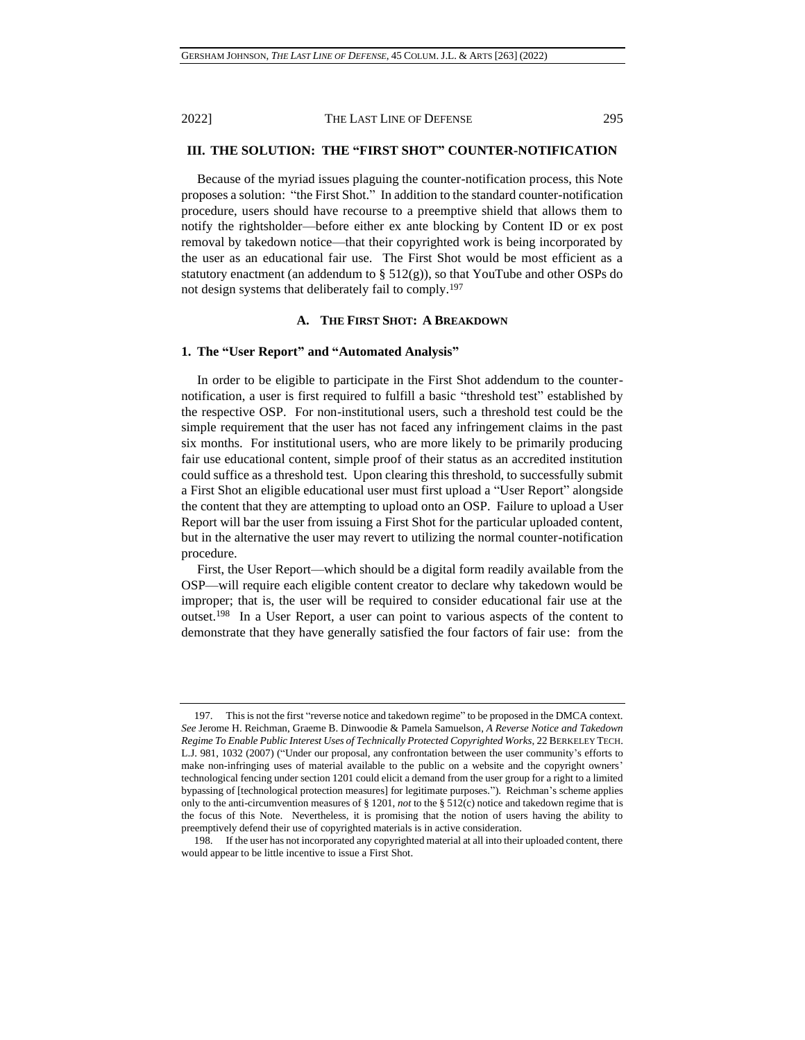## **III. THE SOLUTION: THE "FIRST SHOT" COUNTER-NOTIFICATION**

Because of the myriad issues plaguing the counter-notification process, this Note proposes a solution: "the First Shot." In addition to the standard counter-notification procedure, users should have recourse to a preemptive shield that allows them to notify the rightsholder—before either ex ante blocking by Content ID or ex post removal by takedown notice—that their copyrighted work is being incorporated by the user as an educational fair use. The First Shot would be most efficient as a statutory enactment (an addendum to  $\S 512(g)$ ), so that YouTube and other OSPs do not design systems that deliberately fail to comply.<sup>197</sup>

#### **A. THE FIRST SHOT: A BREAKDOWN**

## **1. The "User Report" and "Automated Analysis"**

In order to be eligible to participate in the First Shot addendum to the counternotification, a user is first required to fulfill a basic "threshold test" established by the respective OSP. For non-institutional users, such a threshold test could be the simple requirement that the user has not faced any infringement claims in the past six months. For institutional users, who are more likely to be primarily producing fair use educational content, simple proof of their status as an accredited institution could suffice as a threshold test. Upon clearing this threshold, to successfully submit a First Shot an eligible educational user must first upload a "User Report" alongside the content that they are attempting to upload onto an OSP. Failure to upload a User Report will bar the user from issuing a First Shot for the particular uploaded content, but in the alternative the user may revert to utilizing the normal counter-notification procedure.

First, the User Report—which should be a digital form readily available from the OSP—will require each eligible content creator to declare why takedown would be improper; that is, the user will be required to consider educational fair use at the outset.<sup>198</sup> In a User Report, a user can point to various aspects of the content to demonstrate that they have generally satisfied the four factors of fair use: from the

<sup>197.</sup> This is not the first "reverse notice and takedown regime" to be proposed in the DMCA context. *See* Jerome H. Reichman, Graeme B. Dinwoodie & Pamela Samuelson, *A Reverse Notice and Takedown Regime To Enable Public Interest Uses of Technically Protected Copyrighted Works*, 22 BERKELEY TECH. L.J. 981, 1032 (2007) ("Under our proposal, any confrontation between the user community's efforts to make non-infringing uses of material available to the public on a website and the copyright owners' technological fencing under section 1201 could elicit a demand from the user group for a right to a limited bypassing of [technological protection measures] for legitimate purposes."). Reichman's scheme applies only to the anti-circumvention measures of § 1201, *not* to the § 512(c) notice and takedown regime that is the focus of this Note. Nevertheless, it is promising that the notion of users having the ability to preemptively defend their use of copyrighted materials is in active consideration.

<sup>198.</sup> If the user has not incorporated any copyrighted material at all into their uploaded content, there would appear to be little incentive to issue a First Shot.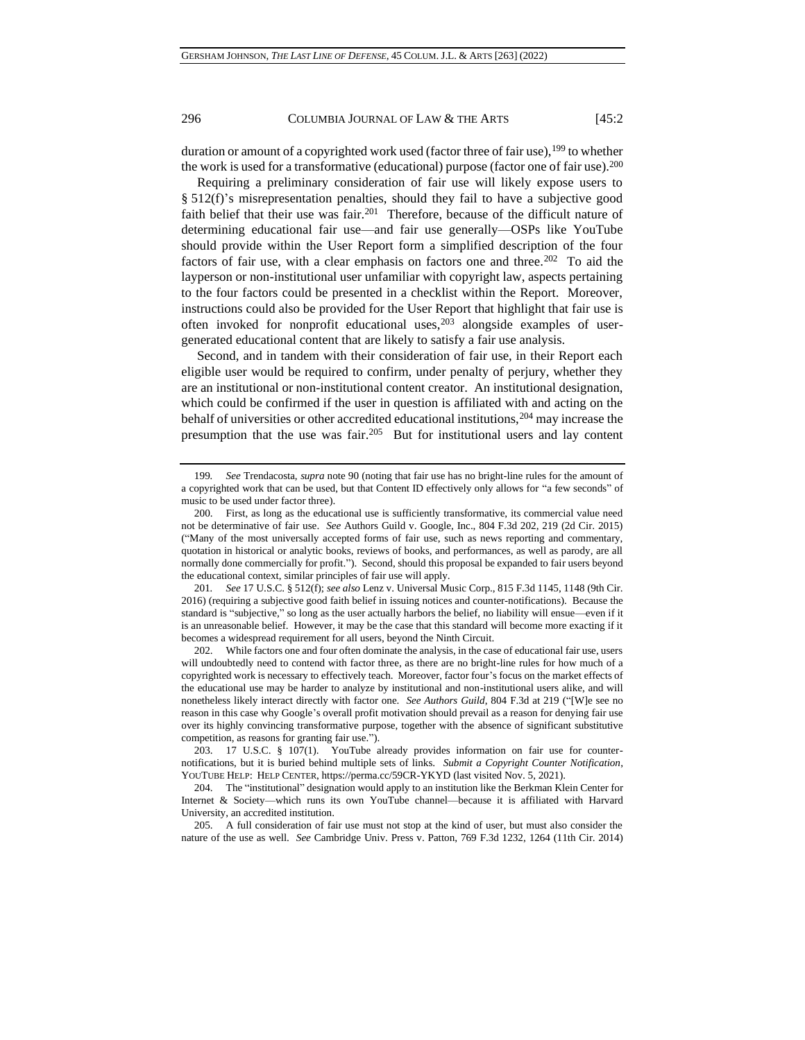duration or amount of a copyrighted work used (factor three of fair use),<sup>199</sup> to whether the work is used for a transformative (educational) purpose (factor one of fair use).<sup>200</sup>

Requiring a preliminary consideration of fair use will likely expose users to § 512(f)'s misrepresentation penalties, should they fail to have a subjective good faith belief that their use was fair.<sup>201</sup> Therefore, because of the difficult nature of determining educational fair use—and fair use generally—OSPs like YouTube should provide within the User Report form a simplified description of the four factors of fair use, with a clear emphasis on factors one and three.<sup>202</sup> To aid the layperson or non-institutional user unfamiliar with copyright law, aspects pertaining to the four factors could be presented in a checklist within the Report. Moreover, instructions could also be provided for the User Report that highlight that fair use is often invoked for nonprofit educational uses,<sup>203</sup> alongside examples of usergenerated educational content that are likely to satisfy a fair use analysis.

Second, and in tandem with their consideration of fair use, in their Report each eligible user would be required to confirm, under penalty of perjury, whether they are an institutional or non-institutional content creator. An institutional designation, which could be confirmed if the user in question is affiliated with and acting on the behalf of universities or other accredited educational institutions, <sup>204</sup> may increase the presumption that the use was fair.<sup>205</sup> But for institutional users and lay content

202. While factors one and four often dominate the analysis, in the case of educational fair use, users will undoubtedly need to contend with factor three, as there are no bright-line rules for how much of a copyrighted work is necessary to effectively teach. Moreover, factor four's focus on the market effects of the educational use may be harder to analyze by institutional and non-institutional users alike, and will nonetheless likely interact directly with factor one. *See Authors Guild*, 804 F.3d at 219 ("[W]e see no reason in this case why Google's overall profit motivation should prevail as a reason for denying fair use over its highly convincing transformative purpose, together with the absence of significant substitutive competition, as reasons for granting fair use.").

<sup>199</sup>*. See* Trendacosta, *supra* note [90](#page-13-0) (noting that fair use has no bright-line rules for the amount of a copyrighted work that can be used, but that Content ID effectively only allows for "a few seconds" of music to be used under factor three).

<sup>200.</sup> First, as long as the educational use is sufficiently transformative, its commercial value need not be determinative of fair use. *See* Authors Guild v. Google, Inc., 804 F.3d 202, 219 (2d Cir. 2015) ("Many of the most universally accepted forms of fair use, such as news reporting and commentary, quotation in historical or analytic books, reviews of books, and performances, as well as parody, are all normally done commercially for profit."). Second, should this proposal be expanded to fair users beyond the educational context, similar principles of fair use will apply.

<sup>201</sup>*. See* 17 U.S.C. § 512(f); *see also* Lenz v. Universal Music Corp., 815 F.3d 1145, 1148 (9th Cir. 2016) (requiring a subjective good faith belief in issuing notices and counter-notifications). Because the standard is "subjective," so long as the user actually harbors the belief, no liability will ensue—even if it is an unreasonable belief. However, it may be the case that this standard will become more exacting if it becomes a widespread requirement for all users, beyond the Ninth Circuit.

<sup>203.</sup> 17 U.S.C. § 107(1). YouTube already provides information on fair use for counternotifications, but it is buried behind multiple sets of links. *Submit a Copyright Counter Notification*, YOUTUBE HELP: HELP CENTER, https://perma.cc/59CR-YKYD (last visited Nov. 5, 2021).

<sup>204.</sup> The "institutional" designation would apply to an institution like the Berkman Klein Center for Internet & Society—which runs its own YouTube channel—because it is affiliated with Harvard University, an accredited institution.

<sup>205.</sup> A full consideration of fair use must not stop at the kind of user, but must also consider the nature of the use as well. *See* Cambridge Univ. Press v. Patton, 769 F.3d 1232, 1264 (11th Cir. 2014)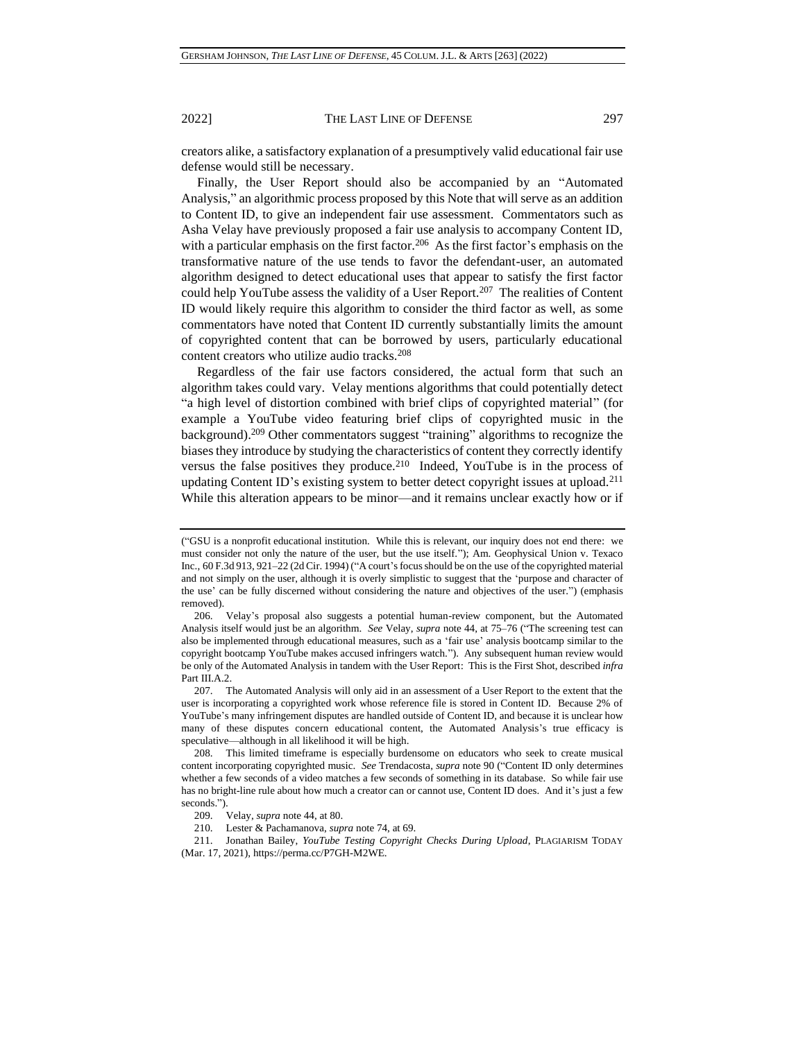creators alike, a satisfactory explanation of a presumptively valid educational fair use defense would still be necessary.

Finally, the User Report should also be accompanied by an "Automated Analysis," an algorithmic process proposed by this Note that will serve as an addition to Content ID, to give an independent fair use assessment. Commentators such as Asha Velay have previously proposed a fair use analysis to accompany Content ID, with a particular emphasis on the first factor.<sup>206</sup> As the first factor's emphasis on the transformative nature of the use tends to favor the defendant-user, an automated algorithm designed to detect educational uses that appear to satisfy the first factor could help YouTube assess the validity of a User Report.<sup>207</sup> The realities of Content ID would likely require this algorithm to consider the third factor as well, as some commentators have noted that Content ID currently substantially limits the amount of copyrighted content that can be borrowed by users, particularly educational content creators who utilize audio tracks.<sup>208</sup>

Regardless of the fair use factors considered, the actual form that such an algorithm takes could vary. Velay mentions algorithms that could potentially detect "a high level of distortion combined with brief clips of copyrighted material" (for example a YouTube video featuring brief clips of copyrighted music in the background). <sup>209</sup> Other commentators suggest "training" algorithms to recognize the biases they introduce by studying the characteristics of content they correctly identify versus the false positives they produce.<sup>210</sup> Indeed, YouTube is in the process of updating Content ID's existing system to better detect copyright issues at upload.<sup>211</sup> While this alteration appears to be minor—and it remains unclear exactly how or if

<sup>(&</sup>quot;GSU is a nonprofit educational institution. While this is relevant, our inquiry does not end there: we must consider not only the nature of the user, but the use itself."); Am. Geophysical Union v. Texaco Inc., 60 F.3d 913, 921–22 (2d Cir. 1994) ("A court's focus should be on the use of the copyrighted material and not simply on the user, although it is overly simplistic to suggest that the 'purpose and character of the use' can be fully discerned without considering the nature and objectives of the user.") (emphasis removed).

<sup>206.</sup> Velay's proposal also suggests a potential human-review component, but the Automated Analysis itself would just be an algorithm. *See* Velay, *supra* note [44,](#page-7-0) at 75–76 ("The screening test can also be implemented through educational measures, such as a 'fair use' analysis bootcamp similar to the copyright bootcamp YouTube makes accused infringers watch."). Any subsequent human review would be only of the Automated Analysis in tandem with the User Report: This is the First Shot, described *infra* Part III.A.2.

<sup>207.</sup> The Automated Analysis will only aid in an assessment of a User Report to the extent that the user is incorporating a copyrighted work whose reference file is stored in Content ID. Because 2% of YouTube's many infringement disputes are handled outside of Content ID, and because it is unclear how many of these disputes concern educational content, the Automated Analysis's true efficacy is speculative—although in all likelihood it will be high.

<sup>208.</sup> This limited timeframe is especially burdensome on educators who seek to create musical content incorporating copyrighted music. *See* Trendacosta, *supra* note [90](#page-13-0) ("Content ID only determines whether a few seconds of a video matches a few seconds of something in its database. So while fair use has no bright-line rule about how much a creator can or cannot use, Content ID does. And it's just a few seconds.").

<sup>209.</sup> Velay, *supra* note [44,](#page-7-0) at 80.

<sup>210.</sup> Lester & Pachamanova, *supra* note [74,](#page-11-0) at 69.

<sup>211.</sup> Jonathan Bailey, *YouTube Testing Copyright Checks During Upload*, PLAGIARISM TODAY (Mar. 17, 2021), https://perma.cc/P7GH-M2WE.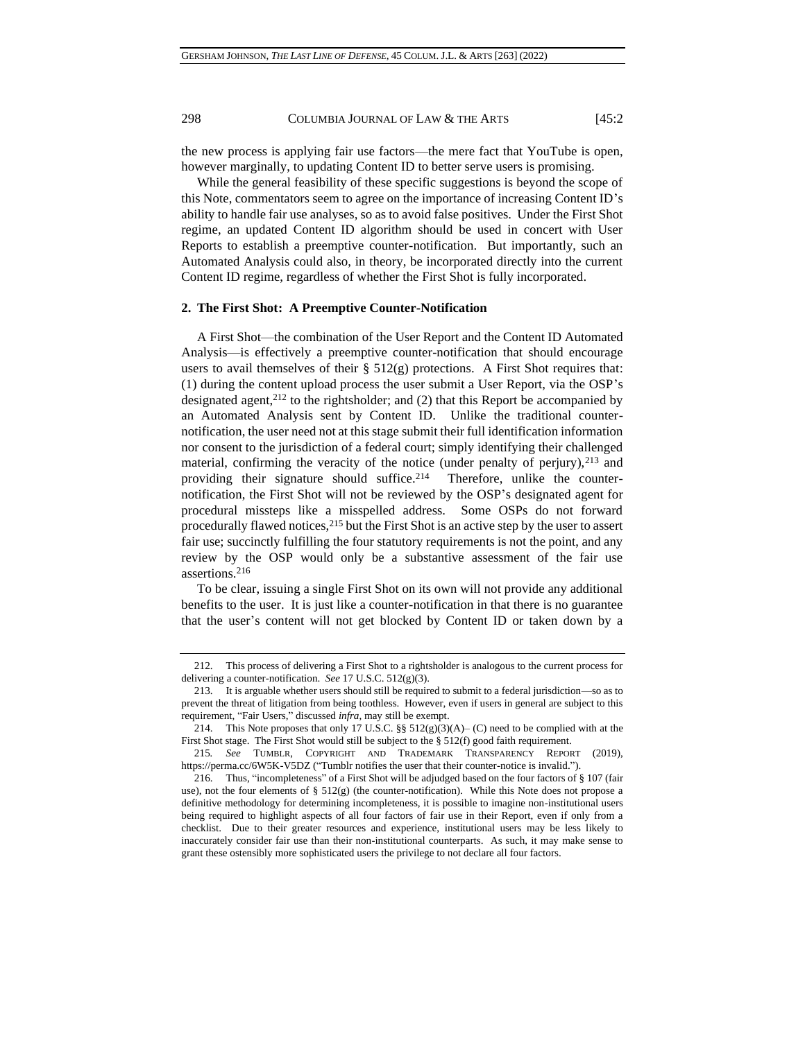the new process is applying fair use factors—the mere fact that YouTube is open, however marginally, to updating Content ID to better serve users is promising.

While the general feasibility of these specific suggestions is beyond the scope of this Note, commentators seem to agree on the importance of increasing Content ID's ability to handle fair use analyses, so as to avoid false positives. Under the First Shot regime, an updated Content ID algorithm should be used in concert with User Reports to establish a preemptive counter-notification. But importantly, such an Automated Analysis could also, in theory, be incorporated directly into the current Content ID regime, regardless of whether the First Shot is fully incorporated.

## **2. The First Shot: A Preemptive Counter-Notification**

A First Shot—the combination of the User Report and the Content ID Automated Analysis—is effectively a preemptive counter-notification that should encourage users to avail themselves of their  $\S 512(g)$  protections. A First Shot requires that: (1) during the content upload process the user submit a User Report, via the OSP's designated agent, $2^{12}$  to the rightsholder; and (2) that this Report be accompanied by an Automated Analysis sent by Content ID. Unlike the traditional counternotification, the user need not at this stage submit their full identification information nor consent to the jurisdiction of a federal court; simply identifying their challenged material, confirming the veracity of the notice (under penalty of perjury), $213$  and providing their signature should suffice.<sup>214</sup> Therefore, unlike the counternotification, the First Shot will not be reviewed by the OSP's designated agent for procedural missteps like a misspelled address. Some OSPs do not forward procedurally flawed notices,<sup>215</sup> but the First Shot is an active step by the user to assert fair use; succinctly fulfilling the four statutory requirements is not the point, and any review by the OSP would only be a substantive assessment of the fair use assertions.<sup>216</sup>

To be clear, issuing a single First Shot on its own will not provide any additional benefits to the user. It is just like a counter-notification in that there is no guarantee that the user's content will not get blocked by Content ID or taken down by a

<sup>212.</sup> This process of delivering a First Shot to a rightsholder is analogous to the current process for delivering a counter-notification. *See* 17 U.S.C. 512(g)(3).

<sup>213.</sup> It is arguable whether users should still be required to submit to a federal jurisdiction—so as to prevent the threat of litigation from being toothless. However, even if users in general are subject to this requirement, "Fair Users," discussed *infra*, may still be exempt.

<sup>214.</sup> This Note proposes that only 17 U.S.C. §§  $512(g)(3)(A)$ – (C) need to be complied with at the First Shot stage. The First Shot would still be subject to the § 512(f) good faith requirement.

<sup>215</sup>*. See* TUMBLR, COPYRIGHT AND TRADEMARK TRANSPARENCY REPORT (2019), https://perma.cc/6W5K-V5DZ ("Tumblr notifies the user that their counter-notice is invalid.").

<sup>216.</sup> Thus, "incompleteness" of a First Shot will be adjudged based on the four factors of § 107 (fair use), not the four elements of  $\S$  512(g) (the counter-notification). While this Note does not propose a definitive methodology for determining incompleteness, it is possible to imagine non-institutional users being required to highlight aspects of all four factors of fair use in their Report, even if only from a checklist. Due to their greater resources and experience, institutional users may be less likely to inaccurately consider fair use than their non-institutional counterparts. As such, it may make sense to grant these ostensibly more sophisticated users the privilege to not declare all four factors.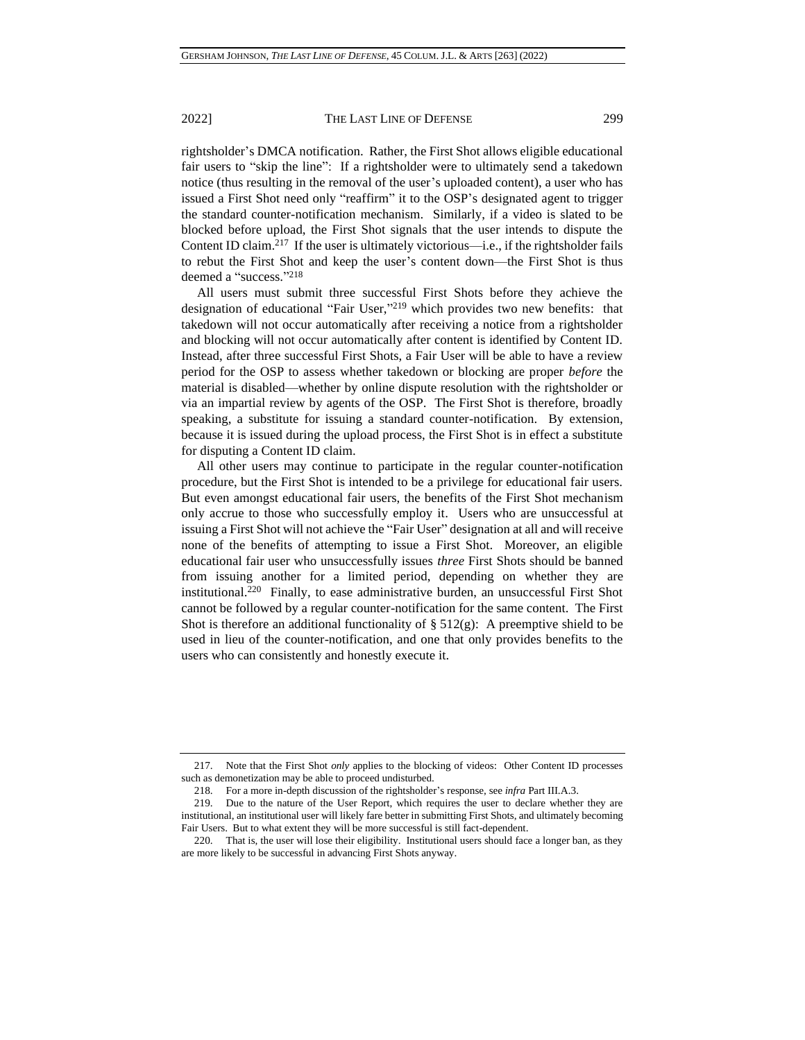rightsholder's DMCA notification. Rather, the First Shot allows eligible educational fair users to "skip the line": If a rightsholder were to ultimately send a takedown notice (thus resulting in the removal of the user's uploaded content), a user who has issued a First Shot need only "reaffirm" it to the OSP's designated agent to trigger the standard counter-notification mechanism. Similarly, if a video is slated to be blocked before upload, the First Shot signals that the user intends to dispute the Content ID claim.<sup>217</sup> If the user is ultimately victorious—i.e., if the rightsholder fails to rebut the First Shot and keep the user's content down—the First Shot is thus deemed a "success." 218

All users must submit three successful First Shots before they achieve the designation of educational "Fair User," <sup>219</sup> which provides two new benefits: that takedown will not occur automatically after receiving a notice from a rightsholder and blocking will not occur automatically after content is identified by Content ID. Instead, after three successful First Shots, a Fair User will be able to have a review period for the OSP to assess whether takedown or blocking are proper *before* the material is disabled—whether by online dispute resolution with the rightsholder or via an impartial review by agents of the OSP. The First Shot is therefore, broadly speaking, a substitute for issuing a standard counter-notification. By extension, because it is issued during the upload process, the First Shot is in effect a substitute for disputing a Content ID claim.

All other users may continue to participate in the regular counter-notification procedure, but the First Shot is intended to be a privilege for educational fair users. But even amongst educational fair users, the benefits of the First Shot mechanism only accrue to those who successfully employ it. Users who are unsuccessful at issuing a First Shot will not achieve the "Fair User" designation at all and will receive none of the benefits of attempting to issue a First Shot. Moreover, an eligible educational fair user who unsuccessfully issues *three* First Shots should be banned from issuing another for a limited period, depending on whether they are institutional.<sup>220</sup> Finally, to ease administrative burden, an unsuccessful First Shot cannot be followed by a regular counter-notification for the same content. The First Shot is therefore an additional functionality of  $\S 512(g)$ : A preemptive shield to be used in lieu of the counter-notification, and one that only provides benefits to the users who can consistently and honestly execute it.

<sup>217.</sup> Note that the First Shot *only* applies to the blocking of videos: Other Content ID processes such as demonetization may be able to proceed undisturbed.

<sup>218.</sup> For a more in-depth discussion of the rightsholder's response, see *infra* Part III.A.3.

<sup>219.</sup> Due to the nature of the User Report, which requires the user to declare whether they are institutional, an institutional user will likely fare better in submitting First Shots, and ultimately becoming Fair Users. But to what extent they will be more successful is still fact-dependent.

<sup>220.</sup> That is, the user will lose their eligibility. Institutional users should face a longer ban, as they are more likely to be successful in advancing First Shots anyway.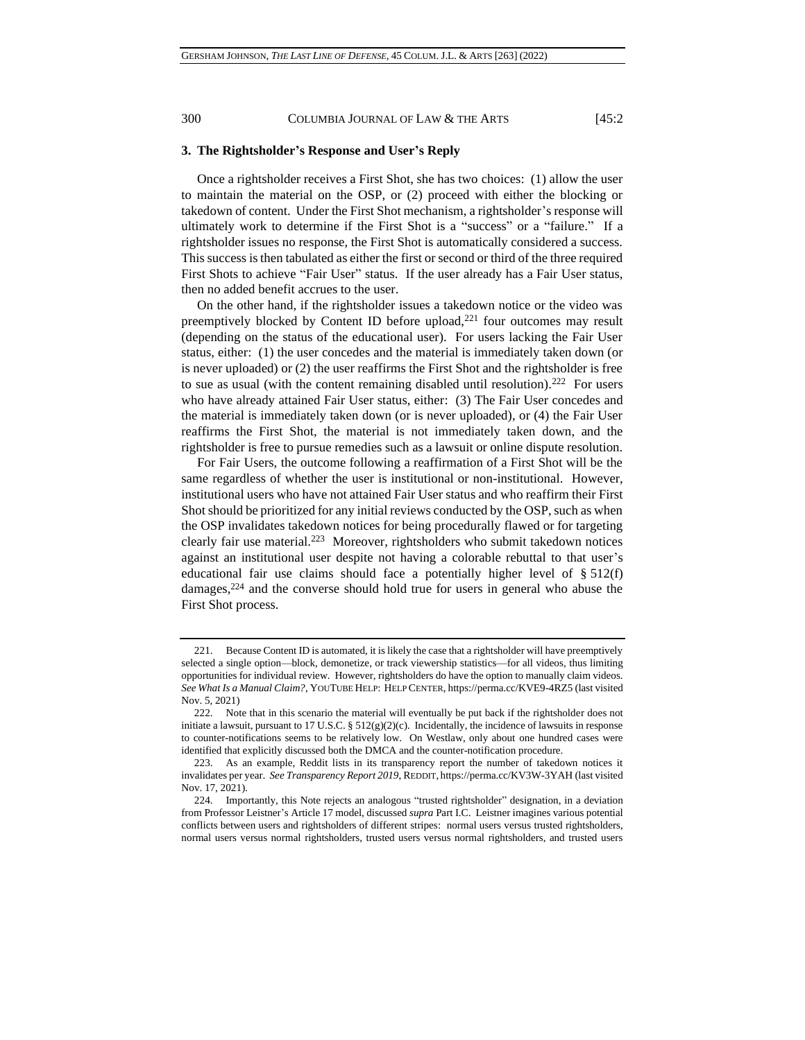## **3. The Rightsholder's Response and User's Reply**

Once a rightsholder receives a First Shot, she has two choices: (1) allow the user to maintain the material on the OSP, or (2) proceed with either the blocking or takedown of content. Under the First Shot mechanism, a rightsholder's response will ultimately work to determine if the First Shot is a "success" or a "failure." If a rightsholder issues no response, the First Shot is automatically considered a success. This success is then tabulated as either the first or second or third of the three required First Shots to achieve "Fair User" status. If the user already has a Fair User status, then no added benefit accrues to the user.

On the other hand, if the rightsholder issues a takedown notice or the video was preemptively blocked by Content ID before upload,<sup>221</sup> four outcomes may result (depending on the status of the educational user). For users lacking the Fair User status, either: (1) the user concedes and the material is immediately taken down (or is never uploaded) or (2) the user reaffirms the First Shot and the rightsholder is free to sue as usual (with the content remaining disabled until resolution).<sup>222</sup> For users who have already attained Fair User status, either: (3) The Fair User concedes and the material is immediately taken down (or is never uploaded), or (4) the Fair User reaffirms the First Shot, the material is not immediately taken down, and the rightsholder is free to pursue remedies such as a lawsuit or online dispute resolution.

For Fair Users, the outcome following a reaffirmation of a First Shot will be the same regardless of whether the user is institutional or non-institutional. However, institutional users who have not attained Fair User status and who reaffirm their First Shot should be prioritized for any initial reviews conducted by the OSP, such as when the OSP invalidates takedown notices for being procedurally flawed or for targeting clearly fair use material.<sup>223</sup> Moreover, rightsholders who submit takedown notices against an institutional user despite not having a colorable rebuttal to that user's educational fair use claims should face a potentially higher level of  $\S 512(f)$ damages, <sup>224</sup> and the converse should hold true for users in general who abuse the First Shot process.

<sup>221.</sup> Because Content ID is automated, it is likely the case that a rightsholder will have preemptively selected a single option—block, demonetize, or track viewership statistics—for all videos, thus limiting opportunities for individual review. However, rightsholders do have the option to manually claim videos. *See What Is a Manual Claim?*, YOUTUBE HELP: HELP CENTER, https://perma.cc/KVE9-4RZ5 (last visited Nov. 5, 2021)

<sup>222.</sup> Note that in this scenario the material will eventually be put back if the rightsholder does not initiate a lawsuit, pursuant to 17 U.S.C. §  $512(g)(2)(c)$ . Incidentally, the incidence of lawsuits in response to counter-notifications seems to be relatively low. On Westlaw, only about one hundred cases were identified that explicitly discussed both the DMCA and the counter-notification procedure.

<sup>223.</sup> As an example, Reddit lists in its transparency report the number of takedown notices it invalidates per year. *See Transparency Report 2019*, REDDIT, https://perma.cc/KV3W-3YAH (last visited Nov. 17, 2021).

<sup>224.</sup> Importantly, this Note rejects an analogous "trusted rightsholder" designation, in a deviation from Professor Leistner's Article 17 model, discussed *supra* Part I.C. Leistner imagines various potential conflicts between users and rightsholders of different stripes: normal users versus trusted rightsholders, normal users versus normal rightsholders, trusted users versus normal rightsholders, and trusted users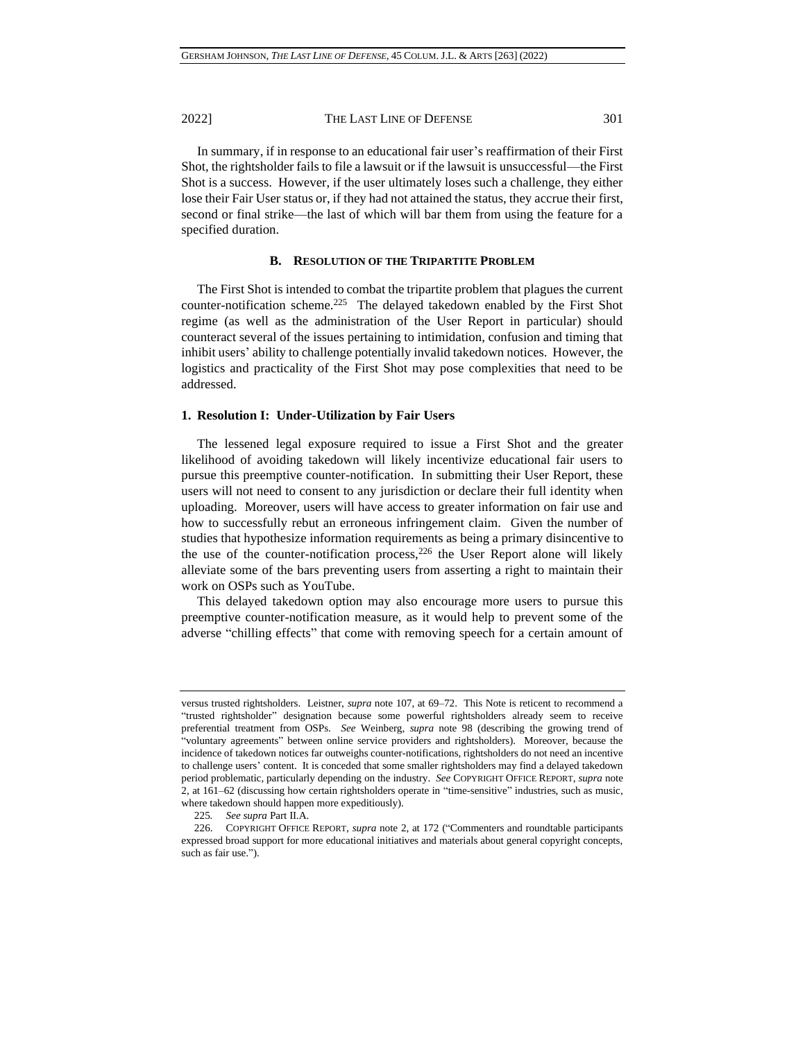In summary, if in response to an educational fair user's reaffirmation of their First Shot, the rightsholder fails to file a lawsuit or if the lawsuit is unsuccessful—the First Shot is a success. However, if the user ultimately loses such a challenge, they either lose their Fair User status or, if they had not attained the status, they accrue their first, second or final strike—the last of which will bar them from using the feature for a specified duration.

## **B. RESOLUTION OF THE TRIPARTITE PROBLEM**

The First Shot is intended to combat the tripartite problem that plagues the current counter-notification scheme.<sup>225</sup> The delayed takedown enabled by the First Shot regime (as well as the administration of the User Report in particular) should counteract several of the issues pertaining to intimidation, confusion and timing that inhibit users' ability to challenge potentially invalid takedown notices. However, the logistics and practicality of the First Shot may pose complexities that need to be addressed.

### **1. Resolution I: Under-Utilization by Fair Users**

The lessened legal exposure required to issue a First Shot and the greater likelihood of avoiding takedown will likely incentivize educational fair users to pursue this preemptive counter-notification. In submitting their User Report, these users will not need to consent to any jurisdiction or declare their full identity when uploading. Moreover, users will have access to greater information on fair use and how to successfully rebut an erroneous infringement claim. Given the number of studies that hypothesize information requirements as being a primary disincentive to the use of the counter-notification process,  $226$  the User Report alone will likely alleviate some of the bars preventing users from asserting a right to maintain their work on OSPs such as YouTube.

This delayed takedown option may also encourage more users to pursue this preemptive counter-notification measure, as it would help to prevent some of the adverse "chilling effects" that come with removing speech for a certain amount of

versus trusted rightsholders. Leistner, *supra* note [107,](#page-16-0) at 69–72. This Note is reticent to recommend a "trusted rightsholder" designation because some powerful rightsholders already seem to receive preferential treatment from OSPs. *See* Weinberg, *supra* note [98](#page-14-0) (describing the growing trend of "voluntary agreements" between online service providers and rightsholders). Moreover, because the incidence of takedown notices far outweighs counter-notifications, rightsholders do not need an incentive to challenge users' content. It is conceded that some smaller rightsholders may find a delayed takedown period problematic, particularly depending on the industry. *See* COPYRIGHT OFFICE REPORT, *supra* note [2,](#page-0-0) at 161–62 (discussing how certain rightsholders operate in "time-sensitive" industries, such as music, where takedown should happen more expeditiously).

<sup>225</sup>*. See supra* Part II.A.

<sup>226.</sup> COPYRIGHT OFFICE REPORT, *supra* note [2,](#page-0-0) at 172 ("Commenters and roundtable participants expressed broad support for more educational initiatives and materials about general copyright concepts, such as fair use.").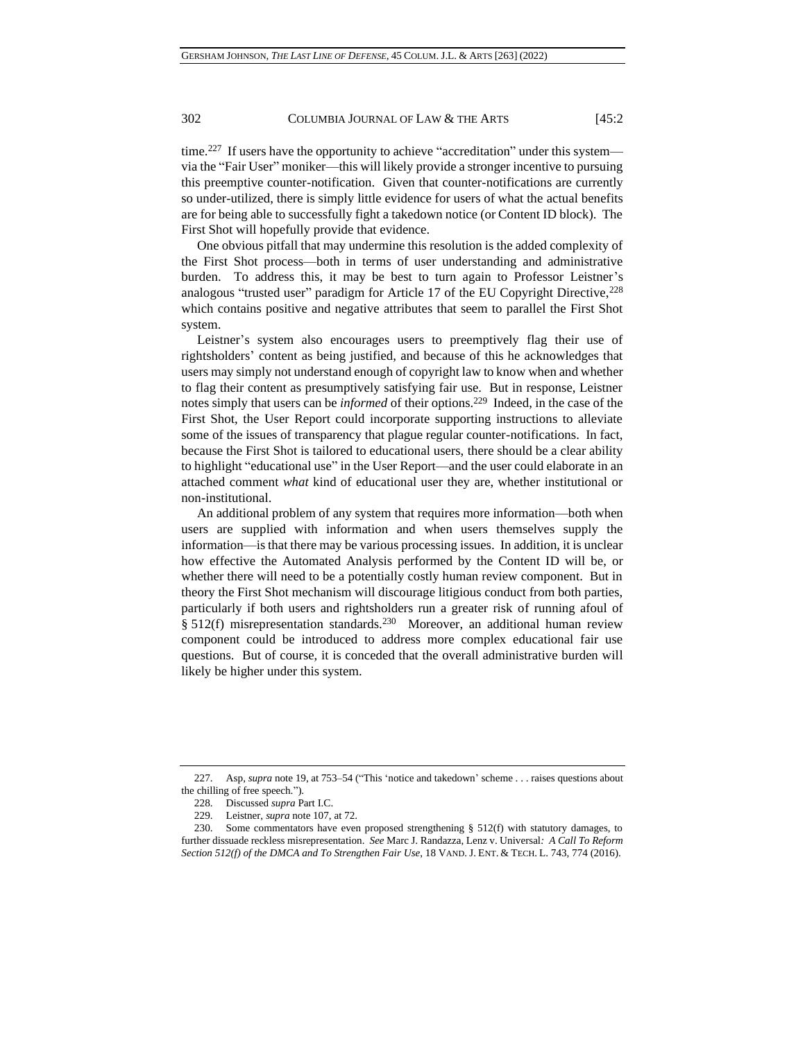time.<sup>227</sup> If users have the opportunity to achieve "accreditation" under this system via the "Fair User" moniker—this will likely provide a stronger incentive to pursuing this preemptive counter-notification. Given that counter-notifications are currently so under-utilized, there is simply little evidence for users of what the actual benefits are for being able to successfully fight a takedown notice (or Content ID block). The First Shot will hopefully provide that evidence.

One obvious pitfall that may undermine this resolution is the added complexity of the First Shot process—both in terms of user understanding and administrative burden. To address this, it may be best to turn again to Professor Leistner's analogous "trusted user" paradigm for Article 17 of the EU Copyright Directive,<sup>228</sup> which contains positive and negative attributes that seem to parallel the First Shot system.

Leistner's system also encourages users to preemptively flag their use of rightsholders' content as being justified, and because of this he acknowledges that users may simply not understand enough of copyright law to know when and whether to flag their content as presumptively satisfying fair use. But in response, Leistner notes simply that users can be *informed* of their options.<sup>229</sup> Indeed, in the case of the First Shot, the User Report could incorporate supporting instructions to alleviate some of the issues of transparency that plague regular counter-notifications. In fact, because the First Shot is tailored to educational users, there should be a clear ability to highlight "educational use" in the User Report—and the user could elaborate in an attached comment *what* kind of educational user they are, whether institutional or non-institutional.

<span id="page-39-0"></span>An additional problem of any system that requires more information—both when users are supplied with information and when users themselves supply the information—is that there may be various processing issues. In addition, it is unclear how effective the Automated Analysis performed by the Content ID will be, or whether there will need to be a potentially costly human review component. But in theory the First Shot mechanism will discourage litigious conduct from both parties, particularly if both users and rightsholders run a greater risk of running afoul of § 512(f) misrepresentation standards.<sup>230</sup> Moreover, an additional human review component could be introduced to address more complex educational fair use questions. But of course, it is conceded that the overall administrative burden will likely be higher under this system.

<sup>227.</sup> Asp, *supra* note [19,](#page-3-0) at 753–54 ("This 'notice and takedown' scheme . . . raises questions about the chilling of free speech.").

<sup>228.</sup> Discussed *supra* Part I.C.

<sup>229.</sup> Leistner, *supra* note [107,](#page-16-0) at 72.

<sup>230.</sup> Some commentators have even proposed strengthening § 512(f) with statutory damages, to further dissuade reckless misrepresentation. *See* Marc J. Randazza, Lenz v. Universal*: A Call To Reform Section 512(f) of the DMCA and To Strengthen Fair Use*, 18 VAND. J. ENT. & TECH. L. 743, 774 (2016).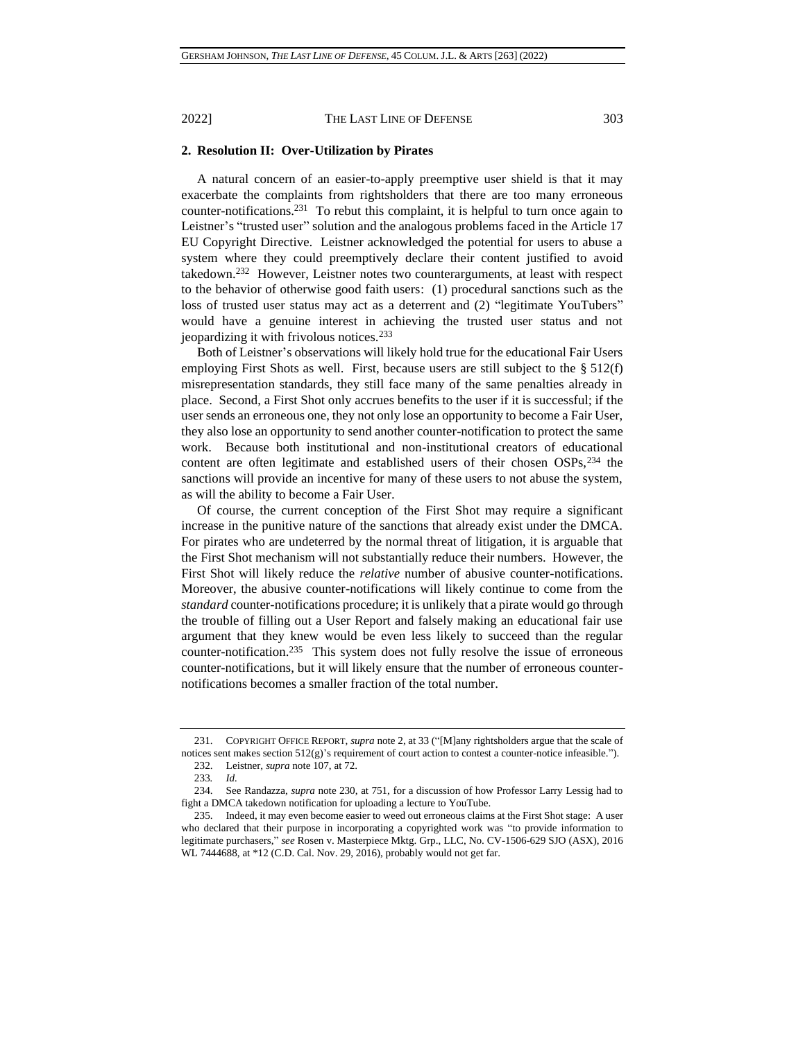## **2. Resolution II: Over-Utilization by Pirates**

A natural concern of an easier-to-apply preemptive user shield is that it may exacerbate the complaints from rightsholders that there are too many erroneous counter-notifications.<sup>231</sup> To rebut this complaint, it is helpful to turn once again to Leistner's "trusted user" solution and the analogous problems faced in the Article 17 EU Copyright Directive. Leistner acknowledged the potential for users to abuse a system where they could preemptively declare their content justified to avoid takedown.<sup>232</sup> However, Leistner notes two counterarguments, at least with respect to the behavior of otherwise good faith users: (1) procedural sanctions such as the loss of trusted user status may act as a deterrent and (2) "legitimate YouTubers" would have a genuine interest in achieving the trusted user status and not jeopardizing it with frivolous notices.<sup>233</sup>

Both of Leistner's observations will likely hold true for the educational Fair Users employing First Shots as well. First, because users are still subject to the § 512(f) misrepresentation standards, they still face many of the same penalties already in place. Second, a First Shot only accrues benefits to the user if it is successful; if the user sends an erroneous one, they not only lose an opportunity to become a Fair User, they also lose an opportunity to send another counter-notification to protect the same work. Because both institutional and non-institutional creators of educational content are often legitimate and established users of their chosen OSPs,<sup>234</sup> the sanctions will provide an incentive for many of these users to not abuse the system, as will the ability to become a Fair User.

Of course, the current conception of the First Shot may require a significant increase in the punitive nature of the sanctions that already exist under the DMCA. For pirates who are undeterred by the normal threat of litigation, it is arguable that the First Shot mechanism will not substantially reduce their numbers. However, the First Shot will likely reduce the *relative* number of abusive counter-notifications. Moreover, the abusive counter-notifications will likely continue to come from the *standard* counter-notifications procedure; it is unlikely that a pirate would go through the trouble of filling out a User Report and falsely making an educational fair use argument that they knew would be even less likely to succeed than the regular counter-notification.<sup>235</sup> This system does not fully resolve the issue of erroneous counter-notifications, but it will likely ensure that the number of erroneous counternotifications becomes a smaller fraction of the total number.

<sup>231.</sup> COPYRIGHT OFFICE REPORT, *supra* note [2,](#page-0-0) at 33 ("[M]any rightsholders argue that the scale of notices sent makes section 512(g)'s requirement of court action to contest a counter-notice infeasible.").

<sup>232.</sup> Leistner, *supra* note [107,](#page-16-0) at 72.

<sup>233</sup>*. Id.*

<sup>234.</sup> See Randazza, *supra* note [230,](#page-39-0) at 751, for a discussion of how Professor Larry Lessig had to fight a DMCA takedown notification for uploading a lecture to YouTube.

<sup>235.</sup> Indeed, it may even become easier to weed out erroneous claims at the First Shot stage: A user who declared that their purpose in incorporating a copyrighted work was "to provide information to legitimate purchasers," *see* Rosen v. Masterpiece Mktg. Grp., LLC, No. CV-1506-629 SJO (ASX), 2016 WL 7444688, at \*12 (C.D. Cal. Nov. 29, 2016), probably would not get far.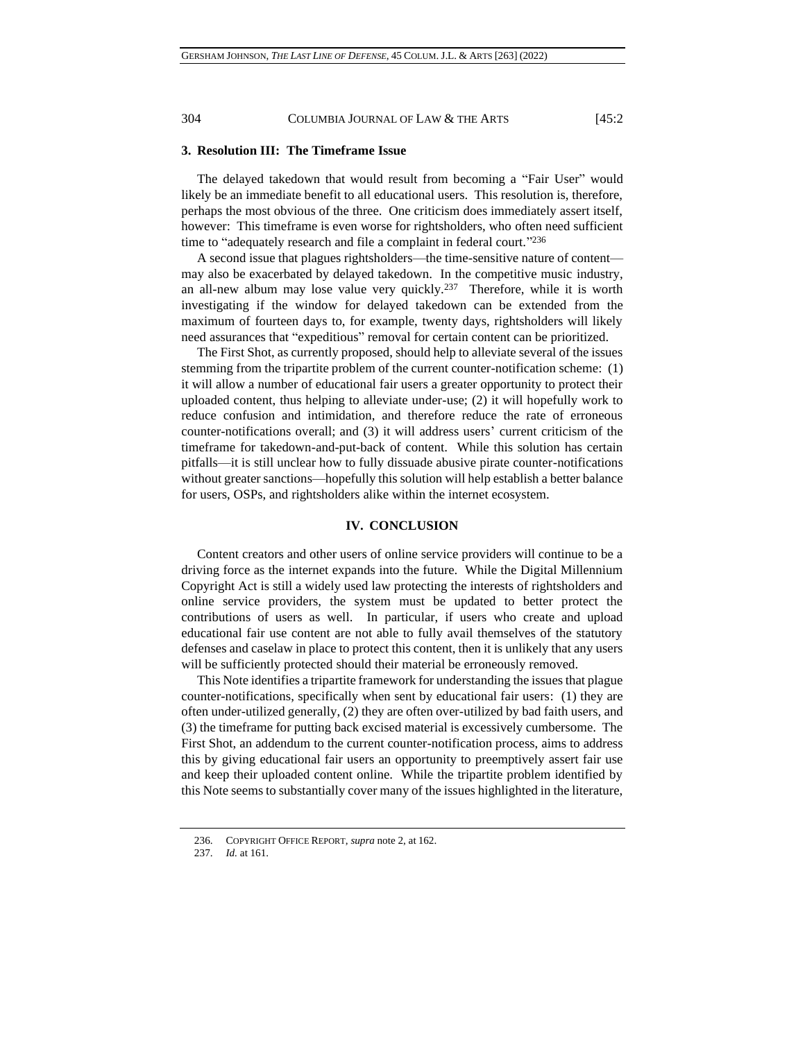## **3. Resolution III: The Timeframe Issue**

The delayed takedown that would result from becoming a "Fair User" would likely be an immediate benefit to all educational users. This resolution is, therefore, perhaps the most obvious of the three. One criticism does immediately assert itself, however: This timeframe is even worse for rightsholders, who often need sufficient time to "adequately research and file a complaint in federal court."236

A second issue that plagues rightsholders—the time-sensitive nature of content may also be exacerbated by delayed takedown. In the competitive music industry, an all-new album may lose value very quickly.<sup>237</sup> Therefore, while it is worth investigating if the window for delayed takedown can be extended from the maximum of fourteen days to, for example, twenty days, rightsholders will likely need assurances that "expeditious" removal for certain content can be prioritized.

The First Shot, as currently proposed, should help to alleviate several of the issues stemming from the tripartite problem of the current counter-notification scheme: (1) it will allow a number of educational fair users a greater opportunity to protect their uploaded content, thus helping to alleviate under-use; (2) it will hopefully work to reduce confusion and intimidation, and therefore reduce the rate of erroneous counter-notifications overall; and (3) it will address users' current criticism of the timeframe for takedown-and-put-back of content. While this solution has certain pitfalls—it is still unclear how to fully dissuade abusive pirate counter-notifications without greater sanctions—hopefully this solution will help establish a better balance for users, OSPs, and rightsholders alike within the internet ecosystem.

### **IV. CONCLUSION**

Content creators and other users of online service providers will continue to be a driving force as the internet expands into the future. While the Digital Millennium Copyright Act is still a widely used law protecting the interests of rightsholders and online service providers, the system must be updated to better protect the contributions of users as well. In particular, if users who create and upload educational fair use content are not able to fully avail themselves of the statutory defenses and caselaw in place to protect this content, then it is unlikely that any users will be sufficiently protected should their material be erroneously removed.

This Note identifies a tripartite framework for understanding the issues that plague counter-notifications, specifically when sent by educational fair users: (1) they are often under-utilized generally, (2) they are often over-utilized by bad faith users, and (3) the timeframe for putting back excised material is excessively cumbersome. The First Shot, an addendum to the current counter-notification process, aims to address this by giving educational fair users an opportunity to preemptively assert fair use and keep their uploaded content online. While the tripartite problem identified by this Note seems to substantially cover many of the issues highlighted in the literature,

<sup>236.</sup> COPYRIGHT OFFICE REPORT, *supra* note [2,](#page-0-0) at 162.

<sup>237.</sup> *Id.* at 161.